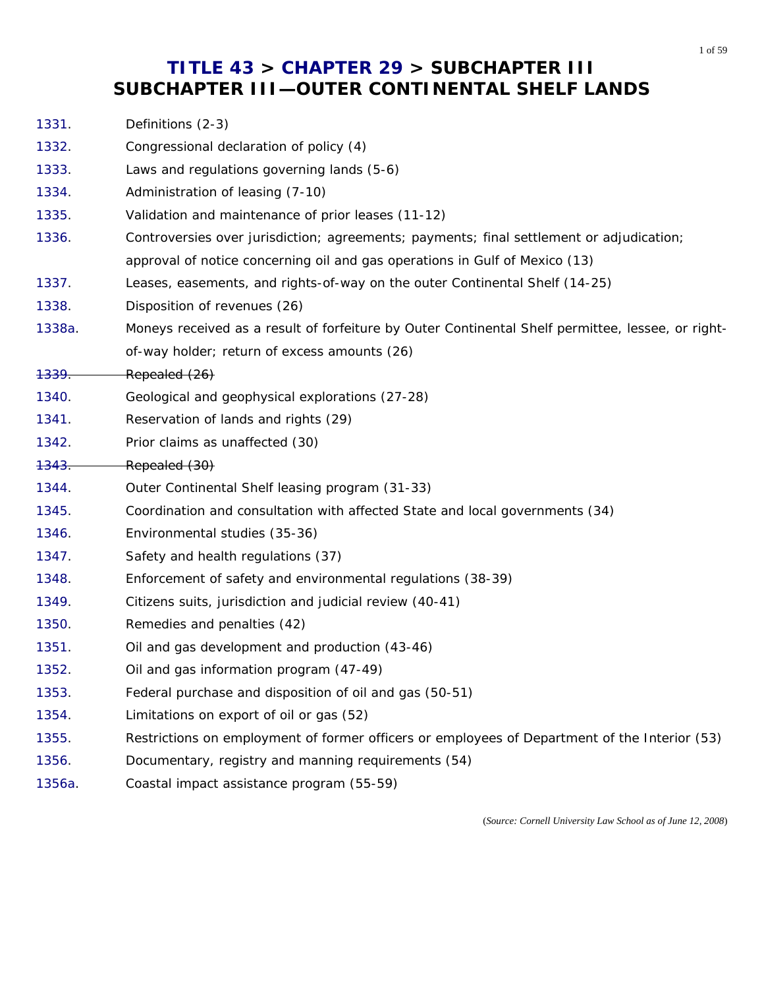# **TITLE 43 > CHAPTER 29 > SUBCHAPTER III SUBCHAPTER III—OUTER CONTINENTAL SHELF LANDS**

| 1331.            | Definitions (2-3)                                                                                 |
|------------------|---------------------------------------------------------------------------------------------------|
| 1332.            | Congressional declaration of policy (4)                                                           |
| 1333.            | Laws and regulations governing lands (5-6)                                                        |
| 1334.            | Administration of leasing (7-10)                                                                  |
| 1335.            | Validation and maintenance of prior leases (11-12)                                                |
| 1336.            | Controversies over jurisdiction; agreements; payments; final settlement or adjudication;          |
|                  | approval of notice concerning oil and gas operations in Gulf of Mexico (13)                       |
| 1337.            | Leases, easements, and rights-of-way on the outer Continental Shelf (14-25)                       |
| 1338.            | Disposition of revenues (26)                                                                      |
| 1338a.           | Moneys received as a result of forfeiture by Outer Continental Shelf permittee, lessee, or right- |
|                  | of-way holder; return of excess amounts (26)                                                      |
| <del>1339.</del> | Repealed (26)                                                                                     |
| 1340.            | Geological and geophysical explorations (27-28)                                                   |
| 1341.            | Reservation of lands and rights (29)                                                              |
| 1342.            | Prior claims as unaffected (30)                                                                   |
| <del>1343.</del> | Repealed (30)                                                                                     |
| 1344.            | Outer Continental Shelf leasing program (31-33)                                                   |
| 1345.            | Coordination and consultation with affected State and local governments (34)                      |
| 1346.            | Environmental studies (35-36)                                                                     |
| 1347.            | Safety and health regulations (37)                                                                |
| 1348.            | Enforcement of safety and environmental regulations (38-39)                                       |
| 1349.            | Citizens suits, jurisdiction and judicial review (40-41)                                          |
| 1350.            | Remedies and penalties (42)                                                                       |
| 1351.            | Oil and gas development and production (43-46)                                                    |
| 1352.            | Oil and gas information program (47-49)                                                           |
| 1353.            | Federal purchase and disposition of oil and gas (50-51)                                           |
| 1354.            | Limitations on export of oil or gas (52)                                                          |
| 1355.            | Restrictions on employment of former officers or employees of Department of the Interior (53)     |
| 1356.            | Documentary, registry and manning requirements (54)                                               |
| 1356a.           | Coastal impact assistance program (55-59)                                                         |

(*Source: Cornell University Law School as of June 12, 2008*)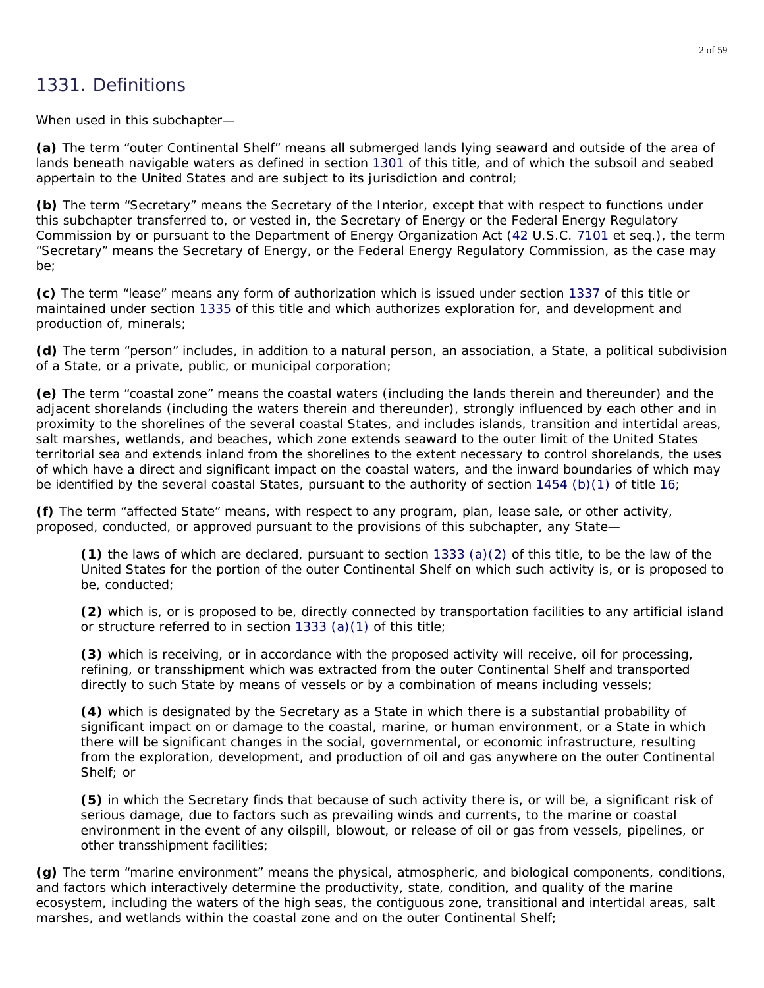## 1331. Definitions

When used in this subchapter—

**(a)** The term "outer Continental Shelf" means all submerged lands lying seaward and outside of the area of lands beneath navigable waters as defined in section 1301 of this title, and of which the subsoil and seabed appertain to the United States and are subject to its jurisdiction and control;

**(b)** The term "Secretary" means the Secretary of the Interior, except that with respect to functions under this subchapter transferred to, or vested in, the Secretary of Energy or the Federal Energy Regulatory Commission by or pursuant to the Department of Energy Organization Act (42 U.S.C. 7101 et seq.), the term "Secretary" means the Secretary of Energy, or the Federal Energy Regulatory Commission, as the case may be;

**(c)** The term "lease" means any form of authorization which is issued under section 1337 of this title or maintained under section 1335 of this title and which authorizes exploration for, and development and production of, minerals;

**(d)** The term "person" includes, in addition to a natural person, an association, a State, a political subdivision of a State, or a private, public, or municipal corporation;

**(e)** The term "coastal zone" means the coastal waters (including the lands therein and thereunder) and the adjacent shorelands (including the waters therein and thereunder), strongly influenced by each other and in proximity to the shorelines of the several coastal States, and includes islands, transition and intertidal areas, salt marshes, wetlands, and beaches, which zone extends seaward to the outer limit of the United States territorial sea and extends inland from the shorelines to the extent necessary to control shorelands, the uses of which have a direct and significant impact on the coastal waters, and the inward boundaries of which may be identified by the several coastal States, pursuant to the authority of section 1454 (b)(1) of title 16;

**(f)** The term "affected State" means, with respect to any program, plan, lease sale, or other activity, proposed, conducted, or approved pursuant to the provisions of this subchapter, any State—

**(1)** the laws of which are declared, pursuant to section 1333 (a)(2) of this title, to be the law of the United States for the portion of the outer Continental Shelf on which such activity is, or is proposed to be, conducted;

**(2)** which is, or is proposed to be, directly connected by transportation facilities to any artificial island or structure referred to in section 1333 (a)(1) of this title;

**(3)** which is receiving, or in accordance with the proposed activity will receive, oil for processing, refining, or transshipment which was extracted from the outer Continental Shelf and transported directly to such State by means of vessels or by a combination of means including vessels;

**(4)** which is designated by the Secretary as a State in which there is a substantial probability of significant impact on or damage to the coastal, marine, or human environment, or a State in which there will be significant changes in the social, governmental, or economic infrastructure, resulting from the exploration, development, and production of oil and gas anywhere on the outer Continental Shelf; or

**(5)** in which the Secretary finds that because of such activity there is, or will be, a significant risk of serious damage, due to factors such as prevailing winds and currents, to the marine or coastal environment in the event of any oilspill, blowout, or release of oil or gas from vessels, pipelines, or other transshipment facilities;

**(g)** The term "marine environment" means the physical, atmospheric, and biological components, conditions, and factors which interactively determine the productivity, state, condition, and quality of the marine ecosystem, including the waters of the high seas, the contiguous zone, transitional and intertidal areas, salt marshes, and wetlands within the coastal zone and on the outer Continental Shelf;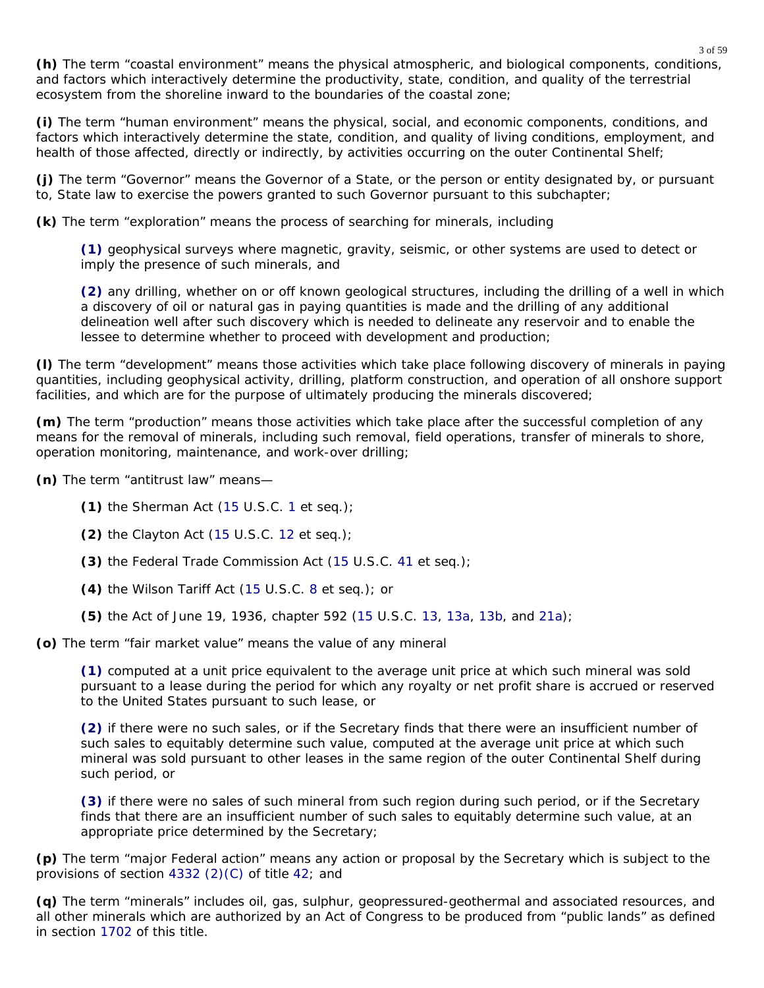**(h)** The term "coastal environment" means the physical atmospheric, and biological components, conditions, and factors which interactively determine the productivity, state, condition, and quality of the terrestrial ecosystem from the shoreline inward to the boundaries of the coastal zone;

**(i)** The term "human environment" means the physical, social, and economic components, conditions, and factors which interactively determine the state, condition, and quality of living conditions, employment, and health of those affected, directly or indirectly, by activities occurring on the outer Continental Shelf;

**(j)** The term "Governor" means the Governor of a State, or the person or entity designated by, or pursuant to, State law to exercise the powers granted to such Governor pursuant to this subchapter;

**(k)** The term "exploration" means the process of searching for minerals, including

**(1)** geophysical surveys where magnetic, gravity, seismic, or other systems are used to detect or imply the presence of such minerals, and

**(2)** any drilling, whether on or off known geological structures, including the drilling of a well in which a discovery of oil or natural gas in paying quantities is made and the drilling of any additional delineation well after such discovery which is needed to delineate any reservoir and to enable the lessee to determine whether to proceed with development and production;

**(l)** The term "development" means those activities which take place following discovery of minerals in paying quantities, including geophysical activity, drilling, platform construction, and operation of all onshore support facilities, and which are for the purpose of ultimately producing the minerals discovered;

**(m)** The term "production" means those activities which take place after the successful completion of any means for the removal of minerals, including such removal, field operations, transfer of minerals to shore, operation monitoring, maintenance, and work-over drilling;

**(n)** The term "antitrust law" means—

- **(1)** the Sherman Act (15 U.S.C. 1 et seq.);
- **(2)** the Clayton Act (15 U.S.C. 12 et seq.);
- **(3)** the Federal Trade Commission Act (15 U.S.C. 41 et seq.);
- **(4)** the Wilson Tariff Act (15 U.S.C. 8 et seq.); or
- **(5)** the Act of June 19, 1936, chapter 592 (15 U.S.C. 13, 13a, 13b, and 21a);

**(o)** The term "fair market value" means the value of any mineral

**(1)** computed at a unit price equivalent to the average unit price at which such mineral was sold pursuant to a lease during the period for which any royalty or net profit share is accrued or reserved to the United States pursuant to such lease, or

**(2)** if there were no such sales, or if the Secretary finds that there were an insufficient number of such sales to equitably determine such value, computed at the average unit price at which such mineral was sold pursuant to other leases in the same region of the outer Continental Shelf during such period, or

**(3)** if there were no sales of such mineral from such region during such period, or if the Secretary finds that there are an insufficient number of such sales to equitably determine such value, at an appropriate price determined by the Secretary;

**(p)** The term "major Federal action" means any action or proposal by the Secretary which is subject to the provisions of section 4332 (2)(C) of title 42; and

**(q)** The term "minerals" includes oil, gas, sulphur, geopressured-geothermal and associated resources, and all other minerals which are authorized by an Act of Congress to be produced from "public lands" as defined in section 1702 of this title.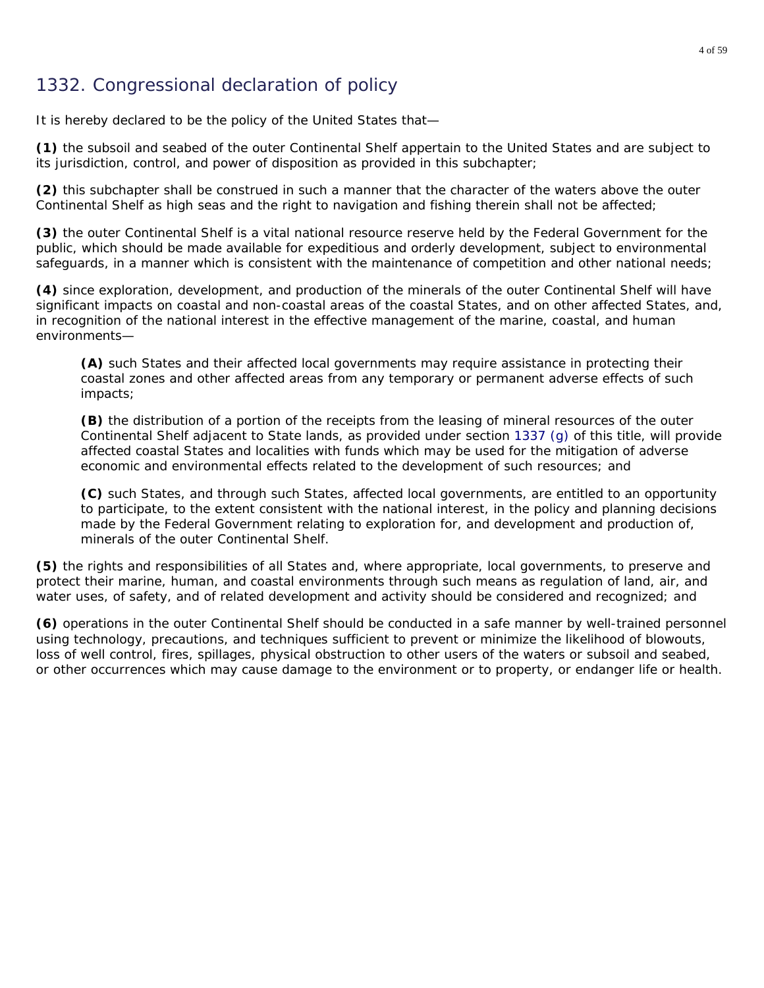# 1332. Congressional declaration of policy

It is hereby declared to be the policy of the United States that—

**(1)** the subsoil and seabed of the outer Continental Shelf appertain to the United States and are subject to its jurisdiction, control, and power of disposition as provided in this subchapter;

**(2)** this subchapter shall be construed in such a manner that the character of the waters above the outer Continental Shelf as high seas and the right to navigation and fishing therein shall not be affected;

**(3)** the outer Continental Shelf is a vital national resource reserve held by the Federal Government for the public, which should be made available for expeditious and orderly development, subject to environmental safeguards, in a manner which is consistent with the maintenance of competition and other national needs;

**(4)** since exploration, development, and production of the minerals of the outer Continental Shelf will have significant impacts on coastal and non-coastal areas of the coastal States, and on other affected States, and, in recognition of the national interest in the effective management of the marine, coastal, and human environments—

**(A)** such States and their affected local governments may require assistance in protecting their coastal zones and other affected areas from any temporary or permanent adverse effects of such impacts;

**(B)** the distribution of a portion of the receipts from the leasing of mineral resources of the outer Continental Shelf adjacent to State lands, as provided under section 1337 (g) of this title, will provide affected coastal States and localities with funds which may be used for the mitigation of adverse economic and environmental effects related to the development of such resources; and

**(C)** such States, and through such States, affected local governments, are entitled to an opportunity to participate, to the extent consistent with the national interest, in the policy and planning decisions made by the Federal Government relating to exploration for, and development and production of, minerals of the outer Continental Shelf.

**(5)** the rights and responsibilities of all States and, where appropriate, local governments, to preserve and protect their marine, human, and coastal environments through such means as regulation of land, air, and water uses, of safety, and of related development and activity should be considered and recognized; and

**(6)** operations in the outer Continental Shelf should be conducted in a safe manner by well-trained personnel using technology, precautions, and techniques sufficient to prevent or minimize the likelihood of blowouts, loss of well control, fires, spillages, physical obstruction to other users of the waters or subsoil and seabed, or other occurrences which may cause damage to the environment or to property, or endanger life or health.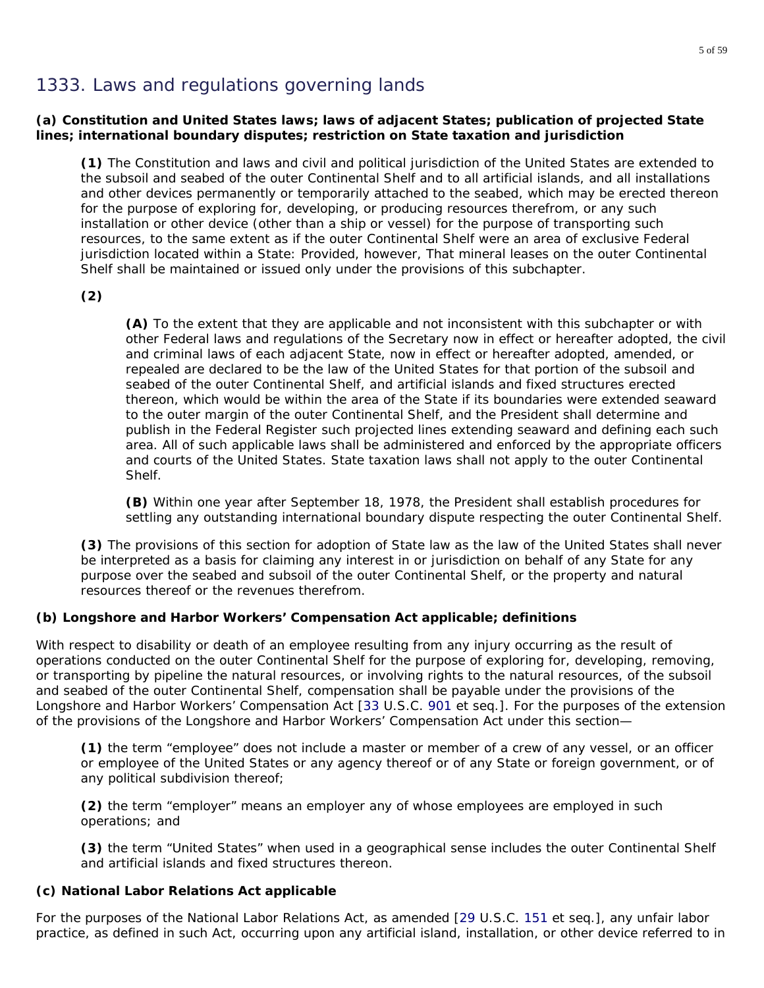### 1333. Laws and regulations governing lands

#### **(a) Constitution and United States laws; laws of adjacent States; publication of projected State lines; international boundary disputes; restriction on State taxation and jurisdiction**

**(1)** The Constitution and laws and civil and political jurisdiction of the United States are extended to the subsoil and seabed of the outer Continental Shelf and to all artificial islands, and all installations and other devices permanently or temporarily attached to the seabed, which may be erected thereon for the purpose of exploring for, developing, or producing resources therefrom, or any such installation or other device (other than a ship or vessel) for the purpose of transporting such resources, to the same extent as if the outer Continental Shelf were an area of exclusive Federal jurisdiction located within a State: Provided, however, That mineral leases on the outer Continental Shelf shall be maintained or issued only under the provisions of this subchapter.

#### **(2)**

**(A)** To the extent that they are applicable and not inconsistent with this subchapter or with other Federal laws and regulations of the Secretary now in effect or hereafter adopted, the civil and criminal laws of each adjacent State, now in effect or hereafter adopted, amended, or repealed are declared to be the law of the United States for that portion of the subsoil and seabed of the outer Continental Shelf, and artificial islands and fixed structures erected thereon, which would be within the area of the State if its boundaries were extended seaward to the outer margin of the outer Continental Shelf, and the President shall determine and publish in the Federal Register such projected lines extending seaward and defining each such area. All of such applicable laws shall be administered and enforced by the appropriate officers and courts of the United States. State taxation laws shall not apply to the outer Continental Shelf.

**(B)** Within one year after September 18, 1978, the President shall establish procedures for settling any outstanding international boundary dispute respecting the outer Continental Shelf.

**(3)** The provisions of this section for adoption of State law as the law of the United States shall never be interpreted as a basis for claiming any interest in or jurisdiction on behalf of any State for any purpose over the seabed and subsoil of the outer Continental Shelf, or the property and natural resources thereof or the revenues therefrom.

#### **(b) Longshore and Harbor Workers' Compensation Act applicable; definitions**

With respect to disability or death of an employee resulting from any injury occurring as the result of operations conducted on the outer Continental Shelf for the purpose of exploring for, developing, removing, or transporting by pipeline the natural resources, or involving rights to the natural resources, of the subsoil and seabed of the outer Continental Shelf, compensation shall be payable under the provisions of the Longshore and Harbor Workers' Compensation Act [33 U.S.C. 901 et seq.]. For the purposes of the extension of the provisions of the Longshore and Harbor Workers' Compensation Act under this section—

**(1)** the term "employee" does not include a master or member of a crew of any vessel, or an officer or employee of the United States or any agency thereof or of any State or foreign government, or of any political subdivision thereof;

**(2)** the term "employer" means an employer any of whose employees are employed in such operations; and

**(3)** the term "United States" when used in a geographical sense includes the outer Continental Shelf and artificial islands and fixed structures thereon.

#### **(c) National Labor Relations Act applicable**

For the purposes of the National Labor Relations Act, as amended [29 U.S.C. 151 et seq.], any unfair labor practice, as defined in such Act, occurring upon any artificial island, installation, or other device referred to in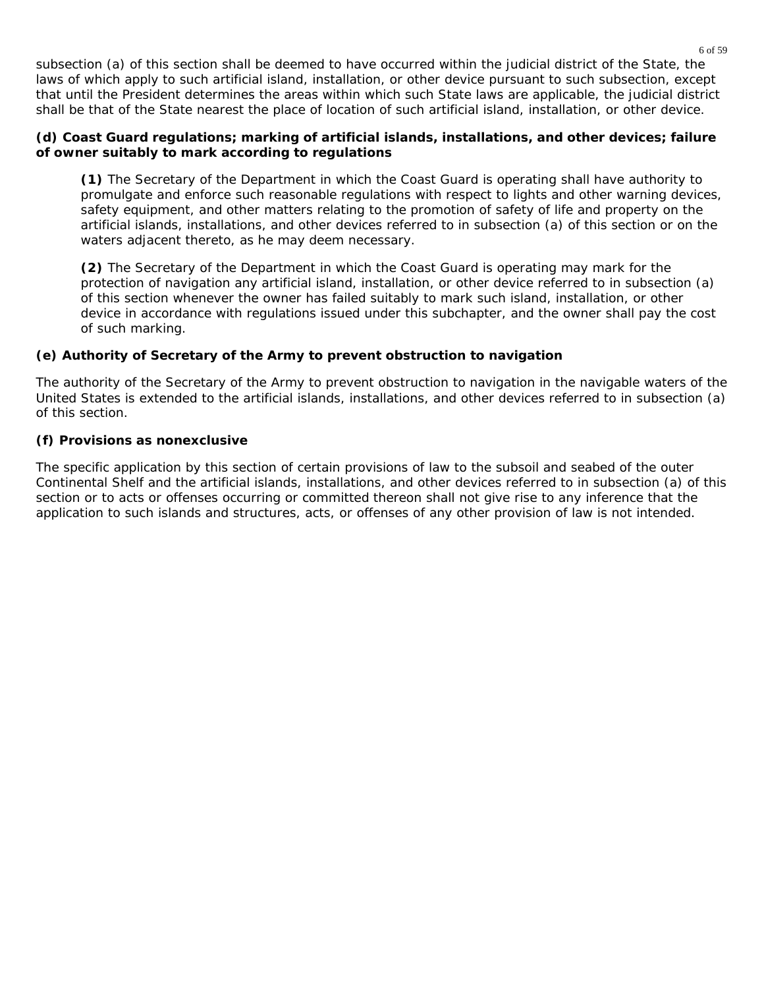subsection (a) of this section shall be deemed to have occurred within the judicial district of the State, the laws of which apply to such artificial island, installation, or other device pursuant to such subsection, except that until the President determines the areas within which such State laws are applicable, the judicial district shall be that of the State nearest the place of location of such artificial island, installation, or other device.

#### **(d) Coast Guard regulations; marking of artificial islands, installations, and other devices; failure of owner suitably to mark according to regulations**

**(1)** The Secretary of the Department in which the Coast Guard is operating shall have authority to promulgate and enforce such reasonable regulations with respect to lights and other warning devices, safety equipment, and other matters relating to the promotion of safety of life and property on the artificial islands, installations, and other devices referred to in subsection (a) of this section or on the waters adjacent thereto, as he may deem necessary.

**(2)** The Secretary of the Department in which the Coast Guard is operating may mark for the protection of navigation any artificial island, installation, or other device referred to in subsection (a) of this section whenever the owner has failed suitably to mark such island, installation, or other device in accordance with regulations issued under this subchapter, and the owner shall pay the cost of such marking.

#### **(e) Authority of Secretary of the Army to prevent obstruction to navigation**

The authority of the Secretary of the Army to prevent obstruction to navigation in the navigable waters of the United States is extended to the artificial islands, installations, and other devices referred to in subsection (a) of this section.

#### **(f) Provisions as nonexclusive**

The specific application by this section of certain provisions of law to the subsoil and seabed of the outer Continental Shelf and the artificial islands, installations, and other devices referred to in subsection (a) of this section or to acts or offenses occurring or committed thereon shall not give rise to any inference that the application to such islands and structures, acts, or offenses of any other provision of law is not intended.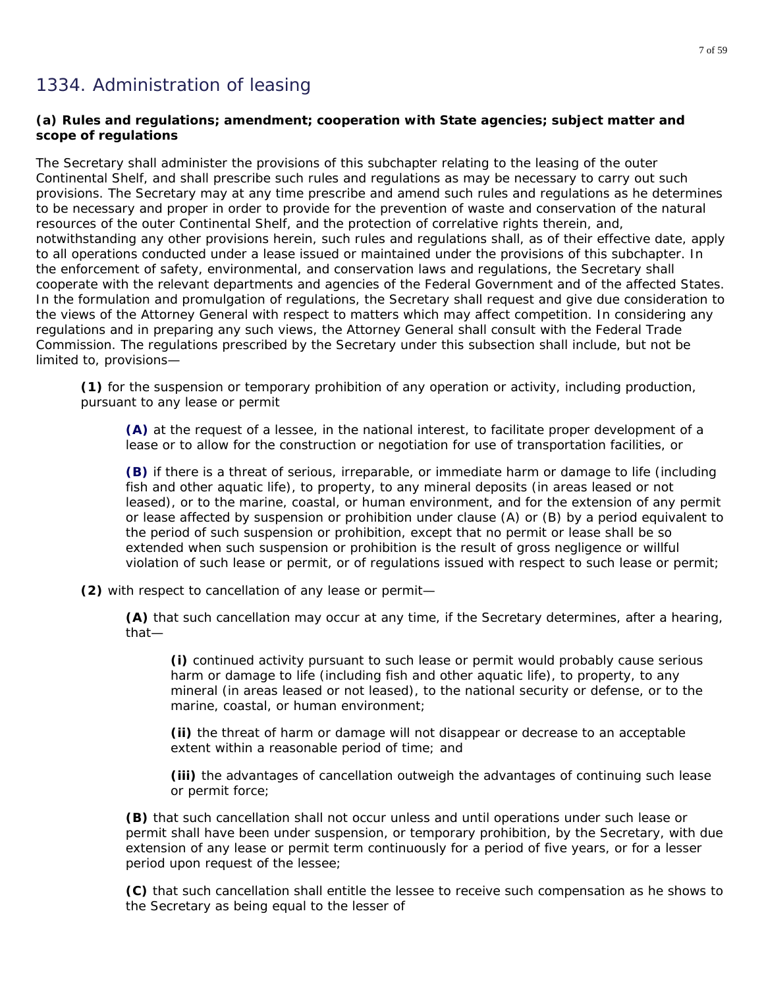### 1334. Administration of leasing

#### **(a) Rules and regulations; amendment; cooperation with State agencies; subject matter and scope of regulations**

The Secretary shall administer the provisions of this subchapter relating to the leasing of the outer Continental Shelf, and shall prescribe such rules and regulations as may be necessary to carry out such provisions. The Secretary may at any time prescribe and amend such rules and regulations as he determines to be necessary and proper in order to provide for the prevention of waste and conservation of the natural resources of the outer Continental Shelf, and the protection of correlative rights therein, and, notwithstanding any other provisions herein, such rules and regulations shall, as of their effective date, apply to all operations conducted under a lease issued or maintained under the provisions of this subchapter. In the enforcement of safety, environmental, and conservation laws and regulations, the Secretary shall cooperate with the relevant departments and agencies of the Federal Government and of the affected States. In the formulation and promulgation of regulations, the Secretary shall request and give due consideration to the views of the Attorney General with respect to matters which may affect competition. In considering any regulations and in preparing any such views, the Attorney General shall consult with the Federal Trade Commission. The regulations prescribed by the Secretary under this subsection shall include, but not be limited to, provisions—

**(1)** for the suspension or temporary prohibition of any operation or activity, including production, pursuant to any lease or permit

**(A)** at the request of a lessee, in the national interest, to facilitate proper development of a lease or to allow for the construction or negotiation for use of transportation facilities, or

**(B)** if there is a threat of serious, irreparable, or immediate harm or damage to life (including fish and other aquatic life), to property, to any mineral deposits (in areas leased or not leased), or to the marine, coastal, or human environment, and for the extension of any permit or lease affected by suspension or prohibition under clause (A) or (B) by a period equivalent to the period of such suspension or prohibition, except that no permit or lease shall be so extended when such suspension or prohibition is the result of gross negligence or willful violation of such lease or permit, or of regulations issued with respect to such lease or permit;

**(2)** with respect to cancellation of any lease or permit—

**(A)** that such cancellation may occur at any time, if the Secretary determines, after a hearing, that—

**(i)** continued activity pursuant to such lease or permit would probably cause serious harm or damage to life (including fish and other aquatic life), to property, to any mineral (in areas leased or not leased), to the national security or defense, or to the marine, coastal, or human environment;

**(ii)** the threat of harm or damage will not disappear or decrease to an acceptable extent within a reasonable period of time; and

**(iii)** the advantages of cancellation outweigh the advantages of continuing such lease or permit force;

**(B)** that such cancellation shall not occur unless and until operations under such lease or permit shall have been under suspension, or temporary prohibition, by the Secretary, with due extension of any lease or permit term continuously for a period of five years, or for a lesser period upon request of the lessee;

**(C)** that such cancellation shall entitle the lessee to receive such compensation as he shows to the Secretary as being equal to the lesser of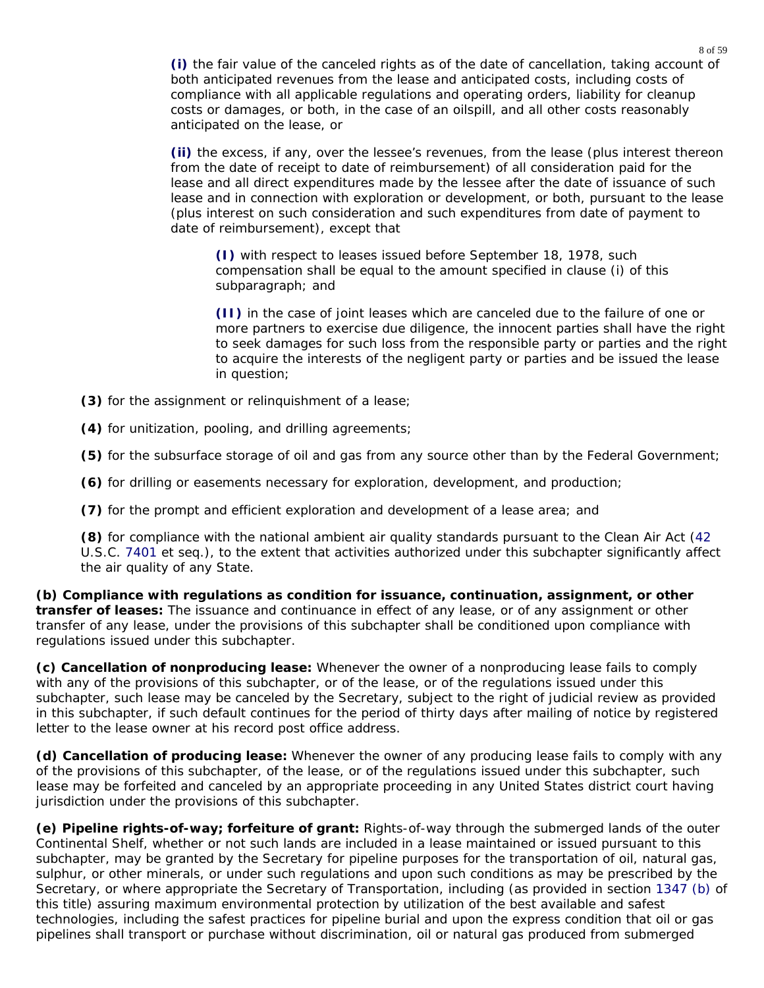**(i)** the fair value of the canceled rights as of the date of cancellation, taking account of both anticipated revenues from the lease and anticipated costs, including costs of compliance with all applicable regulations and operating orders, liability for cleanup costs or damages, or both, in the case of an oilspill, and all other costs reasonably anticipated on the lease, or

**(ii)** the excess, if any, over the lessee's revenues, from the lease (plus interest thereon from the date of receipt to date of reimbursement) of all consideration paid for the lease and all direct expenditures made by the lessee after the date of issuance of such lease and in connection with exploration or development, or both, pursuant to the lease (plus interest on such consideration and such expenditures from date of payment to date of reimbursement), except that

**(I)** with respect to leases issued before September 18, 1978, such compensation shall be equal to the amount specified in clause (i) of this subparagraph; and

**(II)** in the case of joint leases which are canceled due to the failure of one or more partners to exercise due diligence, the innocent parties shall have the right to seek damages for such loss from the responsible party or parties and the right to acquire the interests of the negligent party or parties and be issued the lease in question;

**(3)** for the assignment or relinquishment of a lease;

**(4)** for unitization, pooling, and drilling agreements;

**(5)** for the subsurface storage of oil and gas from any source other than by the Federal Government;

**(6)** for drilling or easements necessary for exploration, development, and production;

**(7)** for the prompt and efficient exploration and development of a lease area; and

**(8)** for compliance with the national ambient air quality standards pursuant to the Clean Air Act (42 U.S.C. 7401 et seq.), to the extent that activities authorized under this subchapter significantly affect the air quality of any State.

**(b) Compliance with regulations as condition for issuance, continuation, assignment, or other transfer of leases:** The issuance and continuance in effect of any lease, or of any assignment or other transfer of any lease, under the provisions of this subchapter shall be conditioned upon compliance with regulations issued under this subchapter.

**(c) Cancellation of nonproducing lease:** Whenever the owner of a nonproducing lease fails to comply with any of the provisions of this subchapter, or of the lease, or of the regulations issued under this subchapter, such lease may be canceled by the Secretary, subject to the right of judicial review as provided in this subchapter, if such default continues for the period of thirty days after mailing of notice by registered letter to the lease owner at his record post office address.

**(d) Cancellation of producing lease:** Whenever the owner of any producing lease fails to comply with any of the provisions of this subchapter, of the lease, or of the regulations issued under this subchapter, such lease may be forfeited and canceled by an appropriate proceeding in any United States district court having jurisdiction under the provisions of this subchapter.

**(e) Pipeline rights-of-way; forfeiture of grant:** Rights-of-way through the submerged lands of the outer Continental Shelf, whether or not such lands are included in a lease maintained or issued pursuant to this subchapter, may be granted by the Secretary for pipeline purposes for the transportation of oil, natural gas, sulphur, or other minerals, or under such regulations and upon such conditions as may be prescribed by the Secretary, or where appropriate the Secretary of Transportation, including (as provided in section 1347 (b) of this title) assuring maximum environmental protection by utilization of the best available and safest technologies, including the safest practices for pipeline burial and upon the express condition that oil or gas pipelines shall transport or purchase without discrimination, oil or natural gas produced from submerged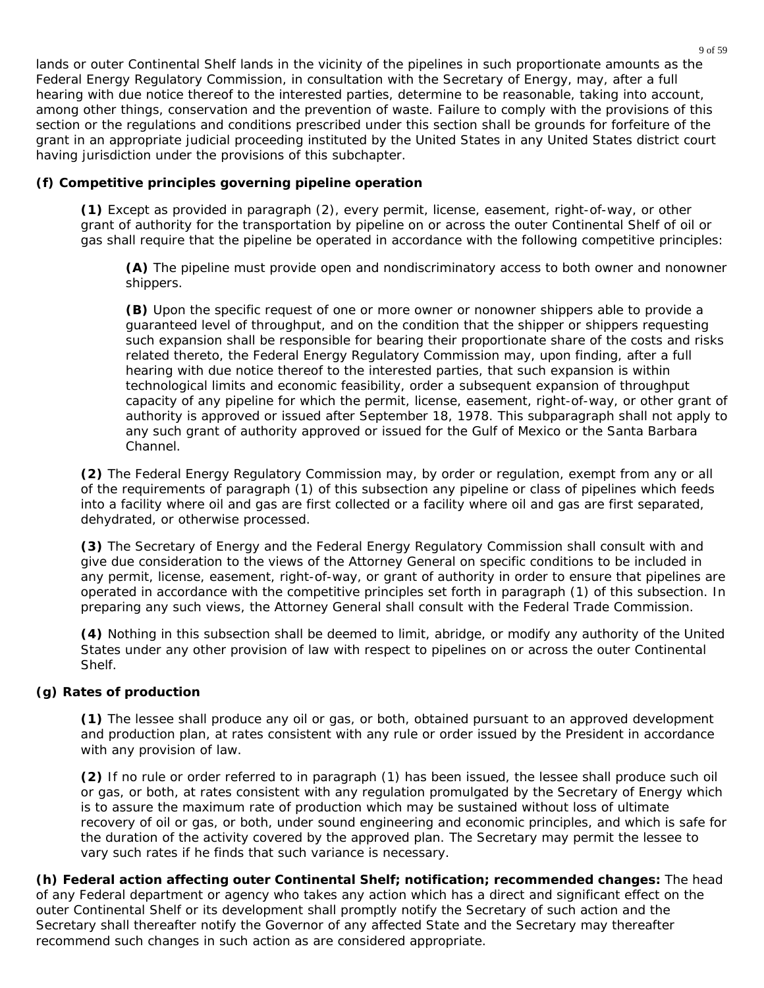lands or outer Continental Shelf lands in the vicinity of the pipelines in such proportionate amounts as the Federal Energy Regulatory Commission, in consultation with the Secretary of Energy, may, after a full hearing with due notice thereof to the interested parties, determine to be reasonable, taking into account, among other things, conservation and the prevention of waste. Failure to comply with the provisions of this section or the regulations and conditions prescribed under this section shall be grounds for forfeiture of the grant in an appropriate judicial proceeding instituted by the United States in any United States district court having jurisdiction under the provisions of this subchapter.

#### **(f) Competitive principles governing pipeline operation**

**(1)** Except as provided in paragraph (2), every permit, license, easement, right-of-way, or other grant of authority for the transportation by pipeline on or across the outer Continental Shelf of oil or gas shall require that the pipeline be operated in accordance with the following competitive principles:

**(A)** The pipeline must provide open and nondiscriminatory access to both owner and nonowner shippers.

**(B)** Upon the specific request of one or more owner or nonowner shippers able to provide a guaranteed level of throughput, and on the condition that the shipper or shippers requesting such expansion shall be responsible for bearing their proportionate share of the costs and risks related thereto, the Federal Energy Regulatory Commission may, upon finding, after a full hearing with due notice thereof to the interested parties, that such expansion is within technological limits and economic feasibility, order a subsequent expansion of throughput capacity of any pipeline for which the permit, license, easement, right-of-way, or other grant of authority is approved or issued after September 18, 1978. This subparagraph shall not apply to any such grant of authority approved or issued for the Gulf of Mexico or the Santa Barbara Channel.

**(2)** The Federal Energy Regulatory Commission may, by order or regulation, exempt from any or all of the requirements of paragraph (1) of this subsection any pipeline or class of pipelines which feeds into a facility where oil and gas are first collected or a facility where oil and gas are first separated, dehydrated, or otherwise processed.

**(3)** The Secretary of Energy and the Federal Energy Regulatory Commission shall consult with and give due consideration to the views of the Attorney General on specific conditions to be included in any permit, license, easement, right-of-way, or grant of authority in order to ensure that pipelines are operated in accordance with the competitive principles set forth in paragraph (1) of this subsection. In preparing any such views, the Attorney General shall consult with the Federal Trade Commission.

**(4)** Nothing in this subsection shall be deemed to limit, abridge, or modify any authority of the United States under any other provision of law with respect to pipelines on or across the outer Continental Shelf.

#### **(g) Rates of production**

**(1)** The lessee shall produce any oil or gas, or both, obtained pursuant to an approved development and production plan, at rates consistent with any rule or order issued by the President in accordance with any provision of law.

**(2)** If no rule or order referred to in paragraph (1) has been issued, the lessee shall produce such oil or gas, or both, at rates consistent with any regulation promulgated by the Secretary of Energy which is to assure the maximum rate of production which may be sustained without loss of ultimate recovery of oil or gas, or both, under sound engineering and economic principles, and which is safe for the duration of the activity covered by the approved plan. The Secretary may permit the lessee to vary such rates if he finds that such variance is necessary.

**(h) Federal action affecting outer Continental Shelf; notification; recommended changes:** The head of any Federal department or agency who takes any action which has a direct and significant effect on the outer Continental Shelf or its development shall promptly notify the Secretary of such action and the Secretary shall thereafter notify the Governor of any affected State and the Secretary may thereafter recommend such changes in such action as are considered appropriate.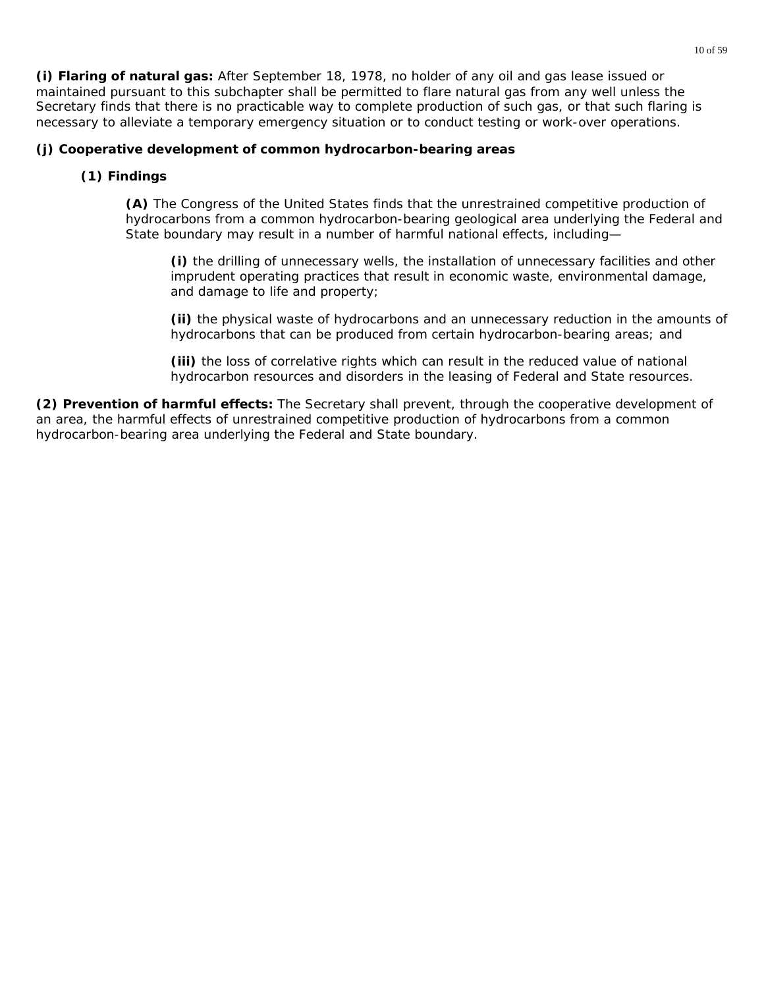**(i) Flaring of natural gas:** After September 18, 1978, no holder of any oil and gas lease issued or maintained pursuant to this subchapter shall be permitted to flare natural gas from any well unless the Secretary finds that there is no practicable way to complete production of such gas, or that such flaring is necessary to alleviate a temporary emergency situation or to conduct testing or work-over operations.

#### **(j) Cooperative development of common hydrocarbon-bearing areas**

#### **(1) Findings**

**(A)** The Congress of the United States finds that the unrestrained competitive production of hydrocarbons from a common hydrocarbon-bearing geological area underlying the Federal and State boundary may result in a number of harmful national effects, including—

**(i)** the drilling of unnecessary wells, the installation of unnecessary facilities and other imprudent operating practices that result in economic waste, environmental damage, and damage to life and property;

**(ii)** the physical waste of hydrocarbons and an unnecessary reduction in the amounts of hydrocarbons that can be produced from certain hydrocarbon-bearing areas; and

**(iii)** the loss of correlative rights which can result in the reduced value of national hydrocarbon resources and disorders in the leasing of Federal and State resources.

**(2) Prevention of harmful effects:** The Secretary shall prevent, through the cooperative development of an area, the harmful effects of unrestrained competitive production of hydrocarbons from a common hydrocarbon-bearing area underlying the Federal and State boundary.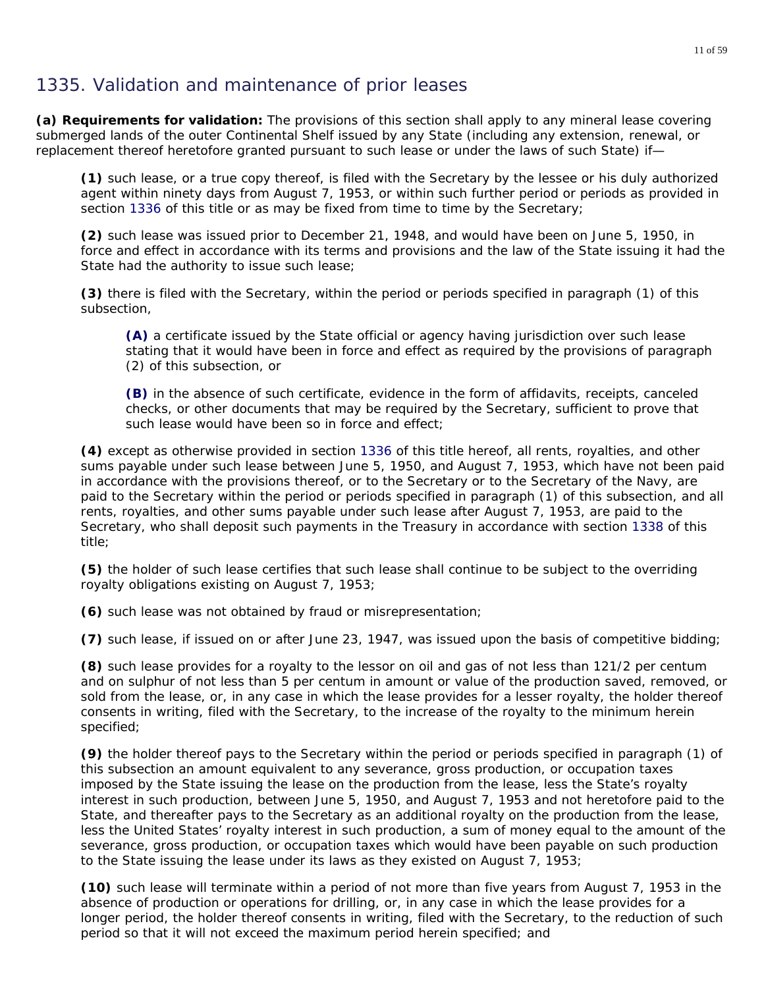### 1335. Validation and maintenance of prior leases

**(a) Requirements for validation:** The provisions of this section shall apply to any mineral lease covering submerged lands of the outer Continental Shelf issued by any State (including any extension, renewal, or replacement thereof heretofore granted pursuant to such lease or under the laws of such State) if—

**(1)** such lease, or a true copy thereof, is filed with the Secretary by the lessee or his duly authorized agent within ninety days from August 7, 1953, or within such further period or periods as provided in section 1336 of this title or as may be fixed from time to time by the Secretary;

**(2)** such lease was issued prior to December 21, 1948, and would have been on June 5, 1950, in force and effect in accordance with its terms and provisions and the law of the State issuing it had the State had the authority to issue such lease;

**(3)** there is filed with the Secretary, within the period or periods specified in paragraph (1) of this subsection,

**(A)** a certificate issued by the State official or agency having jurisdiction over such lease stating that it would have been in force and effect as required by the provisions of paragraph (2) of this subsection, or

**(B)** in the absence of such certificate, evidence in the form of affidavits, receipts, canceled checks, or other documents that may be required by the Secretary, sufficient to prove that such lease would have been so in force and effect;

**(4)** except as otherwise provided in section 1336 of this title hereof, all rents, royalties, and other sums payable under such lease between June 5, 1950, and August 7, 1953, which have not been paid in accordance with the provisions thereof, or to the Secretary or to the Secretary of the Navy, are paid to the Secretary within the period or periods specified in paragraph (1) of this subsection, and all rents, royalties, and other sums payable under such lease after August 7, 1953, are paid to the Secretary, who shall deposit such payments in the Treasury in accordance with section 1338 of this title;

**(5)** the holder of such lease certifies that such lease shall continue to be subject to the overriding royalty obligations existing on August 7, 1953;

**(6)** such lease was not obtained by fraud or misrepresentation;

**(7)** such lease, if issued on or after June 23, 1947, was issued upon the basis of competitive bidding;

**(8)** such lease provides for a royalty to the lessor on oil and gas of not less than 121/2 per centum and on sulphur of not less than 5 per centum in amount or value of the production saved, removed, or sold from the lease, or, in any case in which the lease provides for a lesser royalty, the holder thereof consents in writing, filed with the Secretary, to the increase of the royalty to the minimum herein specified;

**(9)** the holder thereof pays to the Secretary within the period or periods specified in paragraph (1) of this subsection an amount equivalent to any severance, gross production, or occupation taxes imposed by the State issuing the lease on the production from the lease, less the State's royalty interest in such production, between June 5, 1950, and August 7, 1953 and not heretofore paid to the State, and thereafter pays to the Secretary as an additional royalty on the production from the lease, less the United States' royalty interest in such production, a sum of money equal to the amount of the severance, gross production, or occupation taxes which would have been payable on such production to the State issuing the lease under its laws as they existed on August 7, 1953;

**(10)** such lease will terminate within a period of not more than five years from August 7, 1953 in the absence of production or operations for drilling, or, in any case in which the lease provides for a longer period, the holder thereof consents in writing, filed with the Secretary, to the reduction of such period so that it will not exceed the maximum period herein specified; and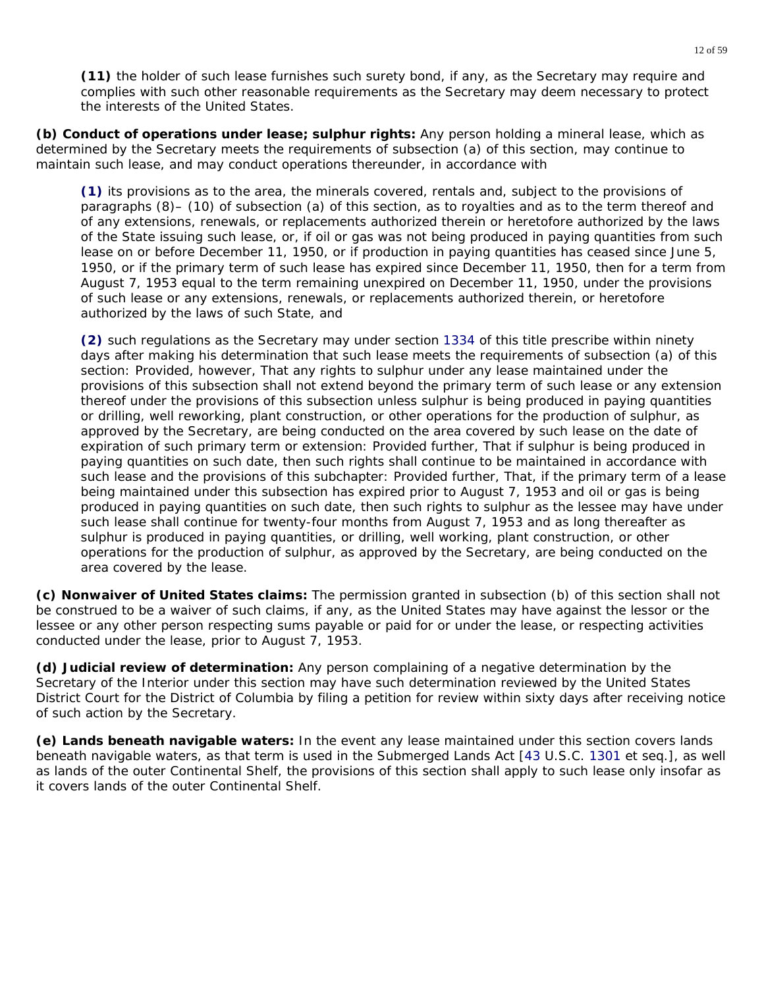**(11)** the holder of such lease furnishes such surety bond, if any, as the Secretary may require and complies with such other reasonable requirements as the Secretary may deem necessary to protect the interests of the United States.

**(b) Conduct of operations under lease; sulphur rights:** Any person holding a mineral lease, which as determined by the Secretary meets the requirements of subsection (a) of this section, may continue to maintain such lease, and may conduct operations thereunder, in accordance with

**(1)** its provisions as to the area, the minerals covered, rentals and, subject to the provisions of paragraphs (8)– (10) of subsection (a) of this section, as to royalties and as to the term thereof and of any extensions, renewals, or replacements authorized therein or heretofore authorized by the laws of the State issuing such lease, or, if oil or gas was not being produced in paying quantities from such lease on or before December 11, 1950, or if production in paying quantities has ceased since June 5, 1950, or if the primary term of such lease has expired since December 11, 1950, then for a term from August 7, 1953 equal to the term remaining unexpired on December 11, 1950, under the provisions of such lease or any extensions, renewals, or replacements authorized therein, or heretofore authorized by the laws of such State, and

**(2)** such regulations as the Secretary may under section 1334 of this title prescribe within ninety days after making his determination that such lease meets the requirements of subsection (a) of this section: Provided, however, That any rights to sulphur under any lease maintained under the provisions of this subsection shall not extend beyond the primary term of such lease or any extension thereof under the provisions of this subsection unless sulphur is being produced in paying quantities or drilling, well reworking, plant construction, or other operations for the production of sulphur, as approved by the Secretary, are being conducted on the area covered by such lease on the date of expiration of such primary term or extension: Provided further, That if sulphur is being produced in paying quantities on such date, then such rights shall continue to be maintained in accordance with such lease and the provisions of this subchapter: Provided further, That, if the primary term of a lease being maintained under this subsection has expired prior to August 7, 1953 and oil or gas is being produced in paying quantities on such date, then such rights to sulphur as the lessee may have under such lease shall continue for twenty-four months from August 7, 1953 and as long thereafter as sulphur is produced in paying quantities, or drilling, well working, plant construction, or other operations for the production of sulphur, as approved by the Secretary, are being conducted on the area covered by the lease.

**(c) Nonwaiver of United States claims:** The permission granted in subsection (b) of this section shall not be construed to be a waiver of such claims, if any, as the United States may have against the lessor or the lessee or any other person respecting sums payable or paid for or under the lease, or respecting activities conducted under the lease, prior to August 7, 1953.

**(d) Judicial review of determination:** Any person complaining of a negative determination by the Secretary of the Interior under this section may have such determination reviewed by the United States District Court for the District of Columbia by filing a petition for review within sixty days after receiving notice of such action by the Secretary.

**(e) Lands beneath navigable waters:** In the event any lease maintained under this section covers lands beneath navigable waters, as that term is used in the Submerged Lands Act [43 U.S.C. 1301 et seq.], as well as lands of the outer Continental Shelf, the provisions of this section shall apply to such lease only insofar as it covers lands of the outer Continental Shelf.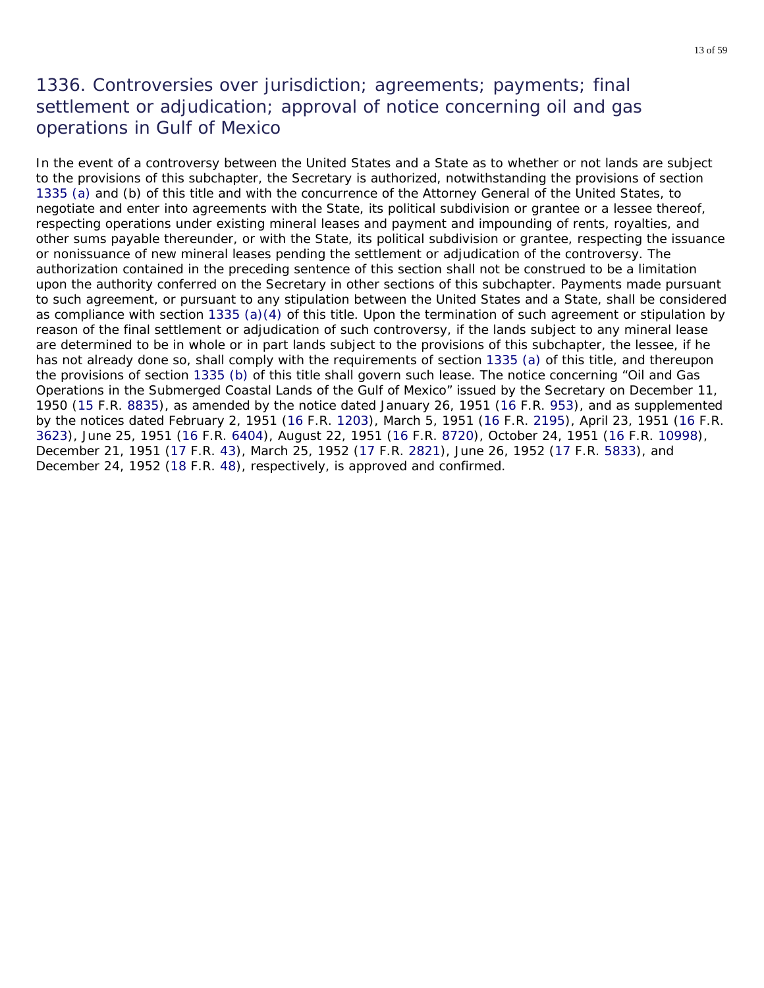## 1336. Controversies over jurisdiction; agreements; payments; final settlement or adjudication; approval of notice concerning oil and gas operations in Gulf of Mexico

In the event of a controversy between the United States and a State as to whether or not lands are subject to the provisions of this subchapter, the Secretary is authorized, notwithstanding the provisions of section 1335 (a) and (b) of this title and with the concurrence of the Attorney General of the United States, to negotiate and enter into agreements with the State, its political subdivision or grantee or a lessee thereof, respecting operations under existing mineral leases and payment and impounding of rents, royalties, and other sums payable thereunder, or with the State, its political subdivision or grantee, respecting the issuance or nonissuance of new mineral leases pending the settlement or adjudication of the controversy. The authorization contained in the preceding sentence of this section shall not be construed to be a limitation upon the authority conferred on the Secretary in other sections of this subchapter. Payments made pursuant to such agreement, or pursuant to any stipulation between the United States and a State, shall be considered as compliance with section 1335 (a)(4) of this title. Upon the termination of such agreement or stipulation by reason of the final settlement or adjudication of such controversy, if the lands subject to any mineral lease are determined to be in whole or in part lands subject to the provisions of this subchapter, the lessee, if he has not already done so, shall comply with the requirements of section 1335 (a) of this title, and thereupon the provisions of section 1335 (b) of this title shall govern such lease. The notice concerning "Oil and Gas Operations in the Submerged Coastal Lands of the Gulf of Mexico" issued by the Secretary on December 11, 1950 (15 F.R. 8835), as amended by the notice dated January 26, 1951 (16 F.R. 953), and as supplemented by the notices dated February 2, 1951 (16 F.R. 1203), March 5, 1951 (16 F.R. 2195), April 23, 1951 (16 F.R. 3623), June 25, 1951 (16 F.R. 6404), August 22, 1951 (16 F.R. 8720), October 24, 1951 (16 F.R. 10998), December 21, 1951 (17 F.R. 43), March 25, 1952 (17 F.R. 2821), June 26, 1952 (17 F.R. 5833), and December 24, 1952 (18 F.R. 48), respectively, is approved and confirmed.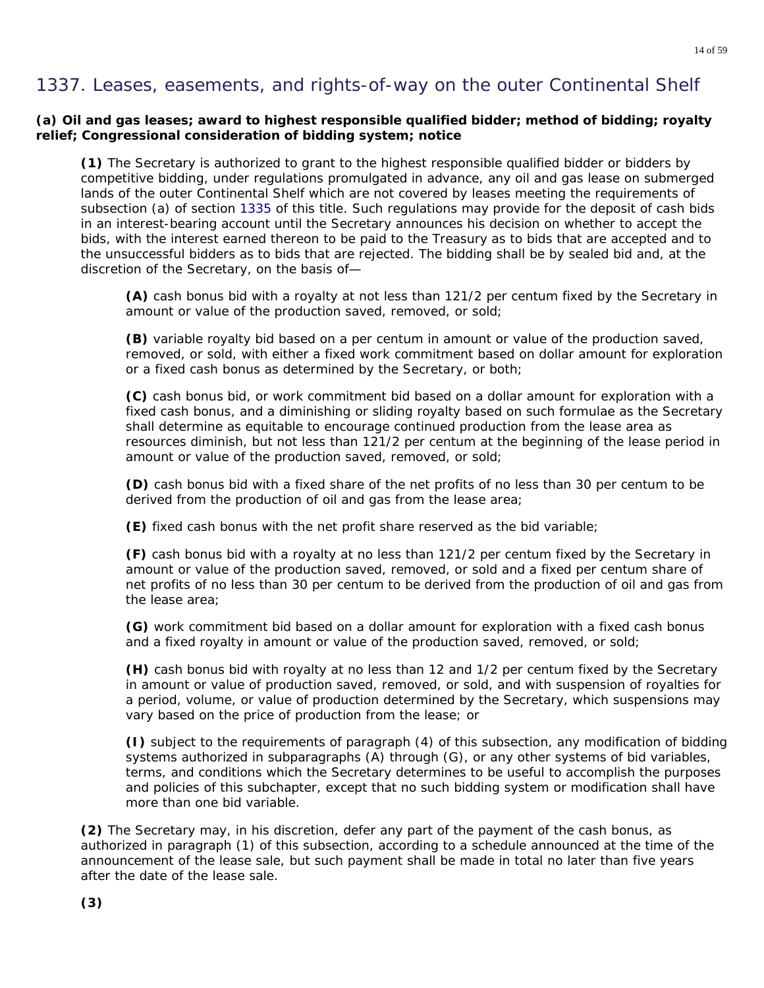## 1337. Leases, easements, and rights-of-way on the outer Continental Shelf

#### **(a) Oil and gas leases; award to highest responsible qualified bidder; method of bidding; royalty relief; Congressional consideration of bidding system; notice**

**(1)** The Secretary is authorized to grant to the highest responsible qualified bidder or bidders by competitive bidding, under regulations promulgated in advance, any oil and gas lease on submerged lands of the outer Continental Shelf which are not covered by leases meeting the requirements of subsection (a) of section 1335 of this title. Such regulations may provide for the deposit of cash bids in an interest-bearing account until the Secretary announces his decision on whether to accept the bids, with the interest earned thereon to be paid to the Treasury as to bids that are accepted and to the unsuccessful bidders as to bids that are rejected. The bidding shall be by sealed bid and, at the discretion of the Secretary, on the basis of—

**(A)** cash bonus bid with a royalty at not less than 121/2 per centum fixed by the Secretary in amount or value of the production saved, removed, or sold;

**(B)** variable royalty bid based on a per centum in amount or value of the production saved, removed, or sold, with either a fixed work commitment based on dollar amount for exploration or a fixed cash bonus as determined by the Secretary, or both;

**(C)** cash bonus bid, or work commitment bid based on a dollar amount for exploration with a fixed cash bonus, and a diminishing or sliding royalty based on such formulae as the Secretary shall determine as equitable to encourage continued production from the lease area as resources diminish, but not less than 121/2 per centum at the beginning of the lease period in amount or value of the production saved, removed, or sold;

**(D)** cash bonus bid with a fixed share of the net profits of no less than 30 per centum to be derived from the production of oil and gas from the lease area;

**(E)** fixed cash bonus with the net profit share reserved as the bid variable;

**(F)** cash bonus bid with a royalty at no less than 121/2 per centum fixed by the Secretary in amount or value of the production saved, removed, or sold and a fixed per centum share of net profits of no less than 30 per centum to be derived from the production of oil and gas from the lease area;

**(G)** work commitment bid based on a dollar amount for exploration with a fixed cash bonus and a fixed royalty in amount or value of the production saved, removed, or sold;

**(H)** cash bonus bid with royalty at no less than 12 and 1/2 per centum fixed by the Secretary in amount or value of production saved, removed, or sold, and with suspension of royalties for a period, volume, or value of production determined by the Secretary, which suspensions may vary based on the price of production from the lease; or

**(I)** subject to the requirements of paragraph (4) of this subsection, any modification of bidding systems authorized in subparagraphs (A) through (G), or any other systems of bid variables, terms, and conditions which the Secretary determines to be useful to accomplish the purposes and policies of this subchapter, except that no such bidding system or modification shall have more than one bid variable.

**(2)** The Secretary may, in his discretion, defer any part of the payment of the cash bonus, as authorized in paragraph (1) of this subsection, according to a schedule announced at the time of the announcement of the lease sale, but such payment shall be made in total no later than five years after the date of the lease sale.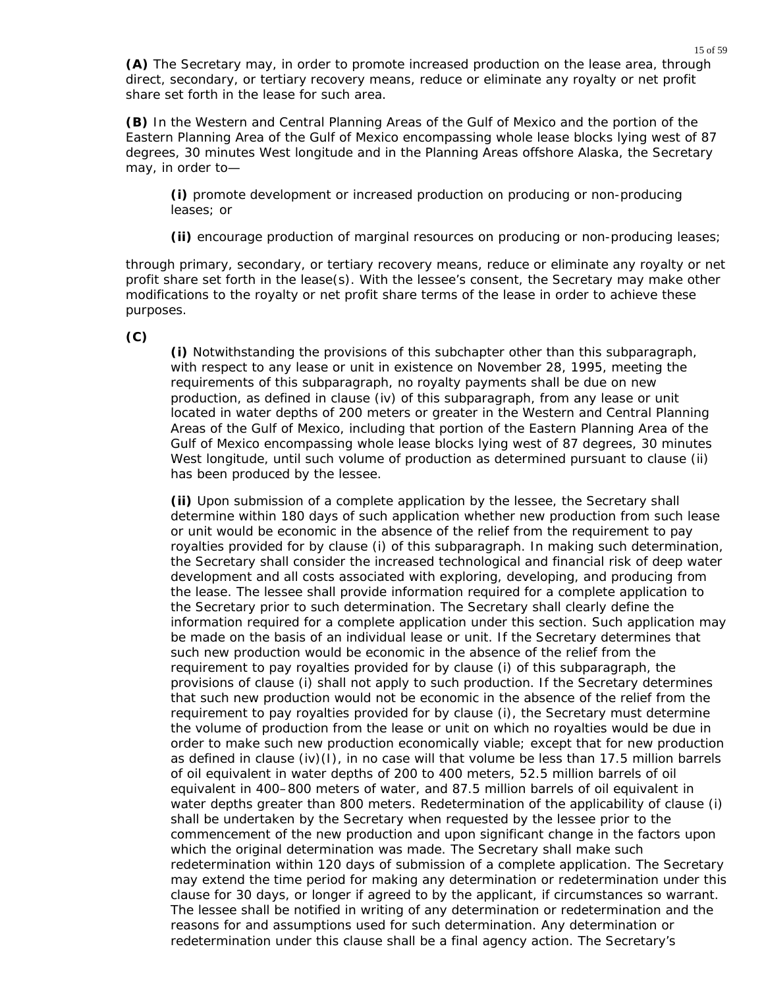**(A)** The Secretary may, in order to promote increased production on the lease area, through direct, secondary, or tertiary recovery means, reduce or eliminate any royalty or net profit share set forth in the lease for such area.

**(B)** In the Western and Central Planning Areas of the Gulf of Mexico and the portion of the Eastern Planning Area of the Gulf of Mexico encompassing whole lease blocks lying west of 87 degrees, 30 minutes West longitude and in the Planning Areas offshore Alaska, the Secretary may, in order to—

**(i)** promote development or increased production on producing or non-producing leases; or

**(ii)** encourage production of marginal resources on producing or non-producing leases;

through primary, secondary, or tertiary recovery means, reduce or eliminate any royalty or net profit share set forth in the lease(s). With the lessee's consent, the Secretary may make other modifications to the royalty or net profit share terms of the lease in order to achieve these purposes.

**(C)**

**(i)** Notwithstanding the provisions of this subchapter other than this subparagraph, with respect to any lease or unit in existence on November 28, 1995, meeting the requirements of this subparagraph, no royalty payments shall be due on new production, as defined in clause (iv) of this subparagraph, from any lease or unit located in water depths of 200 meters or greater in the Western and Central Planning Areas of the Gulf of Mexico, including that portion of the Eastern Planning Area of the Gulf of Mexico encompassing whole lease blocks lying west of 87 degrees, 30 minutes West longitude, until such volume of production as determined pursuant to clause (ii) has been produced by the lessee.

**(ii)** Upon submission of a complete application by the lessee, the Secretary shall determine within 180 days of such application whether new production from such lease or unit would be economic in the absence of the relief from the requirement to pay royalties provided for by clause (i) of this subparagraph. In making such determination, the Secretary shall consider the increased technological and financial risk of deep water development and all costs associated with exploring, developing, and producing from the lease. The lessee shall provide information required for a complete application to the Secretary prior to such determination. The Secretary shall clearly define the information required for a complete application under this section. Such application may be made on the basis of an individual lease or unit. If the Secretary determines that such new production would be economic in the absence of the relief from the requirement to pay royalties provided for by clause (i) of this subparagraph, the provisions of clause (i) shall not apply to such production. If the Secretary determines that such new production would not be economic in the absence of the relief from the requirement to pay royalties provided for by clause (i), the Secretary must determine the volume of production from the lease or unit on which no royalties would be due in order to make such new production economically viable; except that for new production as defined in clause (iv)(I), in no case will that volume be less than 17.5 million barrels of oil equivalent in water depths of 200 to 400 meters, 52.5 million barrels of oil equivalent in 400–800 meters of water, and 87.5 million barrels of oil equivalent in water depths greater than 800 meters. Redetermination of the applicability of clause (i) shall be undertaken by the Secretary when requested by the lessee prior to the commencement of the new production and upon significant change in the factors upon which the original determination was made. The Secretary shall make such redetermination within 120 days of submission of a complete application. The Secretary may extend the time period for making any determination or redetermination under this clause for 30 days, or longer if agreed to by the applicant, if circumstances so warrant. The lessee shall be notified in writing of any determination or redetermination and the reasons for and assumptions used for such determination. Any determination or redetermination under this clause shall be a final agency action. The Secretary's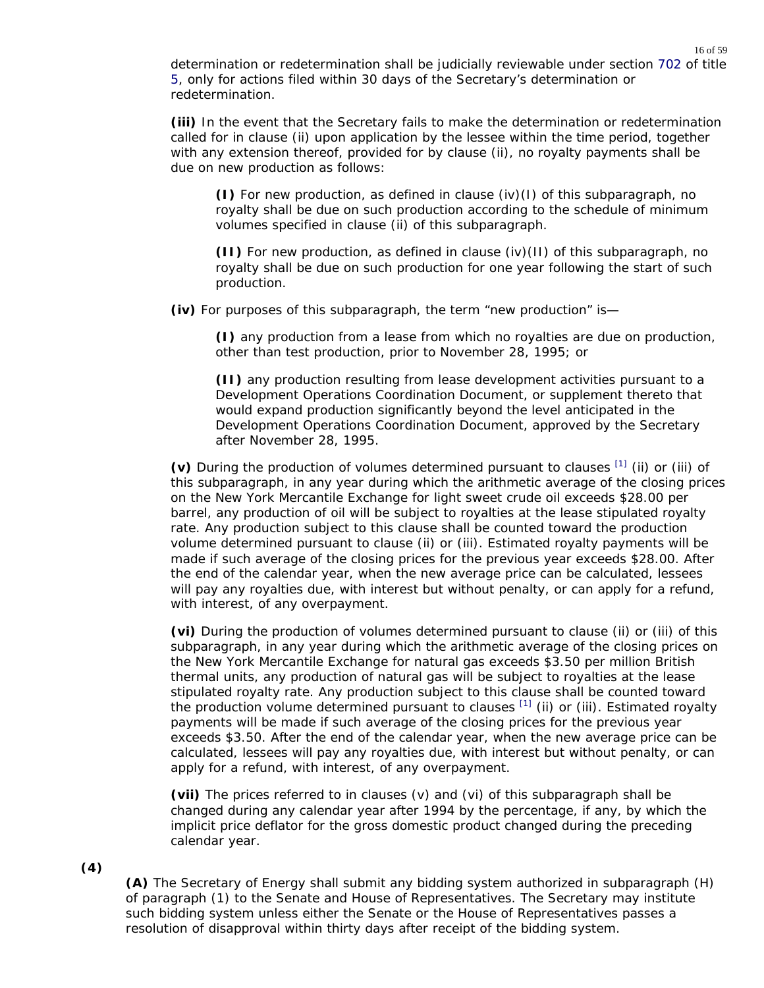determination or redetermination shall be judicially reviewable under section 702 of title 5, only for actions filed within 30 days of the Secretary's determination or redetermination.

16 of 59

**(iii)** In the event that the Secretary fails to make the determination or redetermination called for in clause (ii) upon application by the lessee within the time period, together with any extension thereof, provided for by clause (ii), no royalty payments shall be due on new production as follows:

**(I)** For new production, as defined in clause (iv)(I) of this subparagraph, no royalty shall be due on such production according to the schedule of minimum volumes specified in clause (ii) of this subparagraph.

**(II)** For new production, as defined in clause (iv)(II) of this subparagraph, no royalty shall be due on such production for one year following the start of such production.

**(iv)** For purposes of this subparagraph, the term "new production" is—

**(I)** any production from a lease from which no royalties are due on production, other than test production, prior to November 28, 1995; or

**(II)** any production resulting from lease development activities pursuant to a Development Operations Coordination Document, or supplement thereto that would expand production significantly beyond the level anticipated in the Development Operations Coordination Document, approved by the Secretary after November 28, 1995.

**(v)** During the production of volumes determined pursuant to clauses [1] (ii) or (iii) of this subparagraph, in any year during which the arithmetic average of the closing prices on the New York Mercantile Exchange for light sweet crude oil exceeds \$28.00 per barrel, any production of oil will be subject to royalties at the lease stipulated royalty rate. Any production subject to this clause shall be counted toward the production volume determined pursuant to clause (ii) or (iii). Estimated royalty payments will be made if such average of the closing prices for the previous year exceeds \$28.00. After the end of the calendar year, when the new average price can be calculated, lessees will pay any royalties due, with interest but without penalty, or can apply for a refund, with interest, of any overpayment.

**(vi)** During the production of volumes determined pursuant to clause (ii) or (iii) of this subparagraph, in any year during which the arithmetic average of the closing prices on the New York Mercantile Exchange for natural gas exceeds \$3.50 per million British thermal units, any production of natural gas will be subject to royalties at the lease stipulated royalty rate. Any production subject to this clause shall be counted toward the production volume determined pursuant to clauses  $[1]$  (ii) or (iii). Estimated royalty payments will be made if such average of the closing prices for the previous year exceeds \$3.50. After the end of the calendar year, when the new average price can be calculated, lessees will pay any royalties due, with interest but without penalty, or can apply for a refund, with interest, of any overpayment.

**(vii)** The prices referred to in clauses (v) and (vi) of this subparagraph shall be changed during any calendar year after 1994 by the percentage, if any, by which the implicit price deflator for the gross domestic product changed during the preceding calendar year.

**(4)**

**(A)** The Secretary of Energy shall submit any bidding system authorized in subparagraph (H) of paragraph (1) to the Senate and House of Representatives. The Secretary may institute such bidding system unless either the Senate or the House of Representatives passes a resolution of disapproval within thirty days after receipt of the bidding system.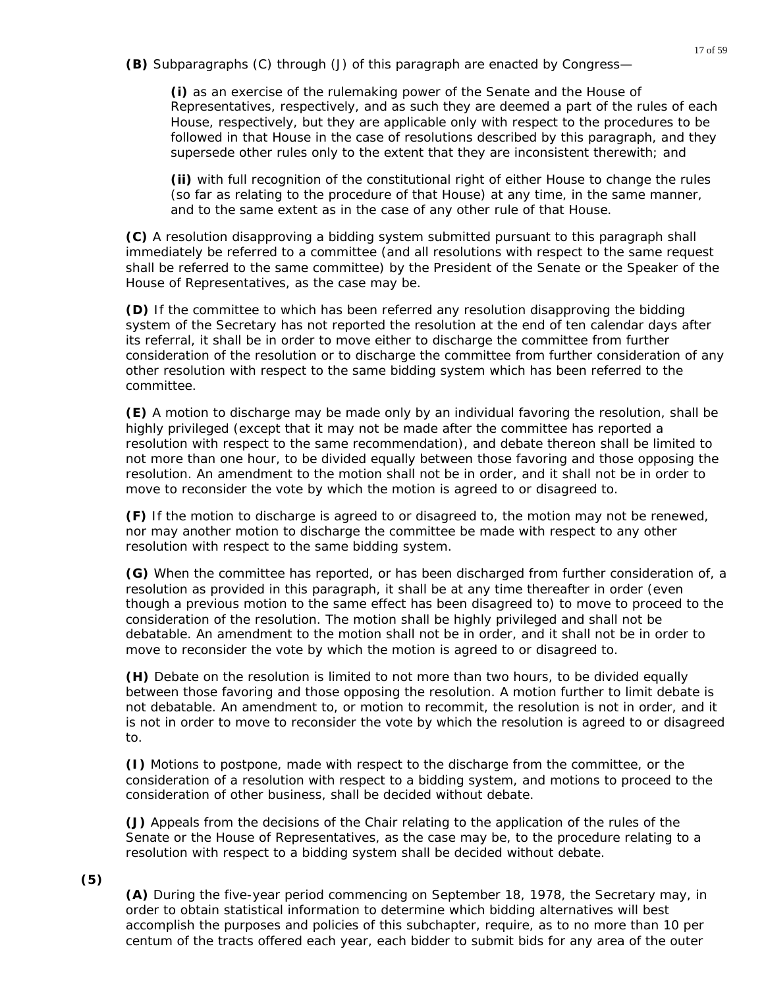**(B)** Subparagraphs (C) through (J) of this paragraph are enacted by Congress—

**(i)** as an exercise of the rulemaking power of the Senate and the House of Representatives, respectively, and as such they are deemed a part of the rules of each House, respectively, but they are applicable only with respect to the procedures to be followed in that House in the case of resolutions described by this paragraph, and they supersede other rules only to the extent that they are inconsistent therewith; and

**(ii)** with full recognition of the constitutional right of either House to change the rules (so far as relating to the procedure of that House) at any time, in the same manner, and to the same extent as in the case of any other rule of that House.

**(C)** A resolution disapproving a bidding system submitted pursuant to this paragraph shall immediately be referred to a committee (and all resolutions with respect to the same request shall be referred to the same committee) by the President of the Senate or the Speaker of the House of Representatives, as the case may be.

**(D)** If the committee to which has been referred any resolution disapproving the bidding system of the Secretary has not reported the resolution at the end of ten calendar days after its referral, it shall be in order to move either to discharge the committee from further consideration of the resolution or to discharge the committee from further consideration of any other resolution with respect to the same bidding system which has been referred to the committee.

**(E)** A motion to discharge may be made only by an individual favoring the resolution, shall be highly privileged (except that it may not be made after the committee has reported a resolution with respect to the same recommendation), and debate thereon shall be limited to not more than one hour, to be divided equally between those favoring and those opposing the resolution. An amendment to the motion shall not be in order, and it shall not be in order to move to reconsider the vote by which the motion is agreed to or disagreed to.

**(F)** If the motion to discharge is agreed to or disagreed to, the motion may not be renewed, nor may another motion to discharge the committee be made with respect to any other resolution with respect to the same bidding system.

**(G)** When the committee has reported, or has been discharged from further consideration of, a resolution as provided in this paragraph, it shall be at any time thereafter in order (even though a previous motion to the same effect has been disagreed to) to move to proceed to the consideration of the resolution. The motion shall be highly privileged and shall not be debatable. An amendment to the motion shall not be in order, and it shall not be in order to move to reconsider the vote by which the motion is agreed to or disagreed to.

**(H)** Debate on the resolution is limited to not more than two hours, to be divided equally between those favoring and those opposing the resolution. A motion further to limit debate is not debatable. An amendment to, or motion to recommit, the resolution is not in order, and it is not in order to move to reconsider the vote by which the resolution is agreed to or disagreed to.

**(I)** Motions to postpone, made with respect to the discharge from the committee, or the consideration of a resolution with respect to a bidding system, and motions to proceed to the consideration of other business, shall be decided without debate.

**(J)** Appeals from the decisions of the Chair relating to the application of the rules of the Senate or the House of Representatives, as the case may be, to the procedure relating to a resolution with respect to a bidding system shall be decided without debate.

#### **(5)**

**(A)** During the five-year period commencing on September 18, 1978, the Secretary may, in order to obtain statistical information to determine which bidding alternatives will best accomplish the purposes and policies of this subchapter, require, as to no more than 10 per centum of the tracts offered each year, each bidder to submit bids for any area of the outer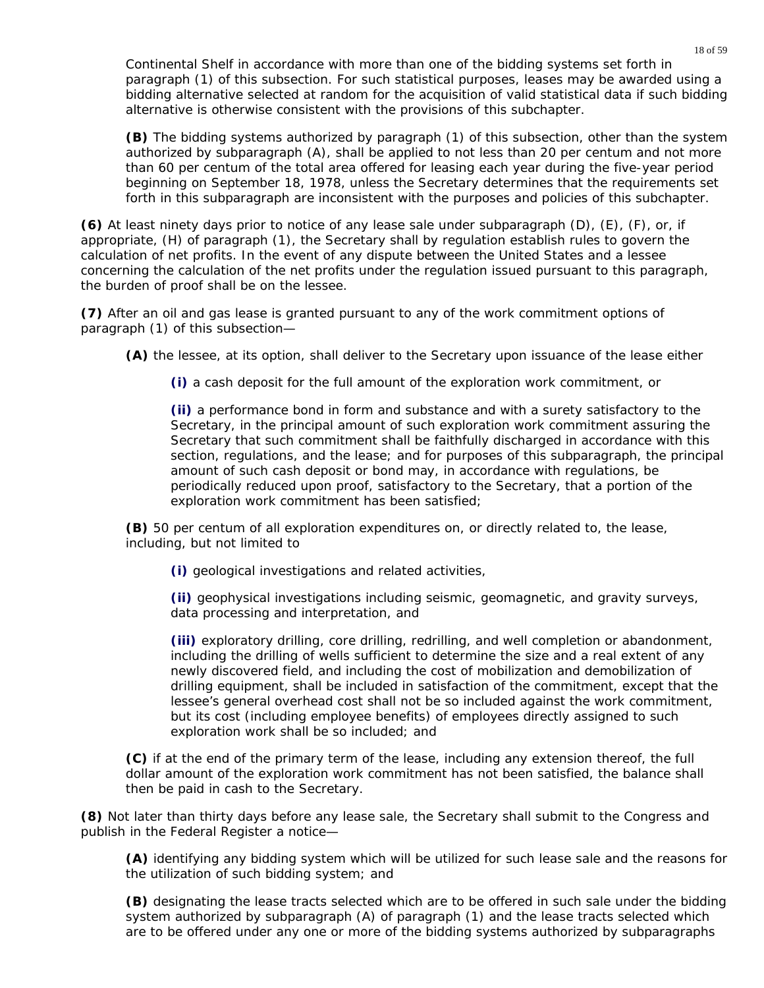Continental Shelf in accordance with more than one of the bidding systems set forth in paragraph (1) of this subsection. For such statistical purposes, leases may be awarded using a bidding alternative selected at random for the acquisition of valid statistical data if such bidding alternative is otherwise consistent with the provisions of this subchapter.

**(B)** The bidding systems authorized by paragraph (1) of this subsection, other than the system authorized by subparagraph (A), shall be applied to not less than 20 per centum and not more than 60 per centum of the total area offered for leasing each year during the five-year period beginning on September 18, 1978, unless the Secretary determines that the requirements set forth in this subparagraph are inconsistent with the purposes and policies of this subchapter.

**(6)** At least ninety days prior to notice of any lease sale under subparagraph (D), (E), (F), or, if appropriate, (H) of paragraph (1), the Secretary shall by regulation establish rules to govern the calculation of net profits. In the event of any dispute between the United States and a lessee concerning the calculation of the net profits under the regulation issued pursuant to this paragraph, the burden of proof shall be on the lessee.

**(7)** After an oil and gas lease is granted pursuant to any of the work commitment options of paragraph (1) of this subsection—

**(A)** the lessee, at its option, shall deliver to the Secretary upon issuance of the lease either

**(i)** a cash deposit for the full amount of the exploration work commitment, or

**(ii)** a performance bond in form and substance and with a surety satisfactory to the Secretary, in the principal amount of such exploration work commitment assuring the Secretary that such commitment shall be faithfully discharged in accordance with this section, regulations, and the lease; and for purposes of this subparagraph, the principal amount of such cash deposit or bond may, in accordance with regulations, be periodically reduced upon proof, satisfactory to the Secretary, that a portion of the exploration work commitment has been satisfied;

**(B)** 50 per centum of all exploration expenditures on, or directly related to, the lease, including, but not limited to

**(i)** geological investigations and related activities,

**(ii)** geophysical investigations including seismic, geomagnetic, and gravity surveys, data processing and interpretation, and

**(iii)** exploratory drilling, core drilling, redrilling, and well completion or abandonment, including the drilling of wells sufficient to determine the size and a real extent of any newly discovered field, and including the cost of mobilization and demobilization of drilling equipment, shall be included in satisfaction of the commitment, except that the lessee's general overhead cost shall not be so included against the work commitment, but its cost (including employee benefits) of employees directly assigned to such exploration work shall be so included; and

**(C)** if at the end of the primary term of the lease, including any extension thereof, the full dollar amount of the exploration work commitment has not been satisfied, the balance shall then be paid in cash to the Secretary.

**(8)** Not later than thirty days before any lease sale, the Secretary shall submit to the Congress and publish in the Federal Register a notice—

**(A)** identifying any bidding system which will be utilized for such lease sale and the reasons for the utilization of such bidding system; and

**(B)** designating the lease tracts selected which are to be offered in such sale under the bidding system authorized by subparagraph (A) of paragraph (1) and the lease tracts selected which are to be offered under any one or more of the bidding systems authorized by subparagraphs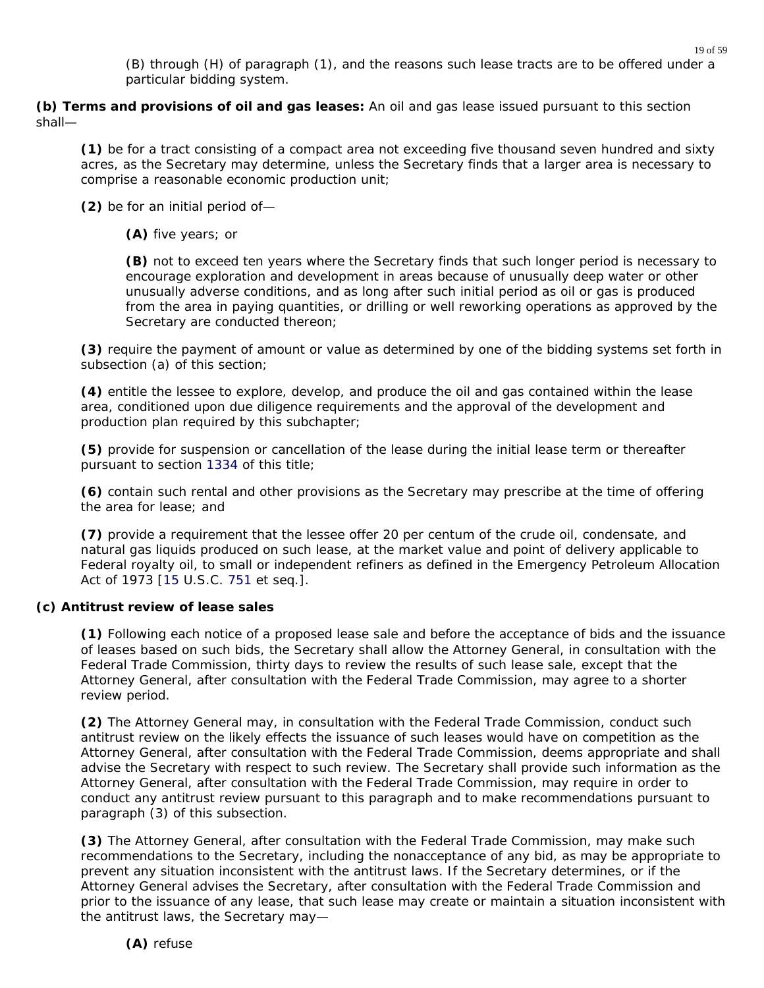(B) through (H) of paragraph (1), and the reasons such lease tracts are to be offered under a particular bidding system.

#### **(b) Terms and provisions of oil and gas leases:** An oil and gas lease issued pursuant to this section shall—

**(1)** be for a tract consisting of a compact area not exceeding five thousand seven hundred and sixty acres, as the Secretary may determine, unless the Secretary finds that a larger area is necessary to comprise a reasonable economic production unit;

**(2)** be for an initial period of—

**(A)** five years; or

**(B)** not to exceed ten years where the Secretary finds that such longer period is necessary to encourage exploration and development in areas because of unusually deep water or other unusually adverse conditions, and as long after such initial period as oil or gas is produced from the area in paying quantities, or drilling or well reworking operations as approved by the Secretary are conducted thereon;

**(3)** require the payment of amount or value as determined by one of the bidding systems set forth in subsection (a) of this section;

**(4)** entitle the lessee to explore, develop, and produce the oil and gas contained within the lease area, conditioned upon due diligence requirements and the approval of the development and production plan required by this subchapter;

**(5)** provide for suspension or cancellation of the lease during the initial lease term or thereafter pursuant to section 1334 of this title;

**(6)** contain such rental and other provisions as the Secretary may prescribe at the time of offering the area for lease; and

**(7)** provide a requirement that the lessee offer 20 per centum of the crude oil, condensate, and natural gas liquids produced on such lease, at the market value and point of delivery applicable to Federal royalty oil, to small or independent refiners as defined in the Emergency Petroleum Allocation Act of 1973 [15 U.S.C. 751 et seq.].

#### **(c) Antitrust review of lease sales**

**(1)** Following each notice of a proposed lease sale and before the acceptance of bids and the issuance of leases based on such bids, the Secretary shall allow the Attorney General, in consultation with the Federal Trade Commission, thirty days to review the results of such lease sale, except that the Attorney General, after consultation with the Federal Trade Commission, may agree to a shorter review period.

**(2)** The Attorney General may, in consultation with the Federal Trade Commission, conduct such antitrust review on the likely effects the issuance of such leases would have on competition as the Attorney General, after consultation with the Federal Trade Commission, deems appropriate and shall advise the Secretary with respect to such review. The Secretary shall provide such information as the Attorney General, after consultation with the Federal Trade Commission, may require in order to conduct any antitrust review pursuant to this paragraph and to make recommendations pursuant to paragraph (3) of this subsection.

**(3)** The Attorney General, after consultation with the Federal Trade Commission, may make such recommendations to the Secretary, including the nonacceptance of any bid, as may be appropriate to prevent any situation inconsistent with the antitrust laws. If the Secretary determines, or if the Attorney General advises the Secretary, after consultation with the Federal Trade Commission and prior to the issuance of any lease, that such lease may create or maintain a situation inconsistent with the antitrust laws, the Secretary may—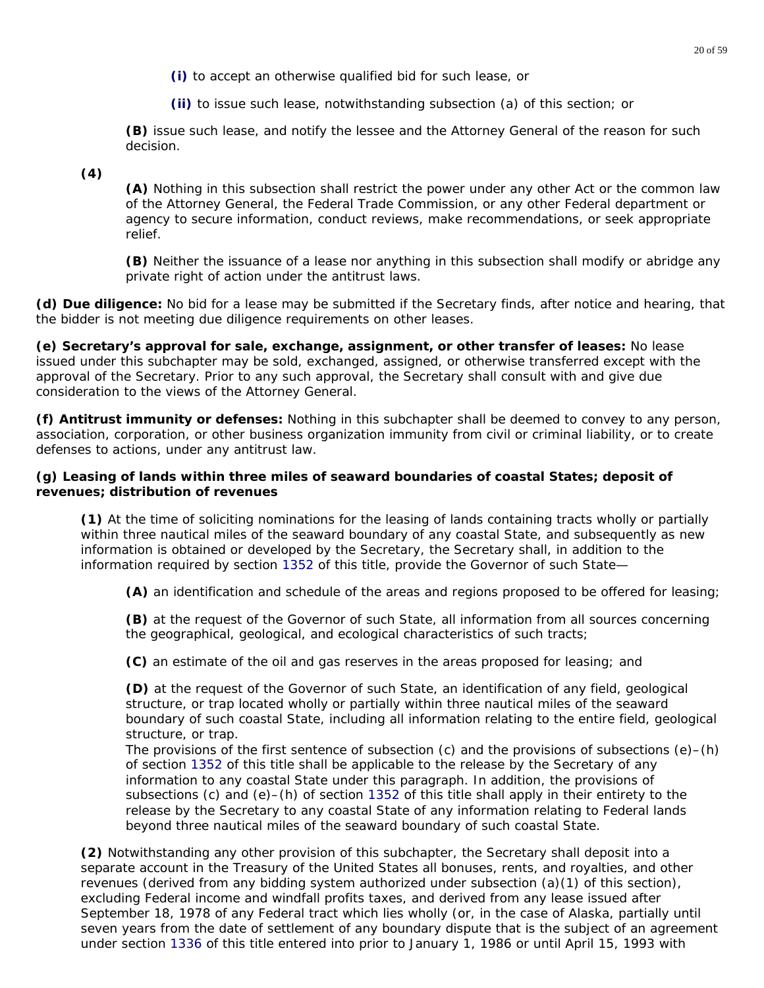- **(i)** to accept an otherwise qualified bid for such lease, or
- **(ii)** to issue such lease, notwithstanding subsection (a) of this section; or

**(B)** issue such lease, and notify the lessee and the Attorney General of the reason for such decision.

**(4)**

**(A)** Nothing in this subsection shall restrict the power under any other Act or the common law of the Attorney General, the Federal Trade Commission, or any other Federal department or agency to secure information, conduct reviews, make recommendations, or seek appropriate relief.

**(B)** Neither the issuance of a lease nor anything in this subsection shall modify or abridge any private right of action under the antitrust laws.

**(d) Due diligence:** No bid for a lease may be submitted if the Secretary finds, after notice and hearing, that the bidder is not meeting due diligence requirements on other leases.

**(e) Secretary's approval for sale, exchange, assignment, or other transfer of leases:** No lease issued under this subchapter may be sold, exchanged, assigned, or otherwise transferred except with the approval of the Secretary. Prior to any such approval, the Secretary shall consult with and give due consideration to the views of the Attorney General.

**(f) Antitrust immunity or defenses:** Nothing in this subchapter shall be deemed to convey to any person, association, corporation, or other business organization immunity from civil or criminal liability, or to create defenses to actions, under any antitrust law.

#### **(g) Leasing of lands within three miles of seaward boundaries of coastal States; deposit of revenues; distribution of revenues**

**(1)** At the time of soliciting nominations for the leasing of lands containing tracts wholly or partially within three nautical miles of the seaward boundary of any coastal State, and subsequently as new information is obtained or developed by the Secretary, the Secretary shall, in addition to the information required by section 1352 of this title, provide the Governor of such State—

**(A)** an identification and schedule of the areas and regions proposed to be offered for leasing;

**(B)** at the request of the Governor of such State, all information from all sources concerning the geographical, geological, and ecological characteristics of such tracts;

**(C)** an estimate of the oil and gas reserves in the areas proposed for leasing; and

**(D)** at the request of the Governor of such State, an identification of any field, geological structure, or trap located wholly or partially within three nautical miles of the seaward boundary of such coastal State, including all information relating to the entire field, geological structure, or trap.

The provisions of the first sentence of subsection (c) and the provisions of subsections  $(e)$ –(h) of section 1352 of this title shall be applicable to the release by the Secretary of any information to any coastal State under this paragraph. In addition, the provisions of subsections (c) and (e)–(h) of section 1352 of this title shall apply in their entirety to the release by the Secretary to any coastal State of any information relating to Federal lands beyond three nautical miles of the seaward boundary of such coastal State.

**(2)** Notwithstanding any other provision of this subchapter, the Secretary shall deposit into a separate account in the Treasury of the United States all bonuses, rents, and royalties, and other revenues (derived from any bidding system authorized under subsection (a)(1) of this section), excluding Federal income and windfall profits taxes, and derived from any lease issued after September 18, 1978 of any Federal tract which lies wholly (or, in the case of Alaska, partially until seven years from the date of settlement of any boundary dispute that is the subject of an agreement under section 1336 of this title entered into prior to January 1, 1986 or until April 15, 1993 with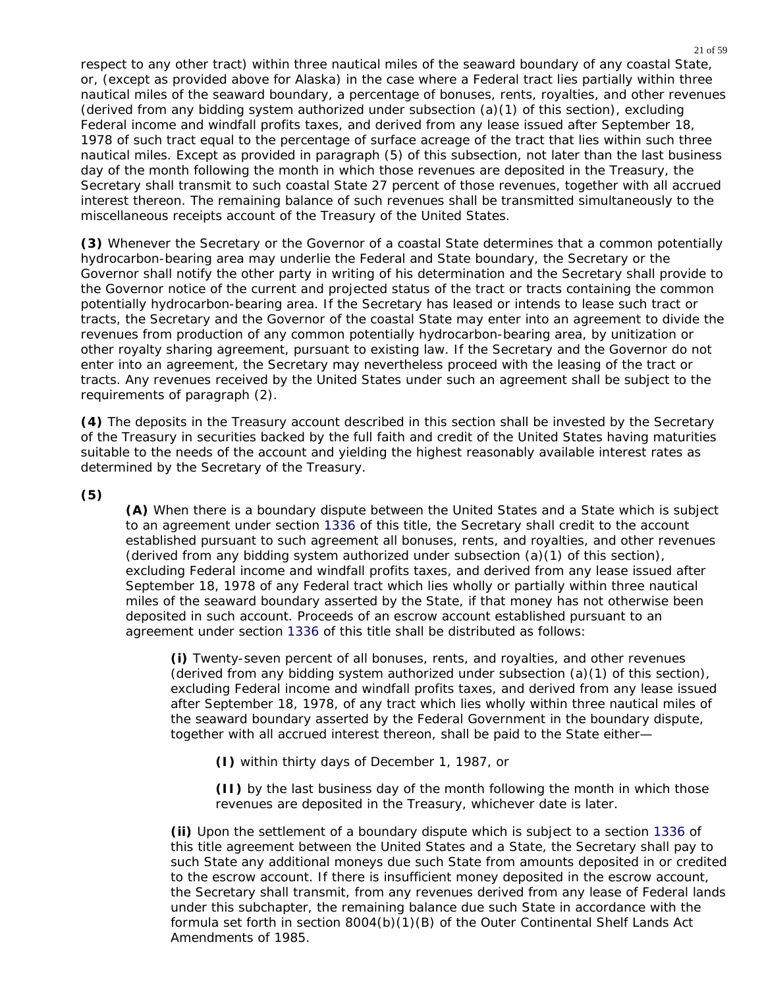respect to any other tract) within three nautical miles of the seaward boundary of any coastal State, or, (except as provided above for Alaska) in the case where a Federal tract lies partially within three nautical miles of the seaward boundary, a percentage of bonuses, rents, royalties, and other revenues (derived from any bidding system authorized under subsection (a)(1) of this section), excluding Federal income and windfall profits taxes, and derived from any lease issued after September 18, 1978 of such tract equal to the percentage of surface acreage of the tract that lies within such three nautical miles. Except as provided in paragraph (5) of this subsection, not later than the last business day of the month following the month in which those revenues are deposited in the Treasury, the Secretary shall transmit to such coastal State 27 percent of those revenues, together with all accrued interest thereon. The remaining balance of such revenues shall be transmitted simultaneously to the miscellaneous receipts account of the Treasury of the United States.

**(3)** Whenever the Secretary or the Governor of a coastal State determines that a common potentially hydrocarbon-bearing area may underlie the Federal and State boundary, the Secretary or the Governor shall notify the other party in writing of his determination and the Secretary shall provide to the Governor notice of the current and projected status of the tract or tracts containing the common potentially hydrocarbon-bearing area. If the Secretary has leased or intends to lease such tract or tracts, the Secretary and the Governor of the coastal State may enter into an agreement to divide the revenues from production of any common potentially hydrocarbon-bearing area, by unitization or other royalty sharing agreement, pursuant to existing law. If the Secretary and the Governor do not enter into an agreement, the Secretary may nevertheless proceed with the leasing of the tract or tracts. Any revenues received by the United States under such an agreement shall be subject to the requirements of paragraph (2).

**(4)** The deposits in the Treasury account described in this section shall be invested by the Secretary of the Treasury in securities backed by the full faith and credit of the United States having maturities suitable to the needs of the account and yielding the highest reasonably available interest rates as determined by the Secretary of the Treasury.

**(5)**

**(A)** When there is a boundary dispute between the United States and a State which is subject to an agreement under section 1336 of this title, the Secretary shall credit to the account established pursuant to such agreement all bonuses, rents, and royalties, and other revenues (derived from any bidding system authorized under subsection (a)(1) of this section), excluding Federal income and windfall profits taxes, and derived from any lease issued after September 18, 1978 of any Federal tract which lies wholly or partially within three nautical miles of the seaward boundary asserted by the State, if that money has not otherwise been deposited in such account. Proceeds of an escrow account established pursuant to an agreement under section 1336 of this title shall be distributed as follows:

**(i)** Twenty-seven percent of all bonuses, rents, and royalties, and other revenues (derived from any bidding system authorized under subsection (a)(1) of this section), excluding Federal income and windfall profits taxes, and derived from any lease issued after September 18, 1978, of any tract which lies wholly within three nautical miles of the seaward boundary asserted by the Federal Government in the boundary dispute, together with all accrued interest thereon, shall be paid to the State either—

**(I)** within thirty days of December 1, 1987, or

**(II)** by the last business day of the month following the month in which those revenues are deposited in the Treasury, whichever date is later.

**(ii)** Upon the settlement of a boundary dispute which is subject to a section 1336 of this title agreement between the United States and a State, the Secretary shall pay to such State any additional moneys due such State from amounts deposited in or credited to the escrow account. If there is insufficient money deposited in the escrow account, the Secretary shall transmit, from any revenues derived from any lease of Federal lands under this subchapter, the remaining balance due such State in accordance with the formula set forth in section 8004(b)(1)(B) of the Outer Continental Shelf Lands Act Amendments of 1985.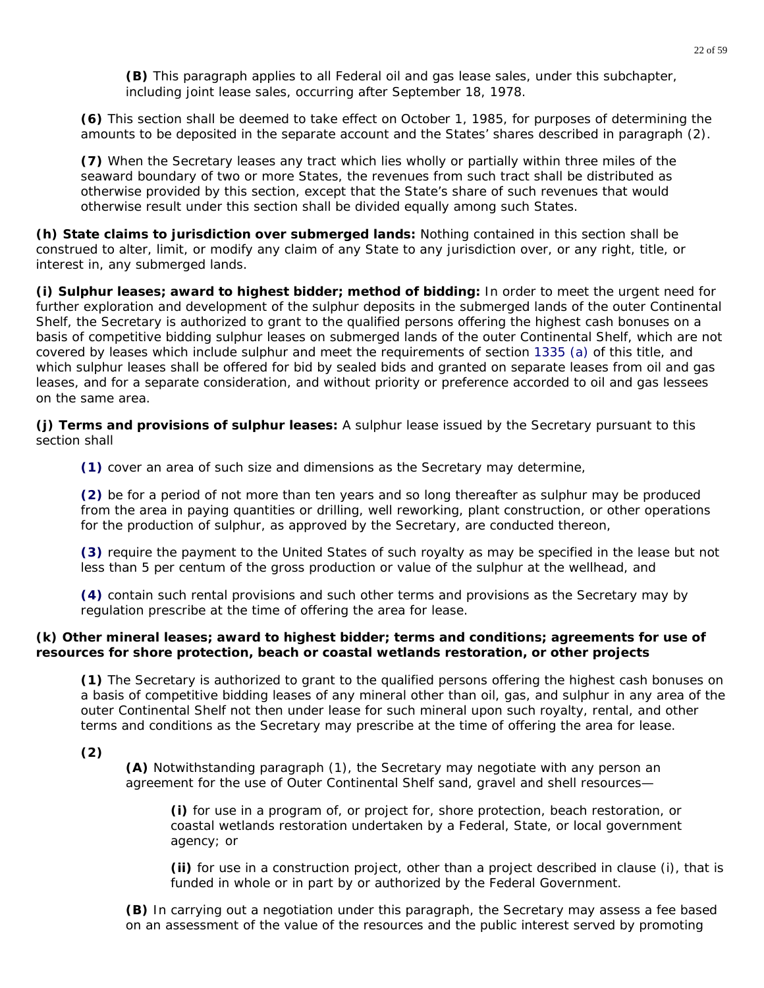**(B)** This paragraph applies to all Federal oil and gas lease sales, under this subchapter, including joint lease sales, occurring after September 18, 1978.

**(6)** This section shall be deemed to take effect on October 1, 1985, for purposes of determining the amounts to be deposited in the separate account and the States' shares described in paragraph (2).

**(7)** When the Secretary leases any tract which lies wholly or partially within three miles of the seaward boundary of two or more States, the revenues from such tract shall be distributed as otherwise provided by this section, except that the State's share of such revenues that would otherwise result under this section shall be divided equally among such States.

**(h) State claims to jurisdiction over submerged lands:** Nothing contained in this section shall be construed to alter, limit, or modify any claim of any State to any jurisdiction over, or any right, title, or interest in, any submerged lands.

**(i) Sulphur leases; award to highest bidder; method of bidding:** In order to meet the urgent need for further exploration and development of the sulphur deposits in the submerged lands of the outer Continental Shelf, the Secretary is authorized to grant to the qualified persons offering the highest cash bonuses on a basis of competitive bidding sulphur leases on submerged lands of the outer Continental Shelf, which are not covered by leases which include sulphur and meet the requirements of section 1335 (a) of this title, and which sulphur leases shall be offered for bid by sealed bids and granted on separate leases from oil and gas leases, and for a separate consideration, and without priority or preference accorded to oil and gas lessees on the same area.

**(j) Terms and provisions of sulphur leases:** A sulphur lease issued by the Secretary pursuant to this section shall

**(1)** cover an area of such size and dimensions as the Secretary may determine,

**(2)** be for a period of not more than ten years and so long thereafter as sulphur may be produced from the area in paying quantities or drilling, well reworking, plant construction, or other operations for the production of sulphur, as approved by the Secretary, are conducted thereon,

**(3)** require the payment to the United States of such royalty as may be specified in the lease but not less than 5 per centum of the gross production or value of the sulphur at the wellhead, and

**(4)** contain such rental provisions and such other terms and provisions as the Secretary may by regulation prescribe at the time of offering the area for lease.

#### **(k) Other mineral leases; award to highest bidder; terms and conditions; agreements for use of resources for shore protection, beach or coastal wetlands restoration, or other projects**

**(1)** The Secretary is authorized to grant to the qualified persons offering the highest cash bonuses on a basis of competitive bidding leases of any mineral other than oil, gas, and sulphur in any area of the outer Continental Shelf not then under lease for such mineral upon such royalty, rental, and other terms and conditions as the Secretary may prescribe at the time of offering the area for lease.

**(2)**

**(A)** Notwithstanding paragraph (1), the Secretary may negotiate with any person an agreement for the use of Outer Continental Shelf sand, gravel and shell resources—

**(i)** for use in a program of, or project for, shore protection, beach restoration, or coastal wetlands restoration undertaken by a Federal, State, or local government agency; or

**(ii)** for use in a construction project, other than a project described in clause (i), that is funded in whole or in part by or authorized by the Federal Government.

**(B)** In carrying out a negotiation under this paragraph, the Secretary may assess a fee based on an assessment of the value of the resources and the public interest served by promoting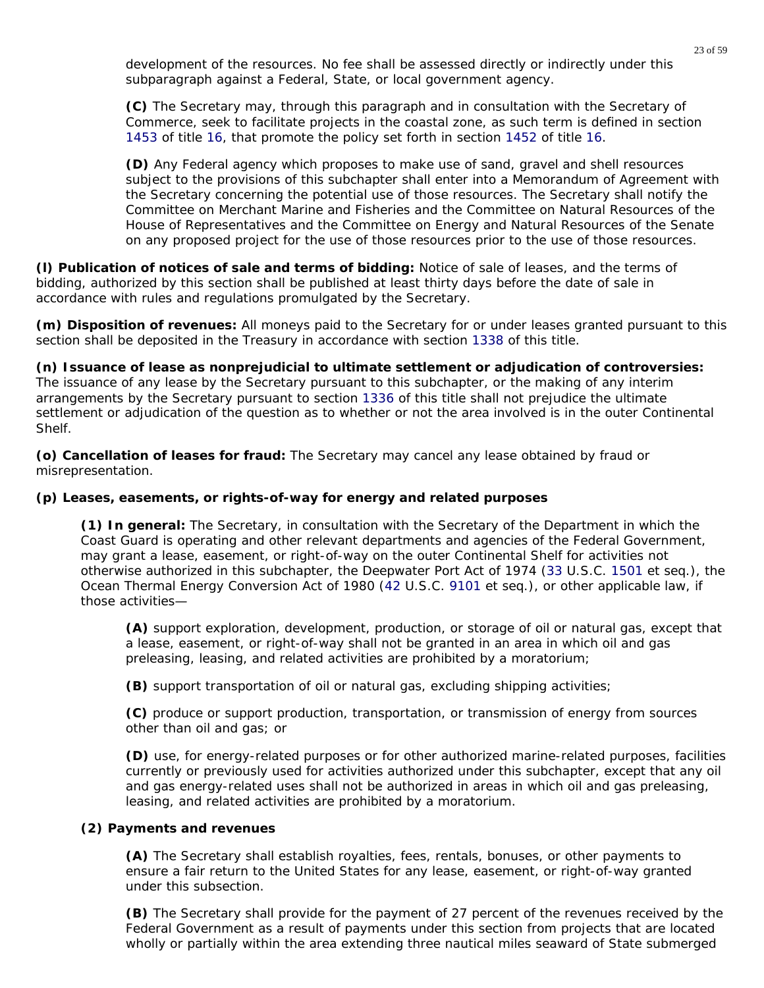development of the resources. No fee shall be assessed directly or indirectly under this subparagraph against a Federal, State, or local government agency.

**(C)** The Secretary may, through this paragraph and in consultation with the Secretary of Commerce, seek to facilitate projects in the coastal zone, as such term is defined in section 1453 of title 16, that promote the policy set forth in section 1452 of title 16.

**(D)** Any Federal agency which proposes to make use of sand, gravel and shell resources subject to the provisions of this subchapter shall enter into a Memorandum of Agreement with the Secretary concerning the potential use of those resources. The Secretary shall notify the Committee on Merchant Marine and Fisheries and the Committee on Natural Resources of the House of Representatives and the Committee on Energy and Natural Resources of the Senate on any proposed project for the use of those resources prior to the use of those resources.

**(l) Publication of notices of sale and terms of bidding:** Notice of sale of leases, and the terms of bidding, authorized by this section shall be published at least thirty days before the date of sale in accordance with rules and regulations promulgated by the Secretary.

**(m) Disposition of revenues:** All moneys paid to the Secretary for or under leases granted pursuant to this section shall be deposited in the Treasury in accordance with section 1338 of this title.

**(n) Issuance of lease as nonprejudicial to ultimate settlement or adjudication of controversies:**  The issuance of any lease by the Secretary pursuant to this subchapter, or the making of any interim arrangements by the Secretary pursuant to section 1336 of this title shall not prejudice the ultimate settlement or adjudication of the question as to whether or not the area involved is in the outer Continental Shelf.

**(o) Cancellation of leases for fraud:** The Secretary may cancel any lease obtained by fraud or misrepresentation.

#### **(p) Leases, easements, or rights-of-way for energy and related purposes**

**(1) In general:** The Secretary, in consultation with the Secretary of the Department in which the Coast Guard is operating and other relevant departments and agencies of the Federal Government, may grant a lease, easement, or right-of-way on the outer Continental Shelf for activities not otherwise authorized in this subchapter, the Deepwater Port Act of 1974 (33 U.S.C. 1501 et seq.), the Ocean Thermal Energy Conversion Act of 1980 (42 U.S.C. 9101 et seq.), or other applicable law, if those activities—

**(A)** support exploration, development, production, or storage of oil or natural gas, except that a lease, easement, or right-of-way shall not be granted in an area in which oil and gas preleasing, leasing, and related activities are prohibited by a moratorium;

**(B)** support transportation of oil or natural gas, excluding shipping activities;

**(C)** produce or support production, transportation, or transmission of energy from sources other than oil and gas; or

**(D)** use, for energy-related purposes or for other authorized marine-related purposes, facilities currently or previously used for activities authorized under this subchapter, except that any oil and gas energy-related uses shall not be authorized in areas in which oil and gas preleasing, leasing, and related activities are prohibited by a moratorium.

#### **(2) Payments and revenues**

**(A)** The Secretary shall establish royalties, fees, rentals, bonuses, or other payments to ensure a fair return to the United States for any lease, easement, or right-of-way granted under this subsection.

**(B)** The Secretary shall provide for the payment of 27 percent of the revenues received by the Federal Government as a result of payments under this section from projects that are located wholly or partially within the area extending three nautical miles seaward of State submerged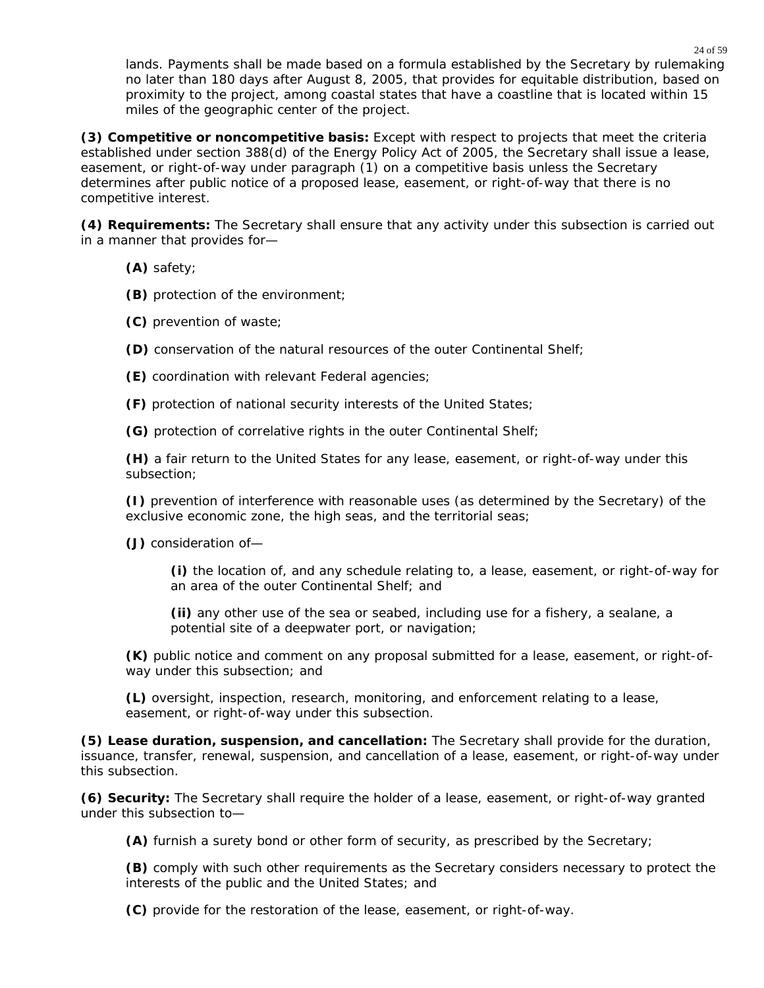lands. Payments shall be made based on a formula established by the Secretary by rulemaking no later than 180 days after August 8, 2005, that provides for equitable distribution, based on proximity to the project, among coastal states that have a coastline that is located within 15 miles of the geographic center of the project.

**(3) Competitive or noncompetitive basis:** Except with respect to projects that meet the criteria established under section 388(d) of the Energy Policy Act of 2005, the Secretary shall issue a lease, easement, or right-of-way under paragraph (1) on a competitive basis unless the Secretary determines after public notice of a proposed lease, easement, or right-of-way that there is no competitive interest.

**(4) Requirements:** The Secretary shall ensure that any activity under this subsection is carried out in a manner that provides for—

**(A)** safety;

**(B)** protection of the environment;

**(C)** prevention of waste;

**(D)** conservation of the natural resources of the outer Continental Shelf;

**(E)** coordination with relevant Federal agencies;

**(F)** protection of national security interests of the United States;

**(G)** protection of correlative rights in the outer Continental Shelf;

**(H)** a fair return to the United States for any lease, easement, or right-of-way under this subsection;

**(I)** prevention of interference with reasonable uses (as determined by the Secretary) of the exclusive economic zone, the high seas, and the territorial seas;

**(J)** consideration of—

**(i)** the location of, and any schedule relating to, a lease, easement, or right-of-way for an area of the outer Continental Shelf; and

**(ii)** any other use of the sea or seabed, including use for a fishery, a sealane, a potential site of a deepwater port, or navigation;

**(K)** public notice and comment on any proposal submitted for a lease, easement, or right-ofway under this subsection; and

**(L)** oversight, inspection, research, monitoring, and enforcement relating to a lease, easement, or right-of-way under this subsection.

**(5) Lease duration, suspension, and cancellation:** The Secretary shall provide for the duration, issuance, transfer, renewal, suspension, and cancellation of a lease, easement, or right-of-way under this subsection.

**(6) Security:** The Secretary shall require the holder of a lease, easement, or right-of-way granted under this subsection to—

**(A)** furnish a surety bond or other form of security, as prescribed by the Secretary;

**(B)** comply with such other requirements as the Secretary considers necessary to protect the interests of the public and the United States; and

**(C)** provide for the restoration of the lease, easement, or right-of-way.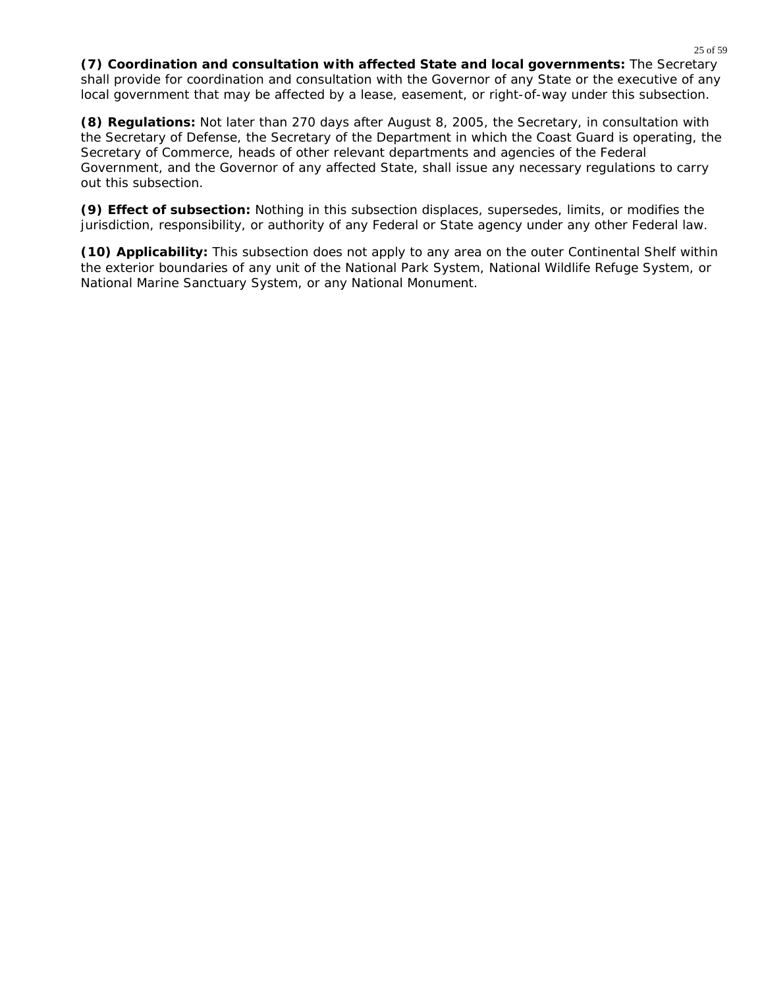**(7) Coordination and consultation with affected State and local governments:** The Secretary shall provide for coordination and consultation with the Governor of any State or the executive of any local government that may be affected by a lease, easement, or right-of-way under this subsection.

**(8) Regulations:** Not later than 270 days after August 8, 2005, the Secretary, in consultation with the Secretary of Defense, the Secretary of the Department in which the Coast Guard is operating, the Secretary of Commerce, heads of other relevant departments and agencies of the Federal Government, and the Governor of any affected State, shall issue any necessary regulations to carry out this subsection.

**(9) Effect of subsection:** Nothing in this subsection displaces, supersedes, limits, or modifies the jurisdiction, responsibility, or authority of any Federal or State agency under any other Federal law.

**(10) Applicability:** This subsection does not apply to any area on the outer Continental Shelf within the exterior boundaries of any unit of the National Park System, National Wildlife Refuge System, or National Marine Sanctuary System, or any National Monument.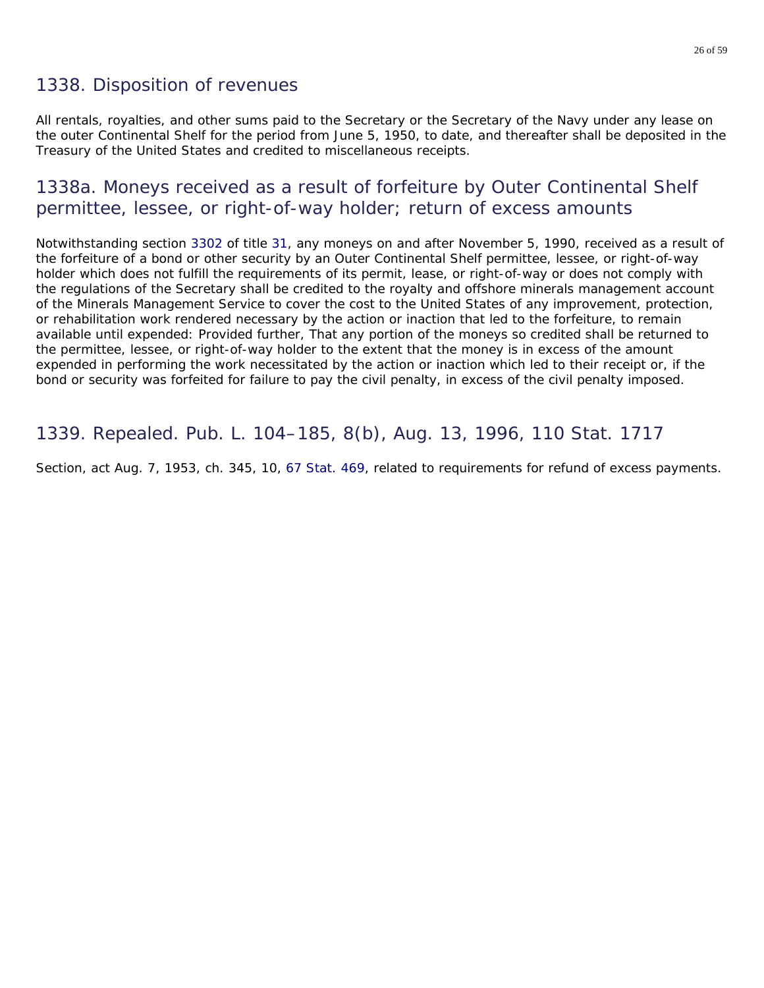### 1338. Disposition of revenues

All rentals, royalties, and other sums paid to the Secretary or the Secretary of the Navy under any lease on the outer Continental Shelf for the period from June 5, 1950, to date, and thereafter shall be deposited in the Treasury of the United States and credited to miscellaneous receipts.

### 1338a. Moneys received as a result of forfeiture by Outer Continental Shelf permittee, lessee, or right-of-way holder; return of excess amounts

Notwithstanding section 3302 of title 31, any moneys on and after November 5, 1990, received as a result of the forfeiture of a bond or other security by an Outer Continental Shelf permittee, lessee, or right-of-way holder which does not fulfill the requirements of its permit, lease, or right-of-way or does not comply with the regulations of the Secretary shall be credited to the royalty and offshore minerals management account of the Minerals Management Service to cover the cost to the United States of any improvement, protection, or rehabilitation work rendered necessary by the action or inaction that led to the forfeiture, to remain available until expended: Provided further, That any portion of the moneys so credited shall be returned to the permittee, lessee, or right-of-way holder to the extent that the money is in excess of the amount expended in performing the work necessitated by the action or inaction which led to their receipt or, if the bond or security was forfeited for failure to pay the civil penalty, in excess of the civil penalty imposed.

### 1339. Repealed. Pub. L. 104–185, 8(b), Aug. 13, 1996, 110 Stat. 1717

Section, act Aug. 7, 1953, ch. 345, 10, 67 Stat. 469, related to requirements for refund of excess payments.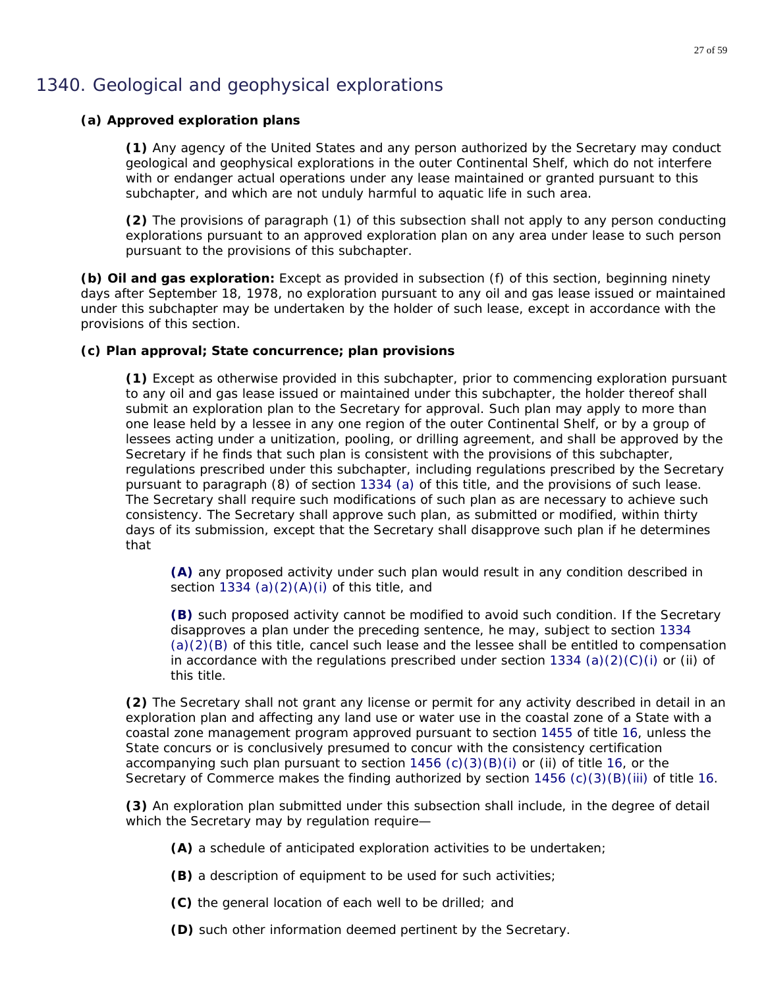### 1340. Geological and geophysical explorations

#### **(a) Approved exploration plans**

**(1)** Any agency of the United States and any person authorized by the Secretary may conduct geological and geophysical explorations in the outer Continental Shelf, which do not interfere with or endanger actual operations under any lease maintained or granted pursuant to this subchapter, and which are not unduly harmful to aquatic life in such area.

**(2)** The provisions of paragraph (1) of this subsection shall not apply to any person conducting explorations pursuant to an approved exploration plan on any area under lease to such person pursuant to the provisions of this subchapter.

**(b) Oil and gas exploration:** Except as provided in subsection (f) of this section, beginning ninety days after September 18, 1978, no exploration pursuant to any oil and gas lease issued or maintained under this subchapter may be undertaken by the holder of such lease, except in accordance with the provisions of this section.

#### **(c) Plan approval; State concurrence; plan provisions**

**(1)** Except as otherwise provided in this subchapter, prior to commencing exploration pursuant to any oil and gas lease issued or maintained under this subchapter, the holder thereof shall submit an exploration plan to the Secretary for approval. Such plan may apply to more than one lease held by a lessee in any one region of the outer Continental Shelf, or by a group of lessees acting under a unitization, pooling, or drilling agreement, and shall be approved by the Secretary if he finds that such plan is consistent with the provisions of this subchapter, regulations prescribed under this subchapter, including regulations prescribed by the Secretary pursuant to paragraph (8) of section 1334 (a) of this title, and the provisions of such lease. The Secretary shall require such modifications of such plan as are necessary to achieve such consistency. The Secretary shall approve such plan, as submitted or modified, within thirty days of its submission, except that the Secretary shall disapprove such plan if he determines that

**(A)** any proposed activity under such plan would result in any condition described in section 1334 (a) $(2)(A)(i)$  of this title, and

**(B)** such proposed activity cannot be modified to avoid such condition. If the Secretary disapproves a plan under the preceding sentence, he may, subject to section 1334  $(a)(2)(B)$  of this title, cancel such lease and the lessee shall be entitled to compensation in accordance with the regulations prescribed under section 1334 (a)(2)(C)(i) or (ii) of this title.

**(2)** The Secretary shall not grant any license or permit for any activity described in detail in an exploration plan and affecting any land use or water use in the coastal zone of a State with a coastal zone management program approved pursuant to section 1455 of title 16, unless the State concurs or is conclusively presumed to concur with the consistency certification accompanying such plan pursuant to section  $1456$  (c)(3)(B)(i) or (ii) of title 16, or the Secretary of Commerce makes the finding authorized by section  $1456$  (c)(3)(B)(iii) of title 16.

**(3)** An exploration plan submitted under this subsection shall include, in the degree of detail which the Secretary may by regulation require—

**(A)** a schedule of anticipated exploration activities to be undertaken;

**(B)** a description of equipment to be used for such activities;

**(C)** the general location of each well to be drilled; and

**(D)** such other information deemed pertinent by the Secretary.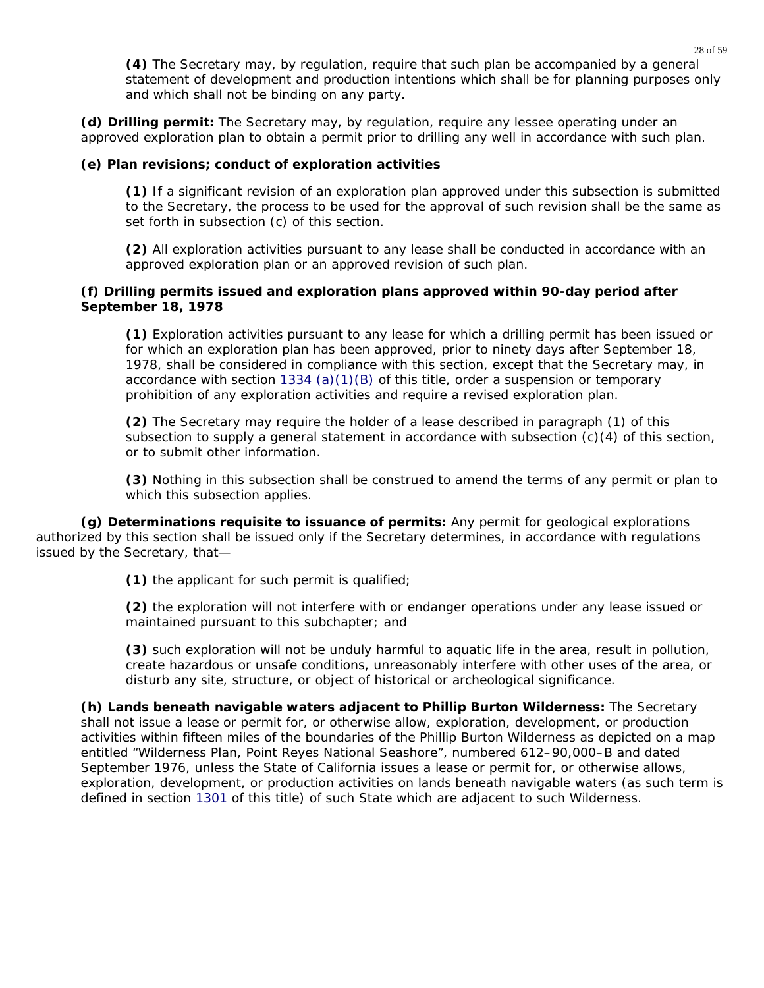**(4)** The Secretary may, by regulation, require that such plan be accompanied by a general statement of development and production intentions which shall be for planning purposes only and which shall not be binding on any party.

**(d) Drilling permit:** The Secretary may, by regulation, require any lessee operating under an approved exploration plan to obtain a permit prior to drilling any well in accordance with such plan.

#### **(e) Plan revisions; conduct of exploration activities**

**(1)** If a significant revision of an exploration plan approved under this subsection is submitted to the Secretary, the process to be used for the approval of such revision shall be the same as set forth in subsection (c) of this section.

**(2)** All exploration activities pursuant to any lease shall be conducted in accordance with an approved exploration plan or an approved revision of such plan.

#### **(f) Drilling permits issued and exploration plans approved within 90-day period after September 18, 1978**

**(1)** Exploration activities pursuant to any lease for which a drilling permit has been issued or for which an exploration plan has been approved, prior to ninety days after September 18, 1978, shall be considered in compliance with this section, except that the Secretary may, in accordance with section 1334 (a)(1)(B) of this title, order a suspension or temporary prohibition of any exploration activities and require a revised exploration plan.

**(2)** The Secretary may require the holder of a lease described in paragraph (1) of this subsection to supply a general statement in accordance with subsection (c)(4) of this section, or to submit other information.

**(3)** Nothing in this subsection shall be construed to amend the terms of any permit or plan to which this subsection applies.

**(g) Determinations requisite to issuance of permits:** Any permit for geological explorations authorized by this section shall be issued only if the Secretary determines, in accordance with regulations issued by the Secretary, that—

**(1)** the applicant for such permit is qualified;

**(2)** the exploration will not interfere with or endanger operations under any lease issued or maintained pursuant to this subchapter; and

**(3)** such exploration will not be unduly harmful to aquatic life in the area, result in pollution, create hazardous or unsafe conditions, unreasonably interfere with other uses of the area, or disturb any site, structure, or object of historical or archeological significance.

**(h) Lands beneath navigable waters adjacent to Phillip Burton Wilderness:** The Secretary shall not issue a lease or permit for, or otherwise allow, exploration, development, or production activities within fifteen miles of the boundaries of the Phillip Burton Wilderness as depicted on a map entitled "Wilderness Plan, Point Reyes National Seashore", numbered 612–90,000–B and dated September 1976, unless the State of California issues a lease or permit for, or otherwise allows, exploration, development, or production activities on lands beneath navigable waters (as such term is defined in section 1301 of this title) of such State which are adjacent to such Wilderness.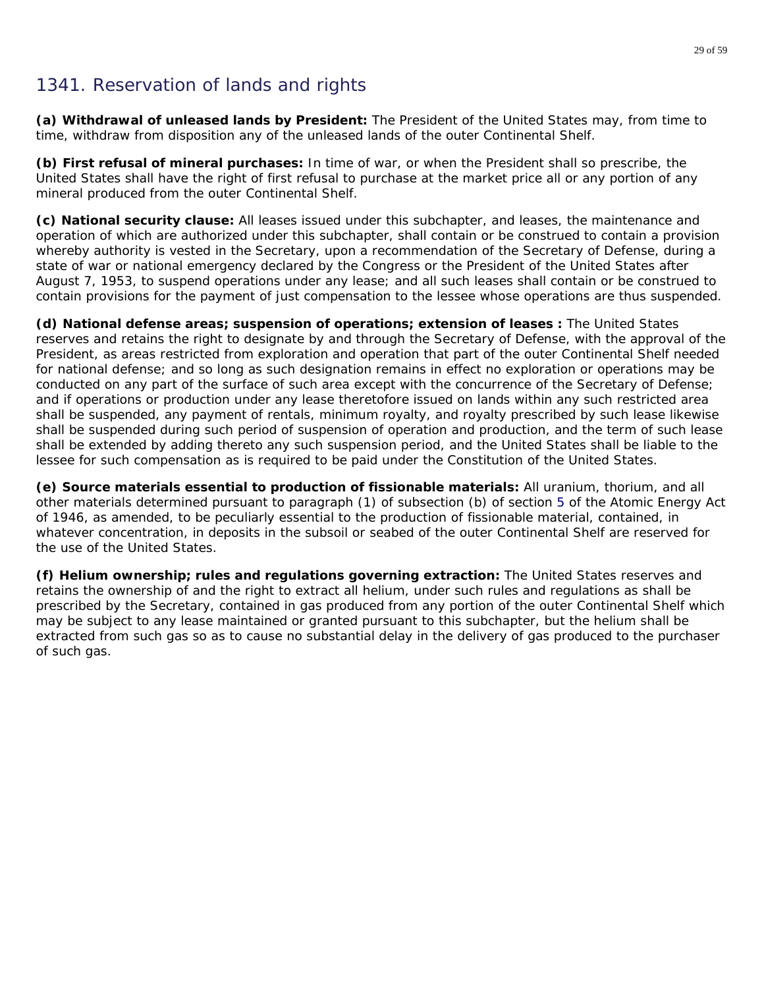## 1341. Reservation of lands and rights

**(a) Withdrawal of unleased lands by President:** The President of the United States may, from time to time, withdraw from disposition any of the unleased lands of the outer Continental Shelf.

**(b) First refusal of mineral purchases:** In time of war, or when the President shall so prescribe, the United States shall have the right of first refusal to purchase at the market price all or any portion of any mineral produced from the outer Continental Shelf.

**(c) National security clause:** All leases issued under this subchapter, and leases, the maintenance and operation of which are authorized under this subchapter, shall contain or be construed to contain a provision whereby authority is vested in the Secretary, upon a recommendation of the Secretary of Defense, during a state of war or national emergency declared by the Congress or the President of the United States after August 7, 1953, to suspend operations under any lease; and all such leases shall contain or be construed to contain provisions for the payment of just compensation to the lessee whose operations are thus suspended.

**(d) National defense areas; suspension of operations; extension of leases :** The United States reserves and retains the right to designate by and through the Secretary of Defense, with the approval of the President, as areas restricted from exploration and operation that part of the outer Continental Shelf needed for national defense; and so long as such designation remains in effect no exploration or operations may be conducted on any part of the surface of such area except with the concurrence of the Secretary of Defense; and if operations or production under any lease theretofore issued on lands within any such restricted area shall be suspended, any payment of rentals, minimum royalty, and royalty prescribed by such lease likewise shall be suspended during such period of suspension of operation and production, and the term of such lease shall be extended by adding thereto any such suspension period, and the United States shall be liable to the lessee for such compensation as is required to be paid under the Constitution of the United States.

**(e) Source materials essential to production of fissionable materials:** All uranium, thorium, and all other materials determined pursuant to paragraph (1) of subsection (b) of section 5 of the Atomic Energy Act of 1946, as amended, to be peculiarly essential to the production of fissionable material, contained, in whatever concentration, in deposits in the subsoil or seabed of the outer Continental Shelf are reserved for the use of the United States.

**(f) Helium ownership; rules and regulations governing extraction:** The United States reserves and retains the ownership of and the right to extract all helium, under such rules and regulations as shall be prescribed by the Secretary, contained in gas produced from any portion of the outer Continental Shelf which may be subject to any lease maintained or granted pursuant to this subchapter, but the helium shall be extracted from such gas so as to cause no substantial delay in the delivery of gas produced to the purchaser of such gas.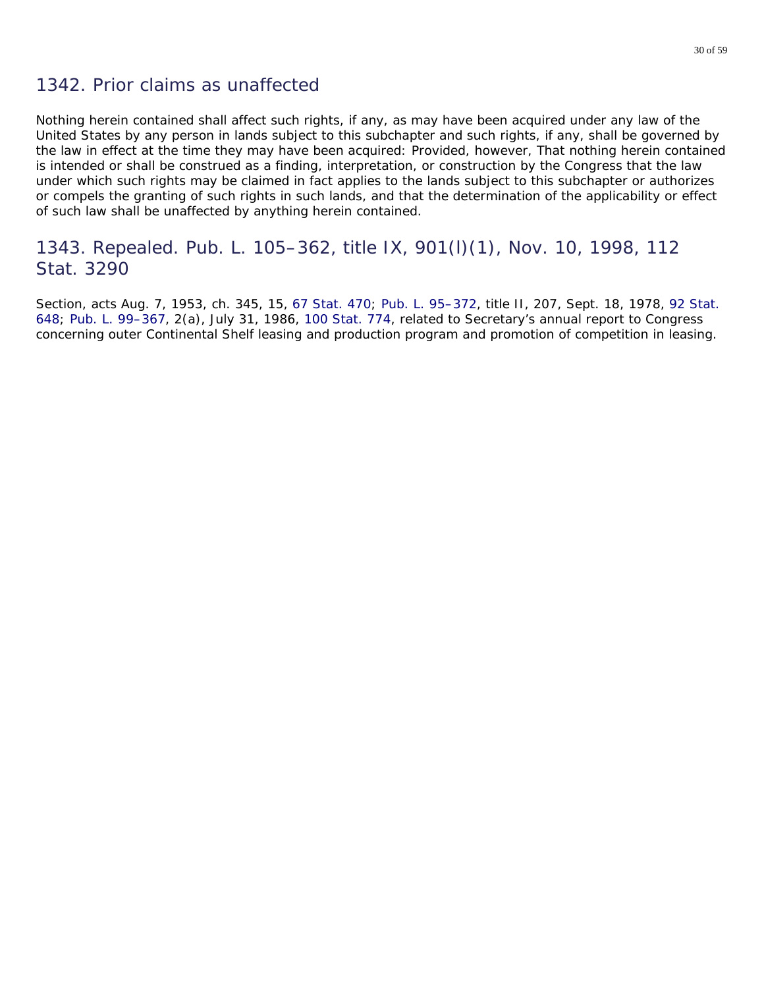### 1342. Prior claims as unaffected

Nothing herein contained shall affect such rights, if any, as may have been acquired under any law of the United States by any person in lands subject to this subchapter and such rights, if any, shall be governed by the law in effect at the time they may have been acquired: Provided, however, That nothing herein contained is intended or shall be construed as a finding, interpretation, or construction by the Congress that the law under which such rights may be claimed in fact applies to the lands subject to this subchapter or authorizes or compels the granting of such rights in such lands, and that the determination of the applicability or effect of such law shall be unaffected by anything herein contained.

### 1343. Repealed. Pub. L. 105–362, title IX, 901(l)(1), Nov. 10, 1998, 112 Stat. 3290

Section, acts Aug. 7, 1953, ch. 345, 15, 67 Stat. 470; Pub. L. 95–372, title II, 207, Sept. 18, 1978, 92 Stat. 648; Pub. L. 99–367, 2(a), July 31, 1986, 100 Stat. 774, related to Secretary's annual report to Congress concerning outer Continental Shelf leasing and production program and promotion of competition in leasing.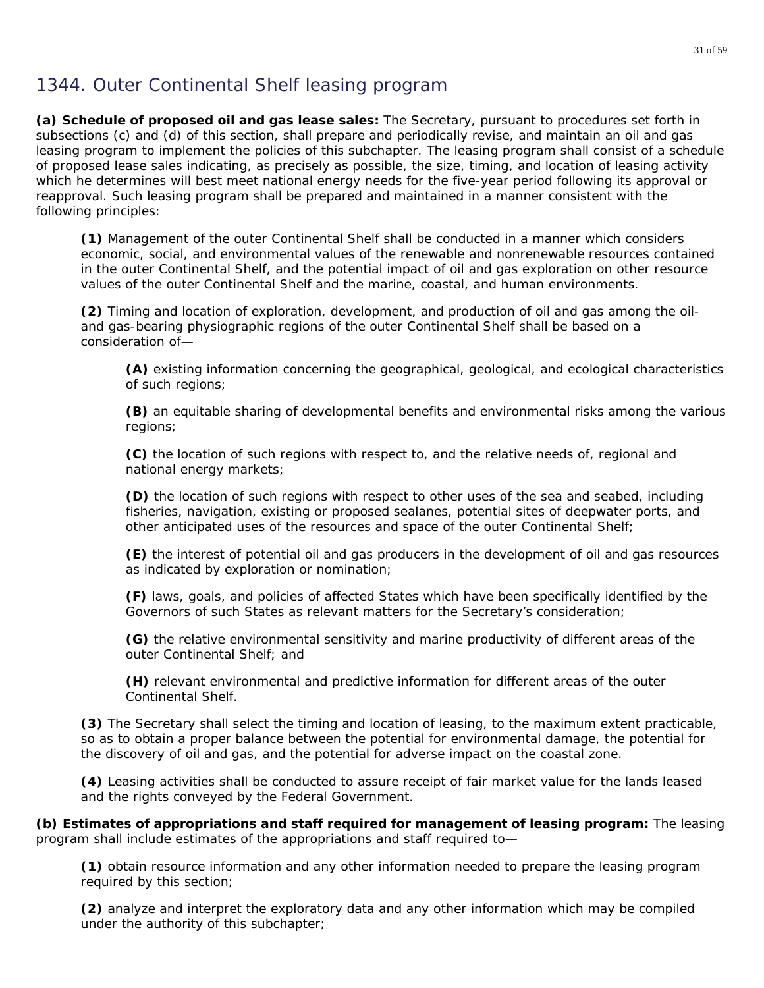## 1344. Outer Continental Shelf leasing program

**(a) Schedule of proposed oil and gas lease sales:** The Secretary, pursuant to procedures set forth in subsections (c) and (d) of this section, shall prepare and periodically revise, and maintain an oil and gas leasing program to implement the policies of this subchapter. The leasing program shall consist of a schedule of proposed lease sales indicating, as precisely as possible, the size, timing, and location of leasing activity which he determines will best meet national energy needs for the five-year period following its approval or reapproval. Such leasing program shall be prepared and maintained in a manner consistent with the following principles:

**(1)** Management of the outer Continental Shelf shall be conducted in a manner which considers economic, social, and environmental values of the renewable and nonrenewable resources contained in the outer Continental Shelf, and the potential impact of oil and gas exploration on other resource values of the outer Continental Shelf and the marine, coastal, and human environments.

**(2)** Timing and location of exploration, development, and production of oil and gas among the oiland gas-bearing physiographic regions of the outer Continental Shelf shall be based on a consideration of—

**(A)** existing information concerning the geographical, geological, and ecological characteristics of such regions;

**(B)** an equitable sharing of developmental benefits and environmental risks among the various regions;

**(C)** the location of such regions with respect to, and the relative needs of, regional and national energy markets;

**(D)** the location of such regions with respect to other uses of the sea and seabed, including fisheries, navigation, existing or proposed sealanes, potential sites of deepwater ports, and other anticipated uses of the resources and space of the outer Continental Shelf;

**(E)** the interest of potential oil and gas producers in the development of oil and gas resources as indicated by exploration or nomination;

**(F)** laws, goals, and policies of affected States which have been specifically identified by the Governors of such States as relevant matters for the Secretary's consideration;

**(G)** the relative environmental sensitivity and marine productivity of different areas of the outer Continental Shelf; and

**(H)** relevant environmental and predictive information for different areas of the outer Continental Shelf.

**(3)** The Secretary shall select the timing and location of leasing, to the maximum extent practicable, so as to obtain a proper balance between the potential for environmental damage, the potential for the discovery of oil and gas, and the potential for adverse impact on the coastal zone.

**(4)** Leasing activities shall be conducted to assure receipt of fair market value for the lands leased and the rights conveyed by the Federal Government.

**(b) Estimates of appropriations and staff required for management of leasing program:** The leasing program shall include estimates of the appropriations and staff required to—

**(1)** obtain resource information and any other information needed to prepare the leasing program required by this section;

**(2)** analyze and interpret the exploratory data and any other information which may be compiled under the authority of this subchapter;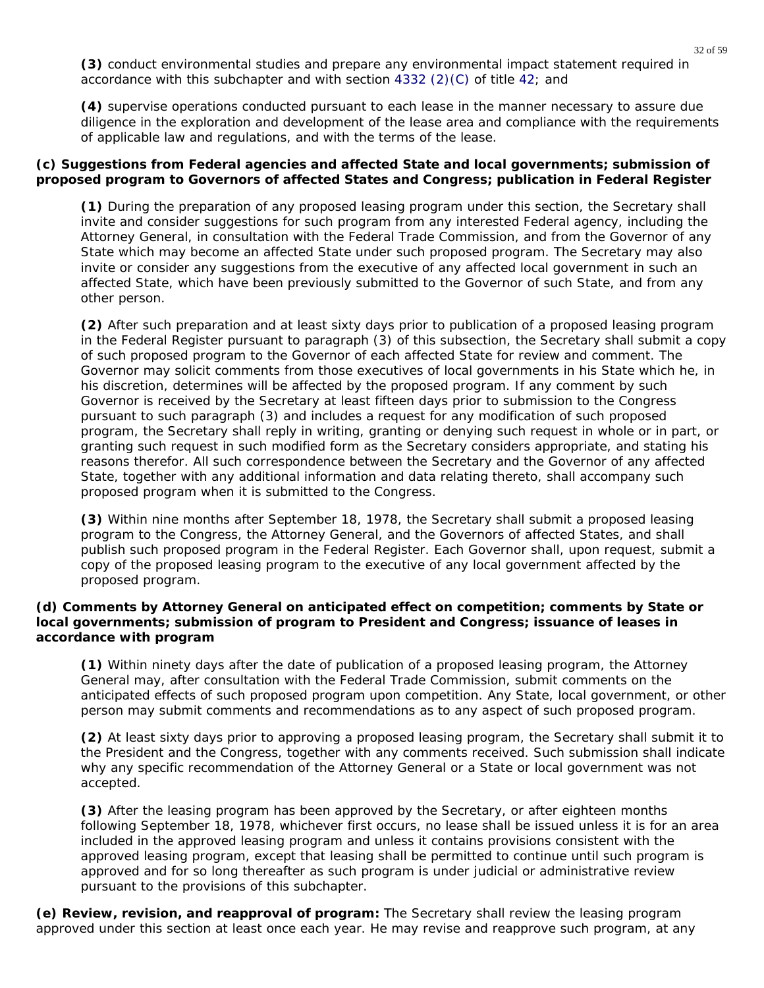**(3)** conduct environmental studies and prepare any environmental impact statement required in accordance with this subchapter and with section 4332 (2)(C) of title 42; and

**(4)** supervise operations conducted pursuant to each lease in the manner necessary to assure due diligence in the exploration and development of the lease area and compliance with the requirements of applicable law and regulations, and with the terms of the lease.

#### **(c) Suggestions from Federal agencies and affected State and local governments; submission of proposed program to Governors of affected States and Congress; publication in Federal Register**

**(1)** During the preparation of any proposed leasing program under this section, the Secretary shall invite and consider suggestions for such program from any interested Federal agency, including the Attorney General, in consultation with the Federal Trade Commission, and from the Governor of any State which may become an affected State under such proposed program. The Secretary may also invite or consider any suggestions from the executive of any affected local government in such an affected State, which have been previously submitted to the Governor of such State, and from any other person.

**(2)** After such preparation and at least sixty days prior to publication of a proposed leasing program in the Federal Register pursuant to paragraph (3) of this subsection, the Secretary shall submit a copy of such proposed program to the Governor of each affected State for review and comment. The Governor may solicit comments from those executives of local governments in his State which he, in his discretion, determines will be affected by the proposed program. If any comment by such Governor is received by the Secretary at least fifteen days prior to submission to the Congress pursuant to such paragraph (3) and includes a request for any modification of such proposed program, the Secretary shall reply in writing, granting or denying such request in whole or in part, or granting such request in such modified form as the Secretary considers appropriate, and stating his reasons therefor. All such correspondence between the Secretary and the Governor of any affected State, together with any additional information and data relating thereto, shall accompany such proposed program when it is submitted to the Congress.

**(3)** Within nine months after September 18, 1978, the Secretary shall submit a proposed leasing program to the Congress, the Attorney General, and the Governors of affected States, and shall publish such proposed program in the Federal Register. Each Governor shall, upon request, submit a copy of the proposed leasing program to the executive of any local government affected by the proposed program.

#### **(d) Comments by Attorney General on anticipated effect on competition; comments by State or local governments; submission of program to President and Congress; issuance of leases in accordance with program**

**(1)** Within ninety days after the date of publication of a proposed leasing program, the Attorney General may, after consultation with the Federal Trade Commission, submit comments on the anticipated effects of such proposed program upon competition. Any State, local government, or other person may submit comments and recommendations as to any aspect of such proposed program.

**(2)** At least sixty days prior to approving a proposed leasing program, the Secretary shall submit it to the President and the Congress, together with any comments received. Such submission shall indicate why any specific recommendation of the Attorney General or a State or local government was not accepted.

**(3)** After the leasing program has been approved by the Secretary, or after eighteen months following September 18, 1978, whichever first occurs, no lease shall be issued unless it is for an area included in the approved leasing program and unless it contains provisions consistent with the approved leasing program, except that leasing shall be permitted to continue until such program is approved and for so long thereafter as such program is under judicial or administrative review pursuant to the provisions of this subchapter.

**(e) Review, revision, and reapproval of program:** The Secretary shall review the leasing program approved under this section at least once each year. He may revise and reapprove such program, at any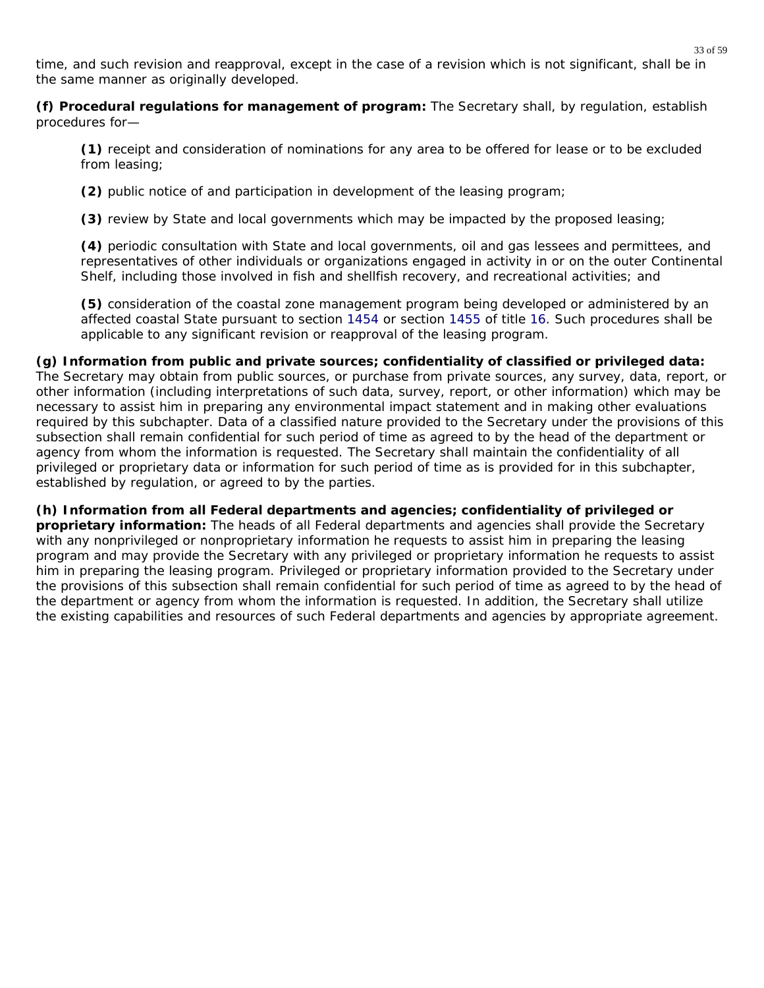time, and such revision and reapproval, except in the case of a revision which is not significant, shall be in the same manner as originally developed.

**(f) Procedural regulations for management of program:** The Secretary shall, by regulation, establish procedures for—

**(1)** receipt and consideration of nominations for any area to be offered for lease or to be excluded from leasing;

**(2)** public notice of and participation in development of the leasing program;

**(3)** review by State and local governments which may be impacted by the proposed leasing;

**(4)** periodic consultation with State and local governments, oil and gas lessees and permittees, and representatives of other individuals or organizations engaged in activity in or on the outer Continental Shelf, including those involved in fish and shellfish recovery, and recreational activities; and

**(5)** consideration of the coastal zone management program being developed or administered by an affected coastal State pursuant to section 1454 or section 1455 of title 16. Such procedures shall be applicable to any significant revision or reapproval of the leasing program.

#### **(g) Information from public and private sources; confidentiality of classified or privileged data:**

The Secretary may obtain from public sources, or purchase from private sources, any survey, data, report, or other information (including interpretations of such data, survey, report, or other information) which may be necessary to assist him in preparing any environmental impact statement and in making other evaluations required by this subchapter. Data of a classified nature provided to the Secretary under the provisions of this subsection shall remain confidential for such period of time as agreed to by the head of the department or agency from whom the information is requested. The Secretary shall maintain the confidentiality of all privileged or proprietary data or information for such period of time as is provided for in this subchapter, established by regulation, or agreed to by the parties.

**(h) Information from all Federal departments and agencies; confidentiality of privileged or proprietary information:** The heads of all Federal departments and agencies shall provide the Secretary with any nonprivileged or nonproprietary information he requests to assist him in preparing the leasing program and may provide the Secretary with any privileged or proprietary information he requests to assist him in preparing the leasing program. Privileged or proprietary information provided to the Secretary under the provisions of this subsection shall remain confidential for such period of time as agreed to by the head of the department or agency from whom the information is requested. In addition, the Secretary shall utilize

the existing capabilities and resources of such Federal departments and agencies by appropriate agreement.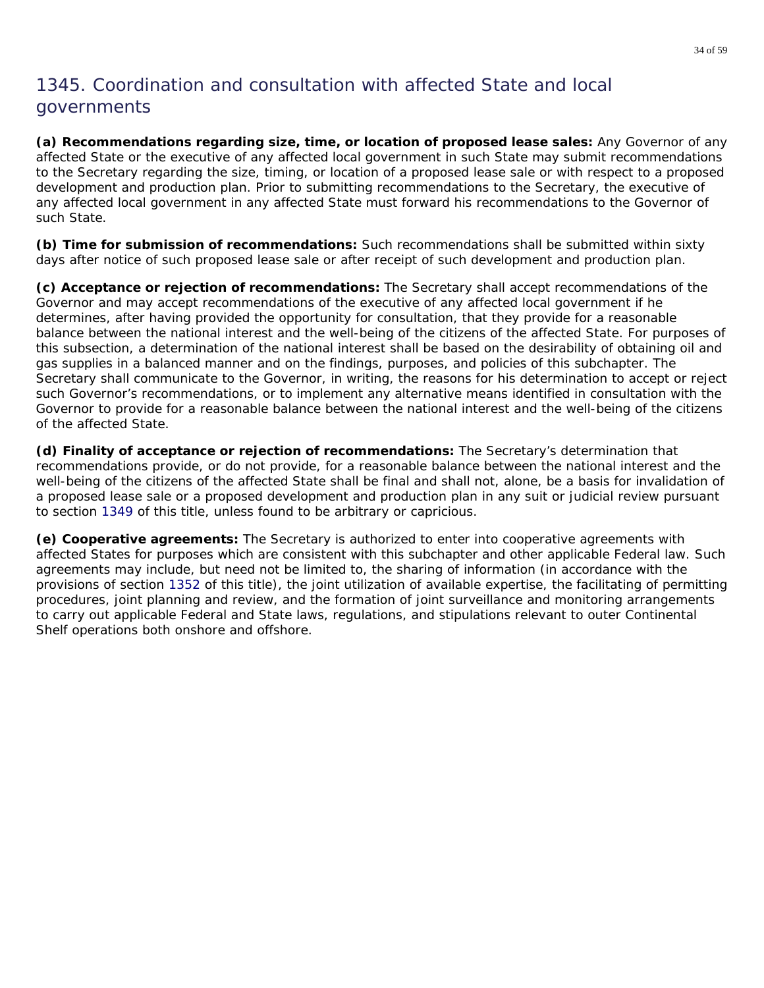### 1345. Coordination and consultation with affected State and local governments

**(a) Recommendations regarding size, time, or location of proposed lease sales:** Any Governor of any affected State or the executive of any affected local government in such State may submit recommendations to the Secretary regarding the size, timing, or location of a proposed lease sale or with respect to a proposed development and production plan. Prior to submitting recommendations to the Secretary, the executive of any affected local government in any affected State must forward his recommendations to the Governor of such State.

**(b) Time for submission of recommendations:** Such recommendations shall be submitted within sixty days after notice of such proposed lease sale or after receipt of such development and production plan.

**(c) Acceptance or rejection of recommendations:** The Secretary shall accept recommendations of the Governor and may accept recommendations of the executive of any affected local government if he determines, after having provided the opportunity for consultation, that they provide for a reasonable balance between the national interest and the well-being of the citizens of the affected State. For purposes of this subsection, a determination of the national interest shall be based on the desirability of obtaining oil and gas supplies in a balanced manner and on the findings, purposes, and policies of this subchapter. The Secretary shall communicate to the Governor, in writing, the reasons for his determination to accept or reject such Governor's recommendations, or to implement any alternative means identified in consultation with the Governor to provide for a reasonable balance between the national interest and the well-being of the citizens of the affected State.

**(d) Finality of acceptance or rejection of recommendations:** The Secretary's determination that recommendations provide, or do not provide, for a reasonable balance between the national interest and the well-being of the citizens of the affected State shall be final and shall not, alone, be a basis for invalidation of a proposed lease sale or a proposed development and production plan in any suit or judicial review pursuant to section 1349 of this title, unless found to be arbitrary or capricious.

**(e) Cooperative agreements:** The Secretary is authorized to enter into cooperative agreements with affected States for purposes which are consistent with this subchapter and other applicable Federal law. Such agreements may include, but need not be limited to, the sharing of information (in accordance with the provisions of section 1352 of this title), the joint utilization of available expertise, the facilitating of permitting procedures, joint planning and review, and the formation of joint surveillance and monitoring arrangements to carry out applicable Federal and State laws, regulations, and stipulations relevant to outer Continental Shelf operations both onshore and offshore.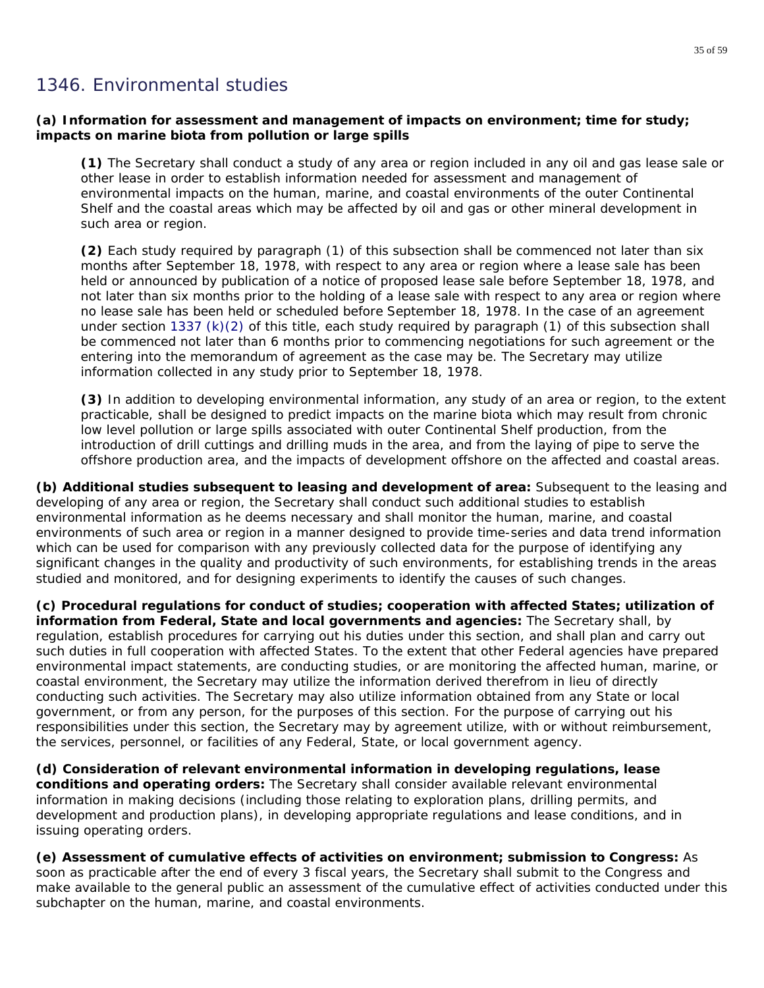## 1346. Environmental studies

#### **(a) Information for assessment and management of impacts on environment; time for study; impacts on marine biota from pollution or large spills**

**(1)** The Secretary shall conduct a study of any area or region included in any oil and gas lease sale or other lease in order to establish information needed for assessment and management of environmental impacts on the human, marine, and coastal environments of the outer Continental Shelf and the coastal areas which may be affected by oil and gas or other mineral development in such area or region.

**(2)** Each study required by paragraph (1) of this subsection shall be commenced not later than six months after September 18, 1978, with respect to any area or region where a lease sale has been held or announced by publication of a notice of proposed lease sale before September 18, 1978, and not later than six months prior to the holding of a lease sale with respect to any area or region where no lease sale has been held or scheduled before September 18, 1978. In the case of an agreement under section 1337 (k)(2) of this title, each study required by paragraph (1) of this subsection shall be commenced not later than 6 months prior to commencing negotiations for such agreement or the entering into the memorandum of agreement as the case may be. The Secretary may utilize information collected in any study prior to September 18, 1978.

**(3)** In addition to developing environmental information, any study of an area or region, to the extent practicable, shall be designed to predict impacts on the marine biota which may result from chronic low level pollution or large spills associated with outer Continental Shelf production, from the introduction of drill cuttings and drilling muds in the area, and from the laying of pipe to serve the offshore production area, and the impacts of development offshore on the affected and coastal areas.

**(b) Additional studies subsequent to leasing and development of area:** Subsequent to the leasing and developing of any area or region, the Secretary shall conduct such additional studies to establish environmental information as he deems necessary and shall monitor the human, marine, and coastal environments of such area or region in a manner designed to provide time-series and data trend information which can be used for comparison with any previously collected data for the purpose of identifying any significant changes in the quality and productivity of such environments, for establishing trends in the areas studied and monitored, and for designing experiments to identify the causes of such changes.

**(c) Procedural regulations for conduct of studies; cooperation with affected States; utilization of information from Federal, State and local governments and agencies:** The Secretary shall, by regulation, establish procedures for carrying out his duties under this section, and shall plan and carry out such duties in full cooperation with affected States. To the extent that other Federal agencies have prepared environmental impact statements, are conducting studies, or are monitoring the affected human, marine, or coastal environment, the Secretary may utilize the information derived therefrom in lieu of directly conducting such activities. The Secretary may also utilize information obtained from any State or local government, or from any person, for the purposes of this section. For the purpose of carrying out his responsibilities under this section, the Secretary may by agreement utilize, with or without reimbursement, the services, personnel, or facilities of any Federal, State, or local government agency.

**(d) Consideration of relevant environmental information in developing regulations, lease conditions and operating orders:** The Secretary shall consider available relevant environmental information in making decisions (including those relating to exploration plans, drilling permits, and development and production plans), in developing appropriate regulations and lease conditions, and in issuing operating orders.

**(e) Assessment of cumulative effects of activities on environment; submission to Congress:** As soon as practicable after the end of every 3 fiscal years, the Secretary shall submit to the Congress and make available to the general public an assessment of the cumulative effect of activities conducted under this subchapter on the human, marine, and coastal environments.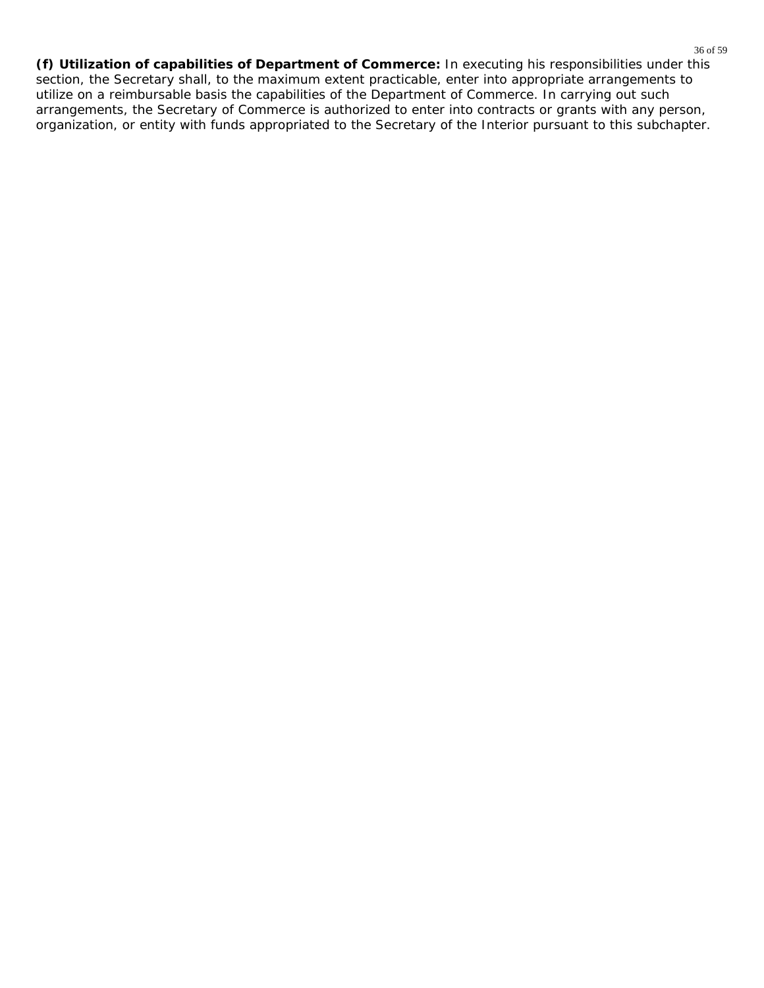**(f) Utilization of capabilities of Department of Commerce:** In executing his responsibilities under this section, the Secretary shall, to the maximum extent practicable, enter into appropriate arrangements to utilize on a reimbursable basis the capabilities of the Department of Commerce. In carrying out such arrangements, the Secretary of Commerce is authorized to enter into contracts or grants with any person, organization, or entity with funds appropriated to the Secretary of the Interior pursuant to this subchapter.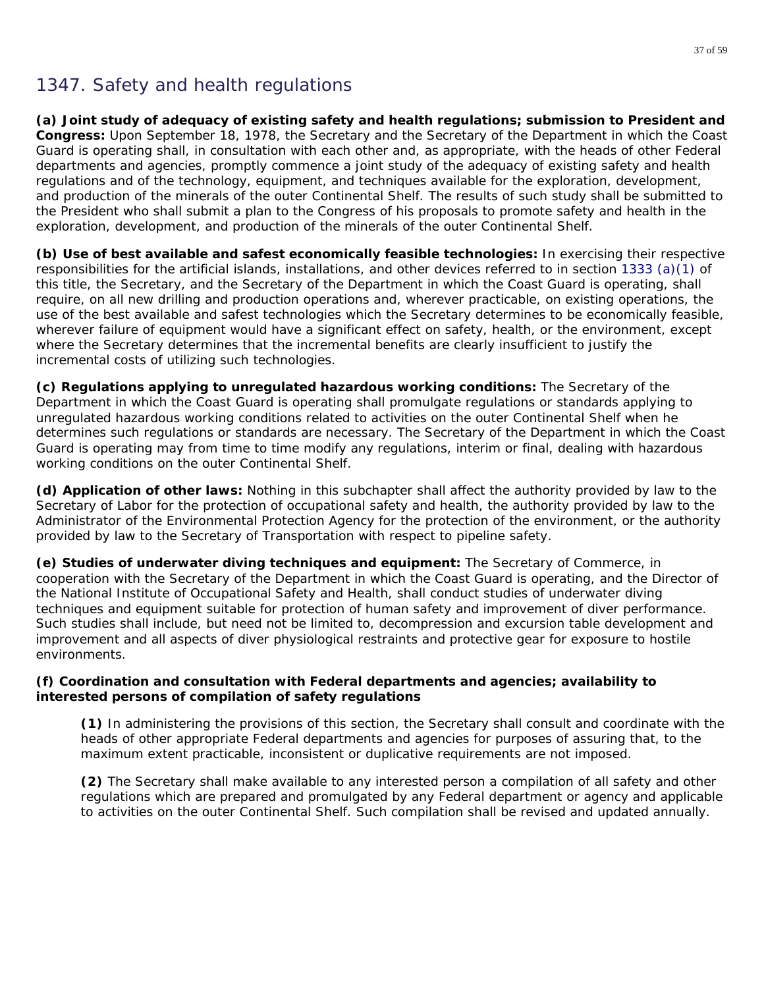## 1347. Safety and health regulations

**(a) Joint study of adequacy of existing safety and health regulations; submission to President and Congress:** Upon September 18, 1978, the Secretary and the Secretary of the Department in which the Coast Guard is operating shall, in consultation with each other and, as appropriate, with the heads of other Federal departments and agencies, promptly commence a joint study of the adequacy of existing safety and health regulations and of the technology, equipment, and techniques available for the exploration, development, and production of the minerals of the outer Continental Shelf. The results of such study shall be submitted to the President who shall submit a plan to the Congress of his proposals to promote safety and health in the exploration, development, and production of the minerals of the outer Continental Shelf.

**(b) Use of best available and safest economically feasible technologies:** In exercising their respective responsibilities for the artificial islands, installations, and other devices referred to in section 1333 (a)(1) of this title, the Secretary, and the Secretary of the Department in which the Coast Guard is operating, shall require, on all new drilling and production operations and, wherever practicable, on existing operations, the use of the best available and safest technologies which the Secretary determines to be economically feasible, wherever failure of equipment would have a significant effect on safety, health, or the environment, except where the Secretary determines that the incremental benefits are clearly insufficient to justify the incremental costs of utilizing such technologies.

**(c) Regulations applying to unregulated hazardous working conditions:** The Secretary of the Department in which the Coast Guard is operating shall promulgate regulations or standards applying to unregulated hazardous working conditions related to activities on the outer Continental Shelf when he determines such regulations or standards are necessary. The Secretary of the Department in which the Coast Guard is operating may from time to time modify any regulations, interim or final, dealing with hazardous working conditions on the outer Continental Shelf.

**(d) Application of other laws:** Nothing in this subchapter shall affect the authority provided by law to the Secretary of Labor for the protection of occupational safety and health, the authority provided by law to the Administrator of the Environmental Protection Agency for the protection of the environment, or the authority provided by law to the Secretary of Transportation with respect to pipeline safety.

**(e) Studies of underwater diving techniques and equipment:** The Secretary of Commerce, in cooperation with the Secretary of the Department in which the Coast Guard is operating, and the Director of the National Institute of Occupational Safety and Health, shall conduct studies of underwater diving techniques and equipment suitable for protection of human safety and improvement of diver performance. Such studies shall include, but need not be limited to, decompression and excursion table development and improvement and all aspects of diver physiological restraints and protective gear for exposure to hostile environments.

#### **(f) Coordination and consultation with Federal departments and agencies; availability to interested persons of compilation of safety regulations**

**(1)** In administering the provisions of this section, the Secretary shall consult and coordinate with the heads of other appropriate Federal departments and agencies for purposes of assuring that, to the maximum extent practicable, inconsistent or duplicative requirements are not imposed.

**(2)** The Secretary shall make available to any interested person a compilation of all safety and other regulations which are prepared and promulgated by any Federal department or agency and applicable to activities on the outer Continental Shelf. Such compilation shall be revised and updated annually.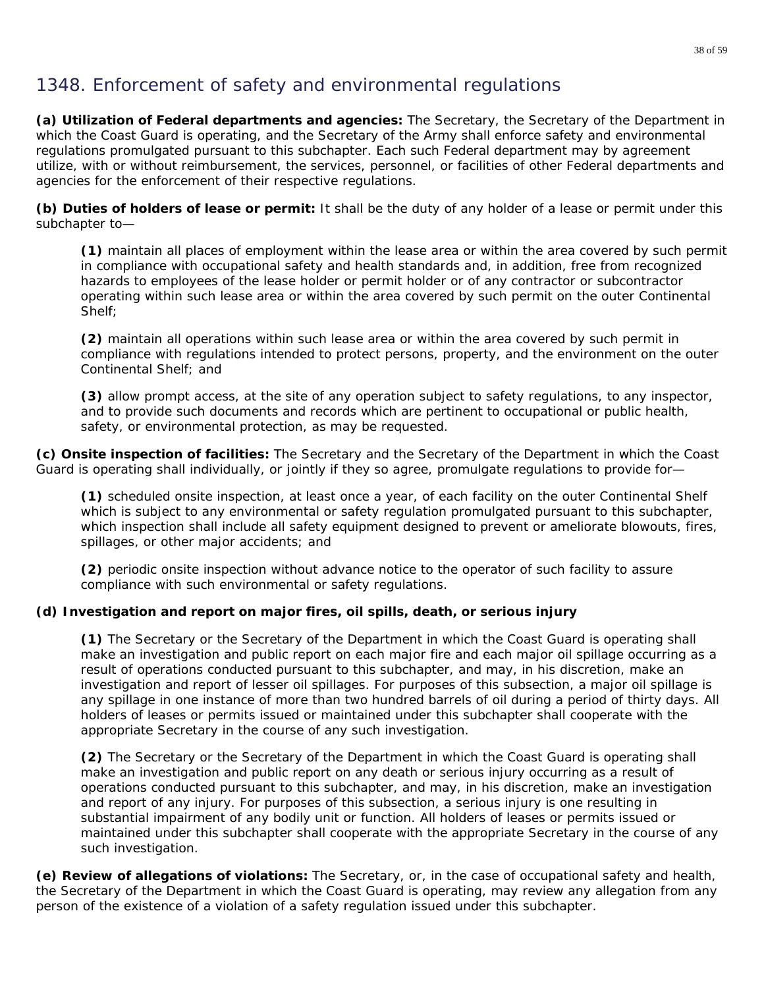## 1348. Enforcement of safety and environmental regulations

**(a) Utilization of Federal departments and agencies:** The Secretary, the Secretary of the Department in which the Coast Guard is operating, and the Secretary of the Army shall enforce safety and environmental regulations promulgated pursuant to this subchapter. Each such Federal department may by agreement utilize, with or without reimbursement, the services, personnel, or facilities of other Federal departments and agencies for the enforcement of their respective regulations.

**(b) Duties of holders of lease or permit:** It shall be the duty of any holder of a lease or permit under this subchapter to—

**(1)** maintain all places of employment within the lease area or within the area covered by such permit in compliance with occupational safety and health standards and, in addition, free from recognized hazards to employees of the lease holder or permit holder or of any contractor or subcontractor operating within such lease area or within the area covered by such permit on the outer Continental Shelf;

**(2)** maintain all operations within such lease area or within the area covered by such permit in compliance with regulations intended to protect persons, property, and the environment on the outer Continental Shelf; and

**(3)** allow prompt access, at the site of any operation subject to safety regulations, to any inspector, and to provide such documents and records which are pertinent to occupational or public health, safety, or environmental protection, as may be requested.

**(c) Onsite inspection of facilities:** The Secretary and the Secretary of the Department in which the Coast Guard is operating shall individually, or jointly if they so agree, promulgate regulations to provide for—

**(1)** scheduled onsite inspection, at least once a year, of each facility on the outer Continental Shelf which is subject to any environmental or safety regulation promulgated pursuant to this subchapter, which inspection shall include all safety equipment designed to prevent or ameliorate blowouts, fires, spillages, or other major accidents; and

**(2)** periodic onsite inspection without advance notice to the operator of such facility to assure compliance with such environmental or safety regulations.

#### **(d) Investigation and report on major fires, oil spills, death, or serious injury**

**(1)** The Secretary or the Secretary of the Department in which the Coast Guard is operating shall make an investigation and public report on each major fire and each major oil spillage occurring as a result of operations conducted pursuant to this subchapter, and may, in his discretion, make an investigation and report of lesser oil spillages. For purposes of this subsection, a major oil spillage is any spillage in one instance of more than two hundred barrels of oil during a period of thirty days. All holders of leases or permits issued or maintained under this subchapter shall cooperate with the appropriate Secretary in the course of any such investigation.

**(2)** The Secretary or the Secretary of the Department in which the Coast Guard is operating shall make an investigation and public report on any death or serious injury occurring as a result of operations conducted pursuant to this subchapter, and may, in his discretion, make an investigation and report of any injury. For purposes of this subsection, a serious injury is one resulting in substantial impairment of any bodily unit or function. All holders of leases or permits issued or maintained under this subchapter shall cooperate with the appropriate Secretary in the course of any such investigation.

**(e) Review of allegations of violations:** The Secretary, or, in the case of occupational safety and health, the Secretary of the Department in which the Coast Guard is operating, may review any allegation from any person of the existence of a violation of a safety regulation issued under this subchapter.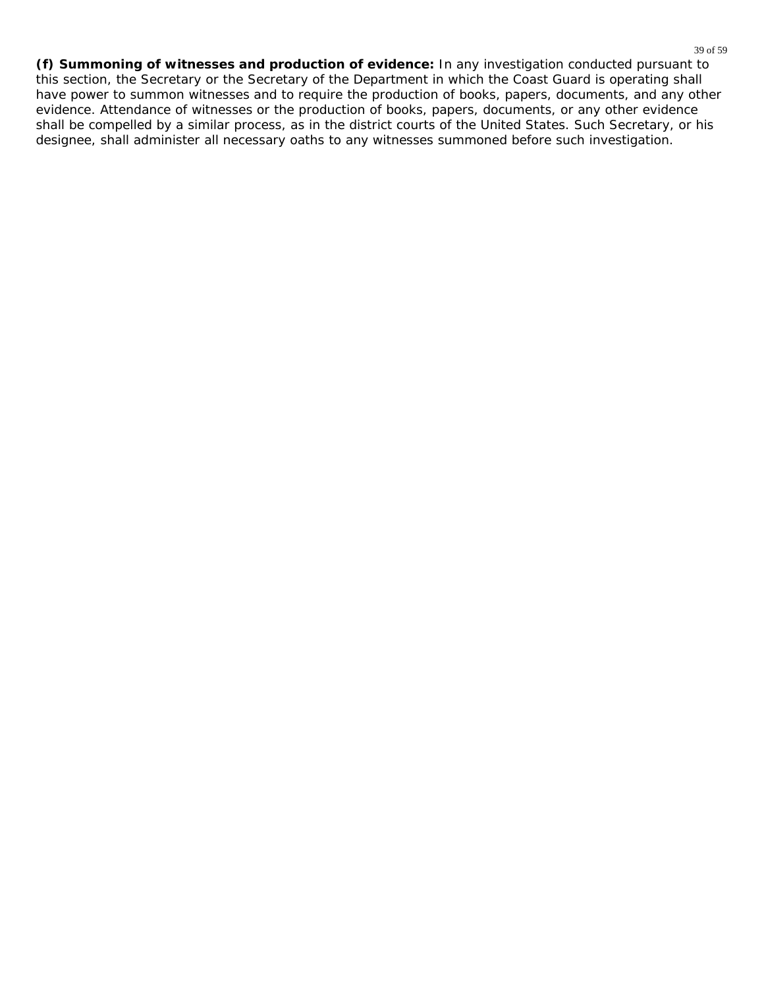**(f) Summoning of witnesses and production of evidence:** In any investigation conducted pursuant to this section, the Secretary or the Secretary of the Department in which the Coast Guard is operating shall have power to summon witnesses and to require the production of books, papers, documents, and any other evidence. Attendance of witnesses or the production of books, papers, documents, or any other evidence shall be compelled by a similar process, as in the district courts of the United States. Such Secretary, or his designee, shall administer all necessary oaths to any witnesses summoned before such investigation.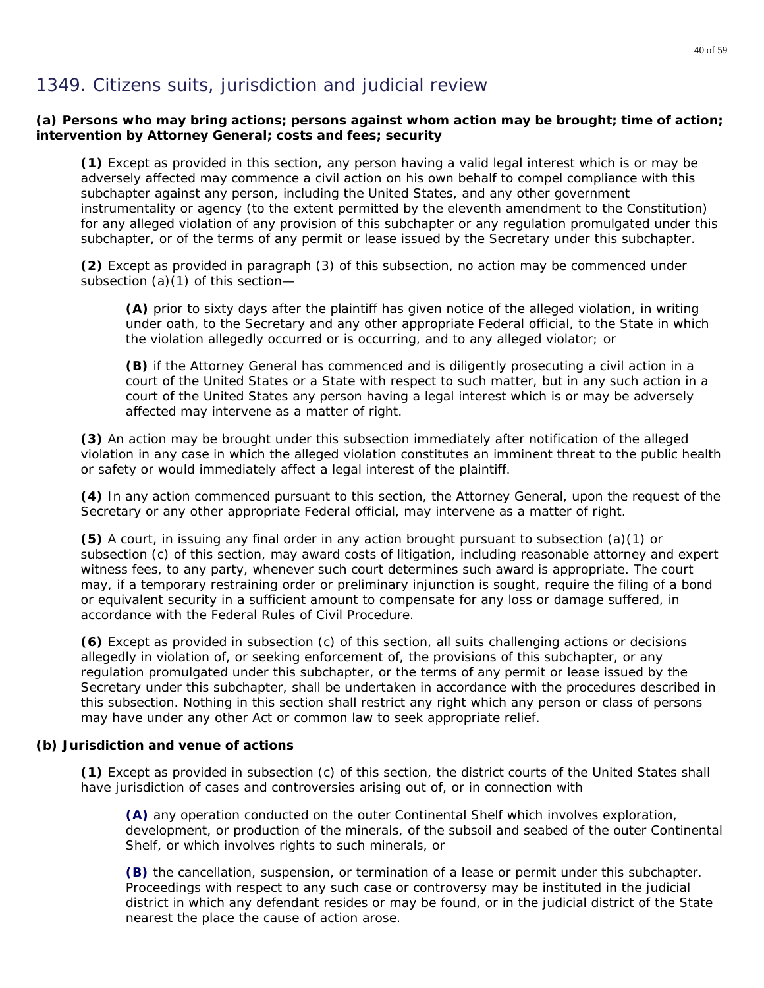## 1349. Citizens suits, jurisdiction and judicial review

#### **(a) Persons who may bring actions; persons against whom action may be brought; time of action; intervention by Attorney General; costs and fees; security**

**(1)** Except as provided in this section, any person having a valid legal interest which is or may be adversely affected may commence a civil action on his own behalf to compel compliance with this subchapter against any person, including the United States, and any other government instrumentality or agency (to the extent permitted by the eleventh amendment to the Constitution) for any alleged violation of any provision of this subchapter or any regulation promulgated under this subchapter, or of the terms of any permit or lease issued by the Secretary under this subchapter.

**(2)** Except as provided in paragraph (3) of this subsection, no action may be commenced under subsection (a)(1) of this section—

**(A)** prior to sixty days after the plaintiff has given notice of the alleged violation, in writing under oath, to the Secretary and any other appropriate Federal official, to the State in which the violation allegedly occurred or is occurring, and to any alleged violator; or

**(B)** if the Attorney General has commenced and is diligently prosecuting a civil action in a court of the United States or a State with respect to such matter, but in any such action in a court of the United States any person having a legal interest which is or may be adversely affected may intervene as a matter of right.

**(3)** An action may be brought under this subsection immediately after notification of the alleged violation in any case in which the alleged violation constitutes an imminent threat to the public health or safety or would immediately affect a legal interest of the plaintiff.

**(4)** In any action commenced pursuant to this section, the Attorney General, upon the request of the Secretary or any other appropriate Federal official, may intervene as a matter of right.

**(5)** A court, in issuing any final order in any action brought pursuant to subsection (a)(1) or subsection (c) of this section, may award costs of litigation, including reasonable attorney and expert witness fees, to any party, whenever such court determines such award is appropriate. The court may, if a temporary restraining order or preliminary injunction is sought, require the filing of a bond or equivalent security in a sufficient amount to compensate for any loss or damage suffered, in accordance with the Federal Rules of Civil Procedure.

**(6)** Except as provided in subsection (c) of this section, all suits challenging actions or decisions allegedly in violation of, or seeking enforcement of, the provisions of this subchapter, or any regulation promulgated under this subchapter, or the terms of any permit or lease issued by the Secretary under this subchapter, shall be undertaken in accordance with the procedures described in this subsection. Nothing in this section shall restrict any right which any person or class of persons may have under any other Act or common law to seek appropriate relief.

#### **(b) Jurisdiction and venue of actions**

**(1)** Except as provided in subsection (c) of this section, the district courts of the United States shall have jurisdiction of cases and controversies arising out of, or in connection with

**(A)** any operation conducted on the outer Continental Shelf which involves exploration, development, or production of the minerals, of the subsoil and seabed of the outer Continental Shelf, or which involves rights to such minerals, or

**(B)** the cancellation, suspension, or termination of a lease or permit under this subchapter. Proceedings with respect to any such case or controversy may be instituted in the judicial district in which any defendant resides or may be found, or in the judicial district of the State nearest the place the cause of action arose.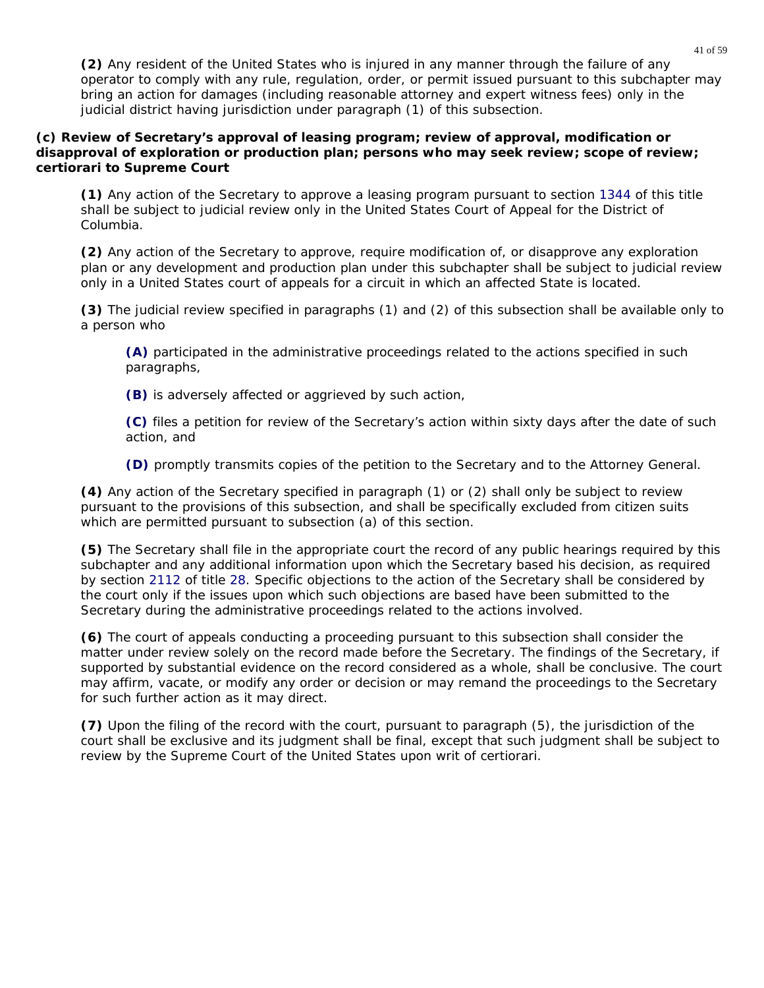**(2)** Any resident of the United States who is injured in any manner through the failure of any operator to comply with any rule, regulation, order, or permit issued pursuant to this subchapter may bring an action for damages (including reasonable attorney and expert witness fees) only in the judicial district having jurisdiction under paragraph (1) of this subsection.

#### **(c) Review of Secretary's approval of leasing program; review of approval, modification or disapproval of exploration or production plan; persons who may seek review; scope of review; certiorari to Supreme Court**

**(1)** Any action of the Secretary to approve a leasing program pursuant to section 1344 of this title shall be subject to judicial review only in the United States Court of Appeal for the District of Columbia.

**(2)** Any action of the Secretary to approve, require modification of, or disapprove any exploration plan or any development and production plan under this subchapter shall be subject to judicial review only in a United States court of appeals for a circuit in which an affected State is located.

**(3)** The judicial review specified in paragraphs (1) and (2) of this subsection shall be available only to a person who

**(A)** participated in the administrative proceedings related to the actions specified in such paragraphs,

**(B)** is adversely affected or aggrieved by such action,

**(C)** files a petition for review of the Secretary's action within sixty days after the date of such action, and

**(D)** promptly transmits copies of the petition to the Secretary and to the Attorney General.

**(4)** Any action of the Secretary specified in paragraph (1) or (2) shall only be subject to review pursuant to the provisions of this subsection, and shall be specifically excluded from citizen suits which are permitted pursuant to subsection (a) of this section.

**(5)** The Secretary shall file in the appropriate court the record of any public hearings required by this subchapter and any additional information upon which the Secretary based his decision, as required by section 2112 of title 28. Specific objections to the action of the Secretary shall be considered by the court only if the issues upon which such objections are based have been submitted to the Secretary during the administrative proceedings related to the actions involved.

**(6)** The court of appeals conducting a proceeding pursuant to this subsection shall consider the matter under review solely on the record made before the Secretary. The findings of the Secretary, if supported by substantial evidence on the record considered as a whole, shall be conclusive. The court may affirm, vacate, or modify any order or decision or may remand the proceedings to the Secretary for such further action as it may direct.

**(7)** Upon the filing of the record with the court, pursuant to paragraph (5), the jurisdiction of the court shall be exclusive and its judgment shall be final, except that such judgment shall be subject to review by the Supreme Court of the United States upon writ of certiorari.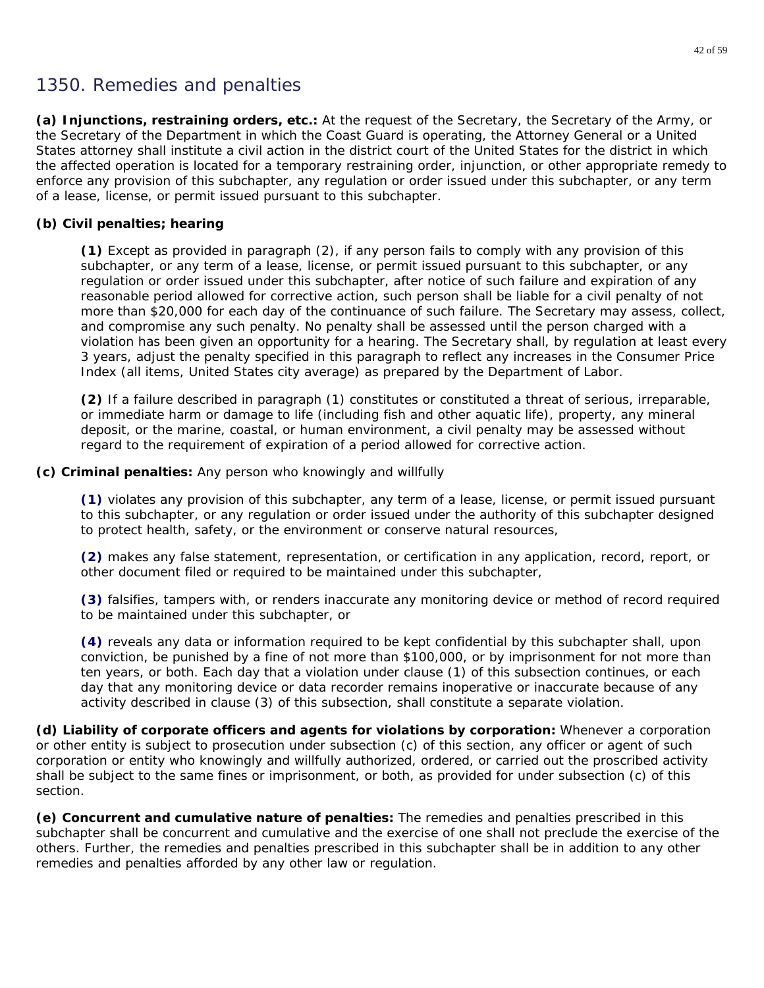### 1350. Remedies and penalties

**(a) Injunctions, restraining orders, etc.:** At the request of the Secretary, the Secretary of the Army, or the Secretary of the Department in which the Coast Guard is operating, the Attorney General or a United States attorney shall institute a civil action in the district court of the United States for the district in which the affected operation is located for a temporary restraining order, injunction, or other appropriate remedy to enforce any provision of this subchapter, any regulation or order issued under this subchapter, or any term of a lease, license, or permit issued pursuant to this subchapter.

#### **(b) Civil penalties; hearing**

**(1)** Except as provided in paragraph (2), if any person fails to comply with any provision of this subchapter, or any term of a lease, license, or permit issued pursuant to this subchapter, or any regulation or order issued under this subchapter, after notice of such failure and expiration of any reasonable period allowed for corrective action, such person shall be liable for a civil penalty of not more than \$20,000 for each day of the continuance of such failure. The Secretary may assess, collect, and compromise any such penalty. No penalty shall be assessed until the person charged with a violation has been given an opportunity for a hearing. The Secretary shall, by regulation at least every 3 years, adjust the penalty specified in this paragraph to reflect any increases in the Consumer Price Index (all items, United States city average) as prepared by the Department of Labor.

**(2)** If a failure described in paragraph (1) constitutes or constituted a threat of serious, irreparable, or immediate harm or damage to life (including fish and other aquatic life), property, any mineral deposit, or the marine, coastal, or human environment, a civil penalty may be assessed without regard to the requirement of expiration of a period allowed for corrective action.

#### **(c) Criminal penalties:** Any person who knowingly and willfully

**(1)** violates any provision of this subchapter, any term of a lease, license, or permit issued pursuant to this subchapter, or any regulation or order issued under the authority of this subchapter designed to protect health, safety, or the environment or conserve natural resources,

**(2)** makes any false statement, representation, or certification in any application, record, report, or other document filed or required to be maintained under this subchapter,

**(3)** falsifies, tampers with, or renders inaccurate any monitoring device or method of record required to be maintained under this subchapter, or

**(4)** reveals any data or information required to be kept confidential by this subchapter shall, upon conviction, be punished by a fine of not more than \$100,000, or by imprisonment for not more than ten years, or both. Each day that a violation under clause (1) of this subsection continues, or each day that any monitoring device or data recorder remains inoperative or inaccurate because of any activity described in clause (3) of this subsection, shall constitute a separate violation.

**(d) Liability of corporate officers and agents for violations by corporation:** Whenever a corporation or other entity is subject to prosecution under subsection (c) of this section, any officer or agent of such corporation or entity who knowingly and willfully authorized, ordered, or carried out the proscribed activity shall be subject to the same fines or imprisonment, or both, as provided for under subsection (c) of this section.

**(e) Concurrent and cumulative nature of penalties:** The remedies and penalties prescribed in this subchapter shall be concurrent and cumulative and the exercise of one shall not preclude the exercise of the others. Further, the remedies and penalties prescribed in this subchapter shall be in addition to any other remedies and penalties afforded by any other law or regulation.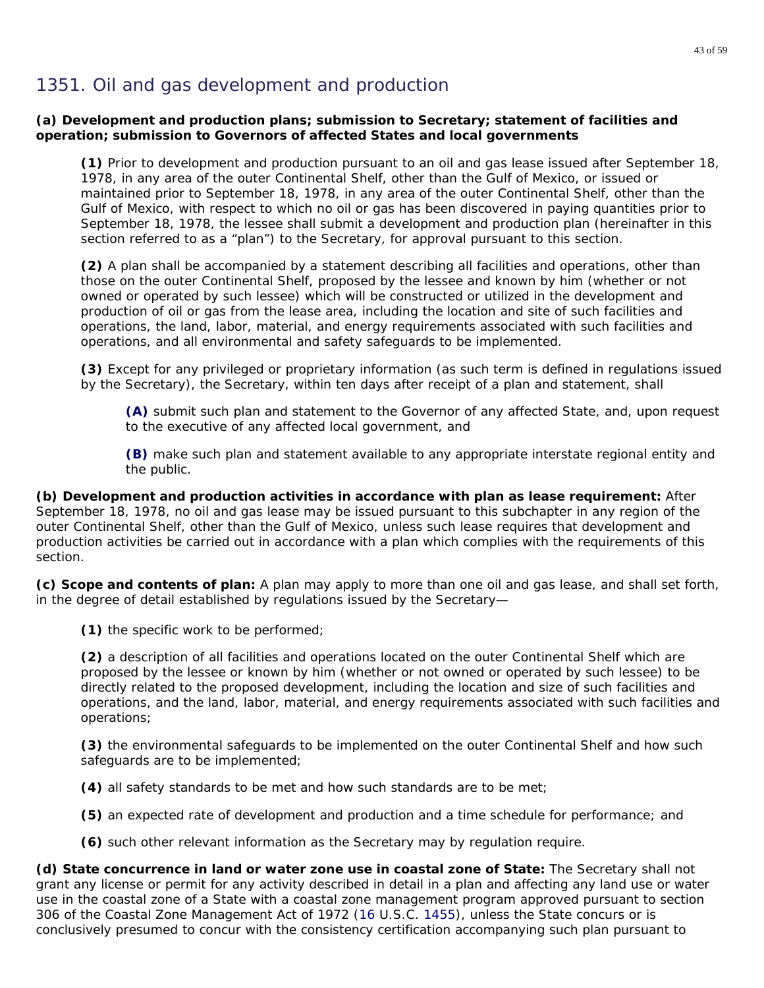## 1351. Oil and gas development and production

#### **(a) Development and production plans; submission to Secretary; statement of facilities and operation; submission to Governors of affected States and local governments**

**(1)** Prior to development and production pursuant to an oil and gas lease issued after September 18, 1978, in any area of the outer Continental Shelf, other than the Gulf of Mexico, or issued or maintained prior to September 18, 1978, in any area of the outer Continental Shelf, other than the Gulf of Mexico, with respect to which no oil or gas has been discovered in paying quantities prior to September 18, 1978, the lessee shall submit a development and production plan (hereinafter in this section referred to as a "plan") to the Secretary, for approval pursuant to this section.

**(2)** A plan shall be accompanied by a statement describing all facilities and operations, other than those on the outer Continental Shelf, proposed by the lessee and known by him (whether or not owned or operated by such lessee) which will be constructed or utilized in the development and production of oil or gas from the lease area, including the location and site of such facilities and operations, the land, labor, material, and energy requirements associated with such facilities and operations, and all environmental and safety safeguards to be implemented.

**(3)** Except for any privileged or proprietary information (as such term is defined in regulations issued by the Secretary), the Secretary, within ten days after receipt of a plan and statement, shall

**(A)** submit such plan and statement to the Governor of any affected State, and, upon request to the executive of any affected local government, and

**(B)** make such plan and statement available to any appropriate interstate regional entity and the public.

**(b) Development and production activities in accordance with plan as lease requirement:** After September 18, 1978, no oil and gas lease may be issued pursuant to this subchapter in any region of the outer Continental Shelf, other than the Gulf of Mexico, unless such lease requires that development and production activities be carried out in accordance with a plan which complies with the requirements of this section.

**(c) Scope and contents of plan:** A plan may apply to more than one oil and gas lease, and shall set forth, in the degree of detail established by regulations issued by the Secretary—

**(1)** the specific work to be performed;

**(2)** a description of all facilities and operations located on the outer Continental Shelf which are proposed by the lessee or known by him (whether or not owned or operated by such lessee) to be directly related to the proposed development, including the location and size of such facilities and operations, and the land, labor, material, and energy requirements associated with such facilities and operations;

**(3)** the environmental safeguards to be implemented on the outer Continental Shelf and how such safeguards are to be implemented;

**(4)** all safety standards to be met and how such standards are to be met;

**(5)** an expected rate of development and production and a time schedule for performance; and

**(6)** such other relevant information as the Secretary may by regulation require.

**(d) State concurrence in land or water zone use in coastal zone of State:** The Secretary shall not grant any license or permit for any activity described in detail in a plan and affecting any land use or water use in the coastal zone of a State with a coastal zone management program approved pursuant to section 306 of the Coastal Zone Management Act of 1972 (16 U.S.C. 1455), unless the State concurs or is conclusively presumed to concur with the consistency certification accompanying such plan pursuant to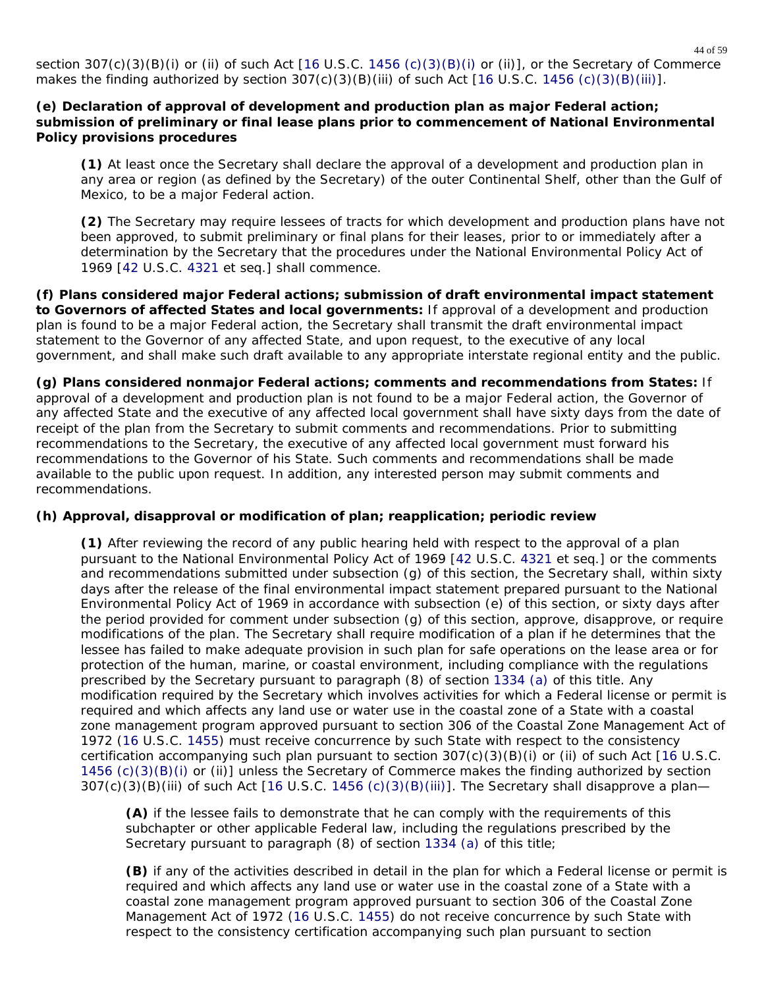section 307(c)(3)(B)(i) or (ii) of such Act [16 U.S.C. 1456 (c)(3)(B)(i) or (ii)], or the Secretary of Commerce makes the finding authorized by section  $307(c)(3)(B)(iii)$  of such Act [16 U.S.C. 1456 (c)(3)(B)(iii)].

#### **(e) Declaration of approval of development and production plan as major Federal action; submission of preliminary or final lease plans prior to commencement of National Environmental Policy provisions procedures**

**(1)** At least once the Secretary shall declare the approval of a development and production plan in any area or region (as defined by the Secretary) of the outer Continental Shelf, other than the Gulf of Mexico, to be a major Federal action.

**(2)** The Secretary may require lessees of tracts for which development and production plans have not been approved, to submit preliminary or final plans for their leases, prior to or immediately after a determination by the Secretary that the procedures under the National Environmental Policy Act of 1969 [42 U.S.C. 4321 et seq.] shall commence.

**(f) Plans considered major Federal actions; submission of draft environmental impact statement to Governors of affected States and local governments:** If approval of a development and production plan is found to be a major Federal action, the Secretary shall transmit the draft environmental impact statement to the Governor of any affected State, and upon request, to the executive of any local government, and shall make such draft available to any appropriate interstate regional entity and the public.

**(g) Plans considered nonmajor Federal actions; comments and recommendations from States:** If approval of a development and production plan is not found to be a major Federal action, the Governor of any affected State and the executive of any affected local government shall have sixty days from the date of receipt of the plan from the Secretary to submit comments and recommendations. Prior to submitting recommendations to the Secretary, the executive of any affected local government must forward his recommendations to the Governor of his State. Such comments and recommendations shall be made available to the public upon request. In addition, any interested person may submit comments and recommendations.

#### **(h) Approval, disapproval or modification of plan; reapplication; periodic review**

**(1)** After reviewing the record of any public hearing held with respect to the approval of a plan pursuant to the National Environmental Policy Act of 1969 [42 U.S.C. 4321 et seq.] or the comments and recommendations submitted under subsection (g) of this section, the Secretary shall, within sixty days after the release of the final environmental impact statement prepared pursuant to the National Environmental Policy Act of 1969 in accordance with subsection (e) of this section, or sixty days after the period provided for comment under subsection (g) of this section, approve, disapprove, or require modifications of the plan. The Secretary shall require modification of a plan if he determines that the lessee has failed to make adequate provision in such plan for safe operations on the lease area or for protection of the human, marine, or coastal environment, including compliance with the regulations prescribed by the Secretary pursuant to paragraph (8) of section 1334 (a) of this title. Any modification required by the Secretary which involves activities for which a Federal license or permit is required and which affects any land use or water use in the coastal zone of a State with a coastal zone management program approved pursuant to section 306 of the Coastal Zone Management Act of 1972 (16 U.S.C. 1455) must receive concurrence by such State with respect to the consistency certification accompanying such plan pursuant to section  $307(c)(3)(B)(i)$  or (ii) of such Act [16 U.S.C. 1456 (c)(3)(B)(i) or (ii)] unless the Secretary of Commerce makes the finding authorized by section  $307(c)(3)(B)(iii)$  of such Act [16 U.S.C. 1456 (c)(3)(B)(iii)]. The Secretary shall disapprove a plan—

**(A)** if the lessee fails to demonstrate that he can comply with the requirements of this subchapter or other applicable Federal law, including the regulations prescribed by the Secretary pursuant to paragraph (8) of section 1334 (a) of this title;

**(B)** if any of the activities described in detail in the plan for which a Federal license or permit is required and which affects any land use or water use in the coastal zone of a State with a coastal zone management program approved pursuant to section 306 of the Coastal Zone Management Act of 1972 (16 U.S.C. 1455) do not receive concurrence by such State with respect to the consistency certification accompanying such plan pursuant to section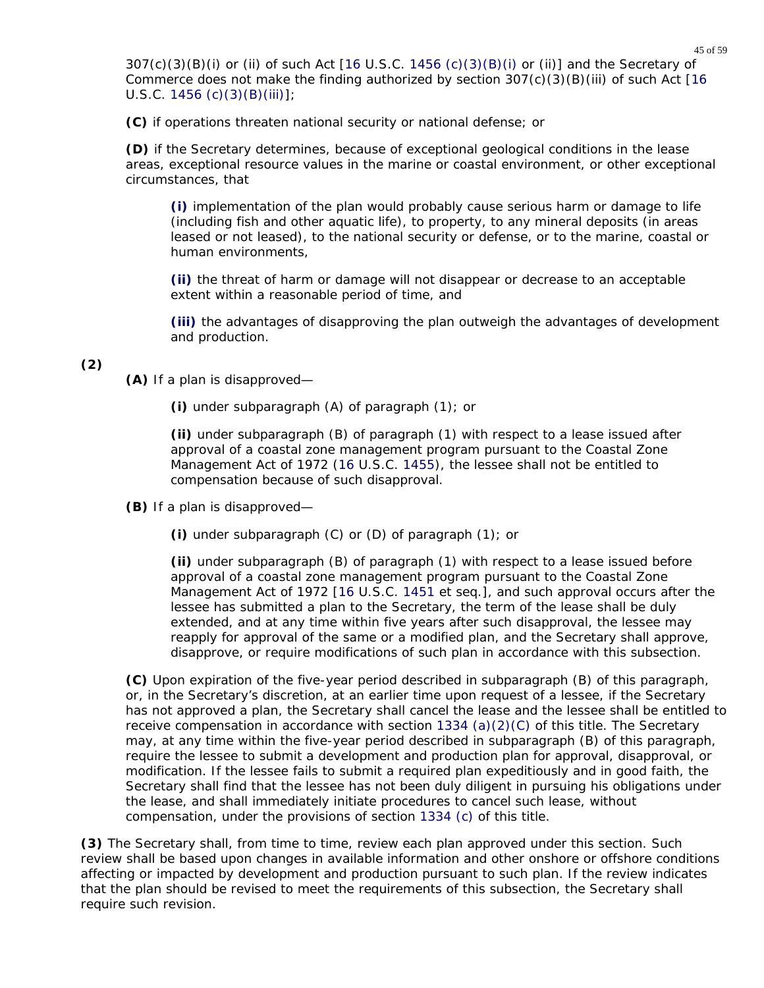$307(c)(3)(B)(i)$  or (ii) of such Act [16 U.S.C. 1456 (c)(3)(B)(i) or (ii)] and the Secretary of Commerce does not make the finding authorized by section  $307(c)(3)(B)(iii)$  of such Act [16] U.S.C. 1456 (c)(3)(B)(iii)];

**(C)** if operations threaten national security or national defense; or

**(D)** if the Secretary determines, because of exceptional geological conditions in the lease areas, exceptional resource values in the marine or coastal environment, or other exceptional circumstances, that

**(i)** implementation of the plan would probably cause serious harm or damage to life (including fish and other aquatic life), to property, to any mineral deposits (in areas leased or not leased), to the national security or defense, or to the marine, coastal or human environments,

**(ii)** the threat of harm or damage will not disappear or decrease to an acceptable extent within a reasonable period of time, and

**(iii)** the advantages of disapproving the plan outweigh the advantages of development and production.

#### **(2)**

**(A)** If a plan is disapproved—

**(i)** under subparagraph (A) of paragraph (1); or

**(ii)** under subparagraph (B) of paragraph (1) with respect to a lease issued after approval of a coastal zone management program pursuant to the Coastal Zone Management Act of 1972 (16 U.S.C. 1455), the lessee shall not be entitled to compensation because of such disapproval.

**(B)** If a plan is disapproved—

**(i)** under subparagraph (C) or (D) of paragraph (1); or

**(ii)** under subparagraph (B) of paragraph (1) with respect to a lease issued before approval of a coastal zone management program pursuant to the Coastal Zone Management Act of 1972 [16 U.S.C. 1451 et seq.], and such approval occurs after the lessee has submitted a plan to the Secretary, the term of the lease shall be duly extended, and at any time within five years after such disapproval, the lessee may reapply for approval of the same or a modified plan, and the Secretary shall approve, disapprove, or require modifications of such plan in accordance with this subsection.

**(C)** Upon expiration of the five-year period described in subparagraph (B) of this paragraph, or, in the Secretary's discretion, at an earlier time upon request of a lessee, if the Secretary has not approved a plan, the Secretary shall cancel the lease and the lessee shall be entitled to receive compensation in accordance with section 1334 (a)(2)(C) of this title. The Secretary may, at any time within the five-year period described in subparagraph (B) of this paragraph, require the lessee to submit a development and production plan for approval, disapproval, or modification. If the lessee fails to submit a required plan expeditiously and in good faith, the Secretary shall find that the lessee has not been duly diligent in pursuing his obligations under the lease, and shall immediately initiate procedures to cancel such lease, without compensation, under the provisions of section 1334 (c) of this title.

**(3)** The Secretary shall, from time to time, review each plan approved under this section. Such review shall be based upon changes in available information and other onshore or offshore conditions affecting or impacted by development and production pursuant to such plan. If the review indicates that the plan should be revised to meet the requirements of this subsection, the Secretary shall require such revision.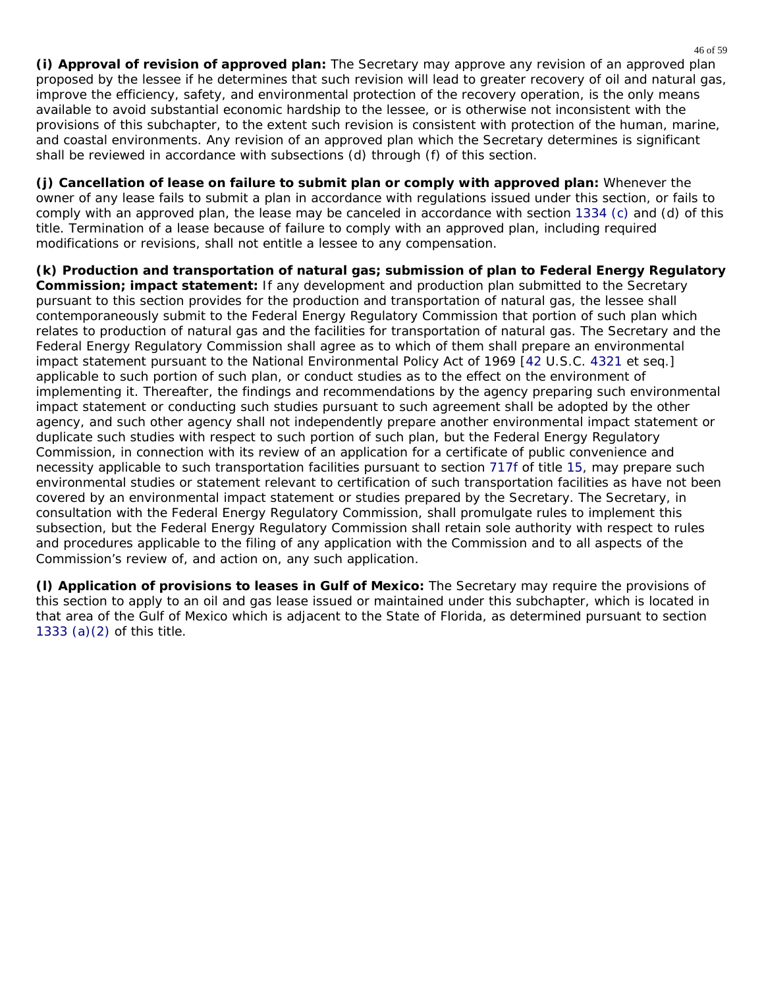**(i) Approval of revision of approved plan:** The Secretary may approve any revision of an approved plan proposed by the lessee if he determines that such revision will lead to greater recovery of oil and natural gas, improve the efficiency, safety, and environmental protection of the recovery operation, is the only means available to avoid substantial economic hardship to the lessee, or is otherwise not inconsistent with the provisions of this subchapter, to the extent such revision is consistent with protection of the human, marine, and coastal environments. Any revision of an approved plan which the Secretary determines is significant shall be reviewed in accordance with subsections (d) through (f) of this section.

**(j) Cancellation of lease on failure to submit plan or comply with approved plan:** Whenever the owner of any lease fails to submit a plan in accordance with regulations issued under this section, or fails to comply with an approved plan, the lease may be canceled in accordance with section 1334 (c) and (d) of this title. Termination of a lease because of failure to comply with an approved plan, including required modifications or revisions, shall not entitle a lessee to any compensation.

**(k) Production and transportation of natural gas; submission of plan to Federal Energy Regulatory Commission; impact statement:** If any development and production plan submitted to the Secretary pursuant to this section provides for the production and transportation of natural gas, the lessee shall contemporaneously submit to the Federal Energy Regulatory Commission that portion of such plan which relates to production of natural gas and the facilities for transportation of natural gas. The Secretary and the Federal Energy Regulatory Commission shall agree as to which of them shall prepare an environmental impact statement pursuant to the National Environmental Policy Act of 1969 [42 U.S.C. 4321 et seq.] applicable to such portion of such plan, or conduct studies as to the effect on the environment of implementing it. Thereafter, the findings and recommendations by the agency preparing such environmental impact statement or conducting such studies pursuant to such agreement shall be adopted by the other agency, and such other agency shall not independently prepare another environmental impact statement or duplicate such studies with respect to such portion of such plan, but the Federal Energy Regulatory Commission, in connection with its review of an application for a certificate of public convenience and necessity applicable to such transportation facilities pursuant to section 717f of title 15, may prepare such environmental studies or statement relevant to certification of such transportation facilities as have not been covered by an environmental impact statement or studies prepared by the Secretary. The Secretary, in consultation with the Federal Energy Regulatory Commission, shall promulgate rules to implement this subsection, but the Federal Energy Regulatory Commission shall retain sole authority with respect to rules and procedures applicable to the filing of any application with the Commission and to all aspects of the Commission's review of, and action on, any such application.

**(l) Application of provisions to leases in Gulf of Mexico:** The Secretary may require the provisions of this section to apply to an oil and gas lease issued or maintained under this subchapter, which is located in that area of the Gulf of Mexico which is adjacent to the State of Florida, as determined pursuant to section 1333 (a)(2) of this title.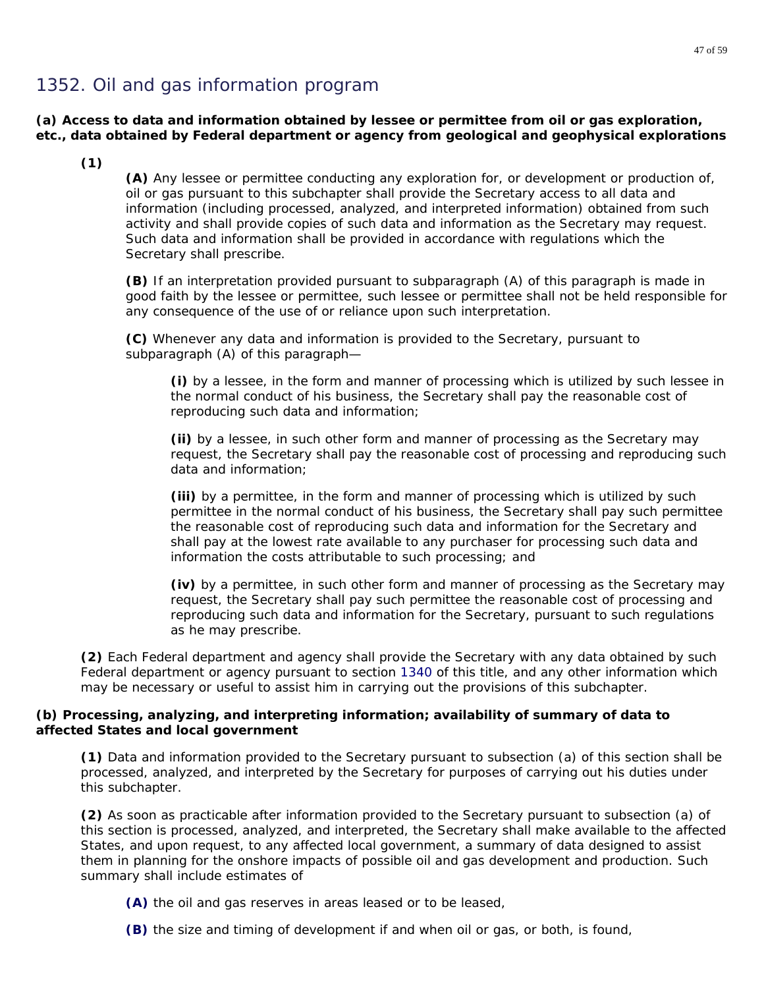## 1352. Oil and gas information program

**(a) Access to data and information obtained by lessee or permittee from oil or gas exploration, etc., data obtained by Federal department or agency from geological and geophysical explorations** 

#### **(1)**

**(A)** Any lessee or permittee conducting any exploration for, or development or production of, oil or gas pursuant to this subchapter shall provide the Secretary access to all data and information (including processed, analyzed, and interpreted information) obtained from such activity and shall provide copies of such data and information as the Secretary may request. Such data and information shall be provided in accordance with regulations which the Secretary shall prescribe.

**(B)** If an interpretation provided pursuant to subparagraph (A) of this paragraph is made in good faith by the lessee or permittee, such lessee or permittee shall not be held responsible for any consequence of the use of or reliance upon such interpretation.

**(C)** Whenever any data and information is provided to the Secretary, pursuant to subparagraph (A) of this paragraph—

**(i)** by a lessee, in the form and manner of processing which is utilized by such lessee in the normal conduct of his business, the Secretary shall pay the reasonable cost of reproducing such data and information;

**(ii)** by a lessee, in such other form and manner of processing as the Secretary may request, the Secretary shall pay the reasonable cost of processing and reproducing such data and information;

**(iii)** by a permittee, in the form and manner of processing which is utilized by such permittee in the normal conduct of his business, the Secretary shall pay such permittee the reasonable cost of reproducing such data and information for the Secretary and shall pay at the lowest rate available to any purchaser for processing such data and information the costs attributable to such processing; and

**(iv)** by a permittee, in such other form and manner of processing as the Secretary may request, the Secretary shall pay such permittee the reasonable cost of processing and reproducing such data and information for the Secretary, pursuant to such regulations as he may prescribe.

**(2)** Each Federal department and agency shall provide the Secretary with any data obtained by such Federal department or agency pursuant to section 1340 of this title, and any other information which may be necessary or useful to assist him in carrying out the provisions of this subchapter.

#### **(b) Processing, analyzing, and interpreting information; availability of summary of data to affected States and local government**

**(1)** Data and information provided to the Secretary pursuant to subsection (a) of this section shall be processed, analyzed, and interpreted by the Secretary for purposes of carrying out his duties under this subchapter.

**(2)** As soon as practicable after information provided to the Secretary pursuant to subsection (a) of this section is processed, analyzed, and interpreted, the Secretary shall make available to the affected States, and upon request, to any affected local government, a summary of data designed to assist them in planning for the onshore impacts of possible oil and gas development and production. Such summary shall include estimates of

- **(A)** the oil and gas reserves in areas leased or to be leased,
- **(B)** the size and timing of development if and when oil or gas, or both, is found,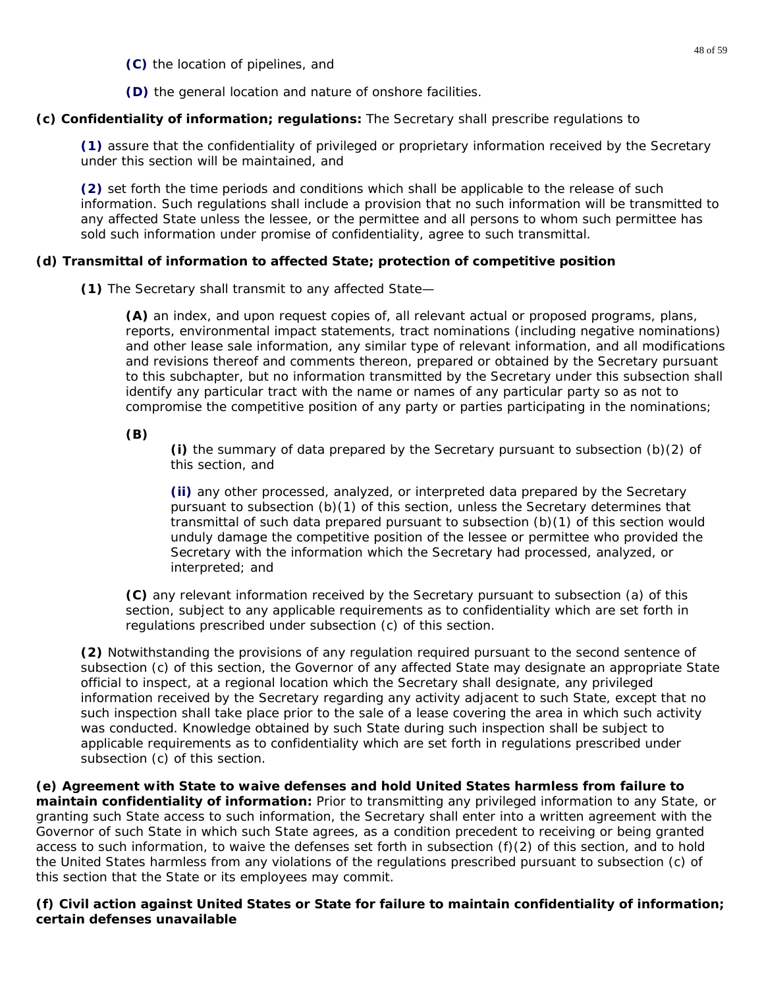**(C)** the location of pipelines, and

**(D)** the general location and nature of onshore facilities.

#### **(c) Confidentiality of information; regulations:** The Secretary shall prescribe regulations to

**(1)** assure that the confidentiality of privileged or proprietary information received by the Secretary under this section will be maintained, and

**(2)** set forth the time periods and conditions which shall be applicable to the release of such information. Such regulations shall include a provision that no such information will be transmitted to any affected State unless the lessee, or the permittee and all persons to whom such permittee has sold such information under promise of confidentiality, agree to such transmittal.

#### **(d) Transmittal of information to affected State; protection of competitive position**

**(1)** The Secretary shall transmit to any affected State—

**(A)** an index, and upon request copies of, all relevant actual or proposed programs, plans, reports, environmental impact statements, tract nominations (including negative nominations) and other lease sale information, any similar type of relevant information, and all modifications and revisions thereof and comments thereon, prepared or obtained by the Secretary pursuant to this subchapter, but no information transmitted by the Secretary under this subsection shall identify any particular tract with the name or names of any particular party so as not to compromise the competitive position of any party or parties participating in the nominations;

**(B)**

**(i)** the summary of data prepared by the Secretary pursuant to subsection (b)(2) of this section, and

**(ii)** any other processed, analyzed, or interpreted data prepared by the Secretary pursuant to subsection (b)(1) of this section, unless the Secretary determines that transmittal of such data prepared pursuant to subsection (b)(1) of this section would unduly damage the competitive position of the lessee or permittee who provided the Secretary with the information which the Secretary had processed, analyzed, or interpreted; and

**(C)** any relevant information received by the Secretary pursuant to subsection (a) of this section, subject to any applicable requirements as to confidentiality which are set forth in regulations prescribed under subsection (c) of this section.

**(2)** Notwithstanding the provisions of any regulation required pursuant to the second sentence of subsection (c) of this section, the Governor of any affected State may designate an appropriate State official to inspect, at a regional location which the Secretary shall designate, any privileged information received by the Secretary regarding any activity adjacent to such State, except that no such inspection shall take place prior to the sale of a lease covering the area in which such activity was conducted. Knowledge obtained by such State during such inspection shall be subject to applicable requirements as to confidentiality which are set forth in regulations prescribed under subsection (c) of this section.

**(e) Agreement with State to waive defenses and hold United States harmless from failure to maintain confidentiality of information:** Prior to transmitting any privileged information to any State, or granting such State access to such information, the Secretary shall enter into a written agreement with the Governor of such State in which such State agrees, as a condition precedent to receiving or being granted access to such information, to waive the defenses set forth in subsection (f)(2) of this section, and to hold the United States harmless from any violations of the regulations prescribed pursuant to subsection (c) of this section that the State or its employees may commit.

**(f) Civil action against United States or State for failure to maintain confidentiality of information; certain defenses unavailable**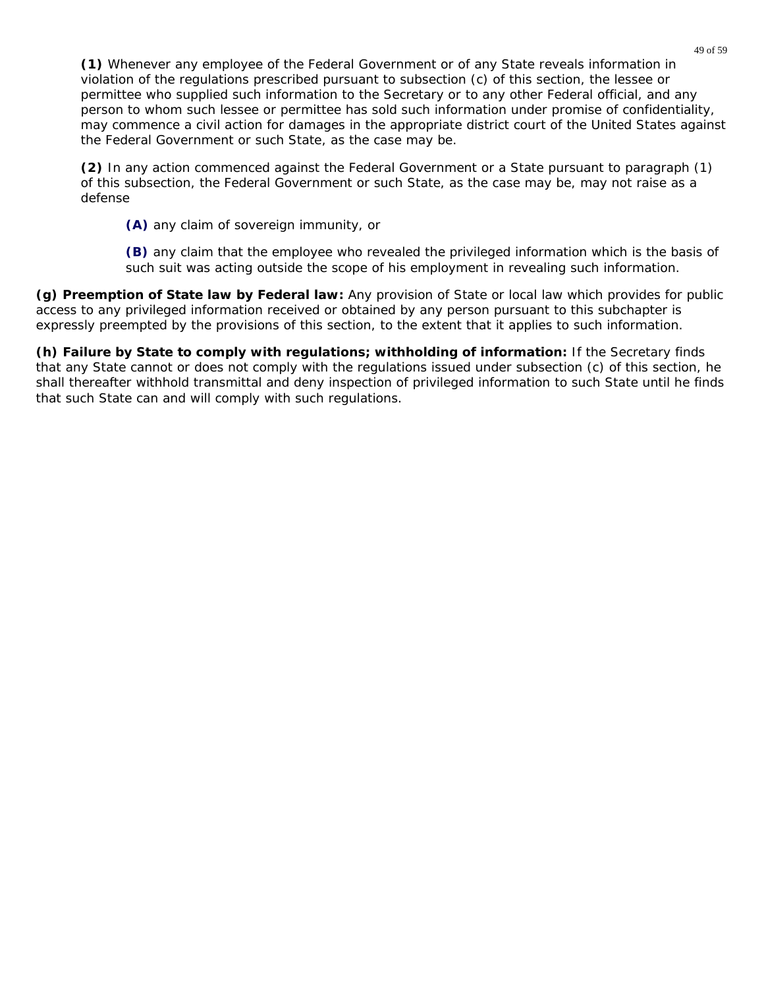**(1)** Whenever any employee of the Federal Government or of any State reveals information in violation of the regulations prescribed pursuant to subsection (c) of this section, the lessee or permittee who supplied such information to the Secretary or to any other Federal official, and any person to whom such lessee or permittee has sold such information under promise of confidentiality, may commence a civil action for damages in the appropriate district court of the United States against the Federal Government or such State, as the case may be.

**(2)** In any action commenced against the Federal Government or a State pursuant to paragraph (1) of this subsection, the Federal Government or such State, as the case may be, may not raise as a defense

**(A)** any claim of sovereign immunity, or

**(B)** any claim that the employee who revealed the privileged information which is the basis of such suit was acting outside the scope of his employment in revealing such information.

**(g) Preemption of State law by Federal law:** Any provision of State or local law which provides for public access to any privileged information received or obtained by any person pursuant to this subchapter is expressly preempted by the provisions of this section, to the extent that it applies to such information.

**(h) Failure by State to comply with regulations; withholding of information:** If the Secretary finds that any State cannot or does not comply with the regulations issued under subsection (c) of this section, he shall thereafter withhold transmittal and deny inspection of privileged information to such State until he finds that such State can and will comply with such regulations.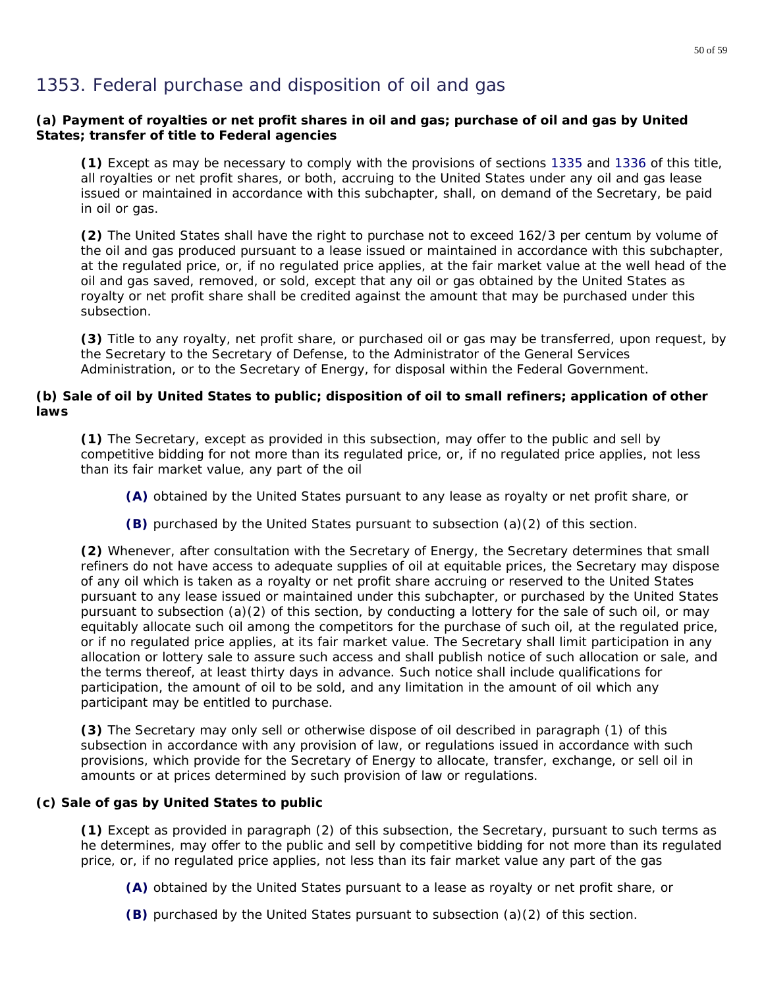## 1353. Federal purchase and disposition of oil and gas

#### **(a) Payment of royalties or net profit shares in oil and gas; purchase of oil and gas by United States; transfer of title to Federal agencies**

**(1)** Except as may be necessary to comply with the provisions of sections 1335 and 1336 of this title, all royalties or net profit shares, or both, accruing to the United States under any oil and gas lease issued or maintained in accordance with this subchapter, shall, on demand of the Secretary, be paid in oil or gas.

**(2)** The United States shall have the right to purchase not to exceed 162/3 per centum by volume of the oil and gas produced pursuant to a lease issued or maintained in accordance with this subchapter, at the regulated price, or, if no regulated price applies, at the fair market value at the well head of the oil and gas saved, removed, or sold, except that any oil or gas obtained by the United States as royalty or net profit share shall be credited against the amount that may be purchased under this subsection.

**(3)** Title to any royalty, net profit share, or purchased oil or gas may be transferred, upon request, by the Secretary to the Secretary of Defense, to the Administrator of the General Services Administration, or to the Secretary of Energy, for disposal within the Federal Government.

#### **(b) Sale of oil by United States to public; disposition of oil to small refiners; application of other laws**

**(1)** The Secretary, except as provided in this subsection, may offer to the public and sell by competitive bidding for not more than its regulated price, or, if no regulated price applies, not less than its fair market value, any part of the oil

**(A)** obtained by the United States pursuant to any lease as royalty or net profit share, or

**(B)** purchased by the United States pursuant to subsection (a)(2) of this section.

**(2)** Whenever, after consultation with the Secretary of Energy, the Secretary determines that small refiners do not have access to adequate supplies of oil at equitable prices, the Secretary may dispose of any oil which is taken as a royalty or net profit share accruing or reserved to the United States pursuant to any lease issued or maintained under this subchapter, or purchased by the United States pursuant to subsection (a)(2) of this section, by conducting a lottery for the sale of such oil, or may equitably allocate such oil among the competitors for the purchase of such oil, at the regulated price, or if no regulated price applies, at its fair market value. The Secretary shall limit participation in any allocation or lottery sale to assure such access and shall publish notice of such allocation or sale, and the terms thereof, at least thirty days in advance. Such notice shall include qualifications for participation, the amount of oil to be sold, and any limitation in the amount of oil which any participant may be entitled to purchase.

**(3)** The Secretary may only sell or otherwise dispose of oil described in paragraph (1) of this subsection in accordance with any provision of law, or regulations issued in accordance with such provisions, which provide for the Secretary of Energy to allocate, transfer, exchange, or sell oil in amounts or at prices determined by such provision of law or regulations.

#### **(c) Sale of gas by United States to public**

**(1)** Except as provided in paragraph (2) of this subsection, the Secretary, pursuant to such terms as he determines, may offer to the public and sell by competitive bidding for not more than its regulated price, or, if no regulated price applies, not less than its fair market value any part of the gas

**(A)** obtained by the United States pursuant to a lease as royalty or net profit share, or

**(B)** purchased by the United States pursuant to subsection (a)(2) of this section.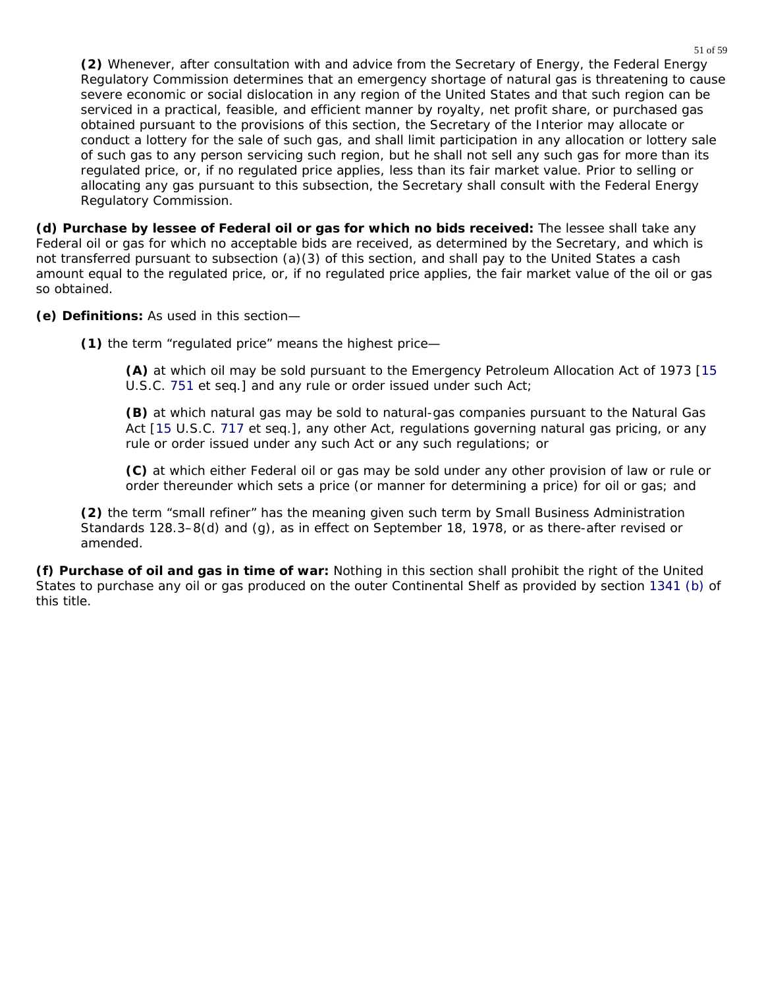**(2)** Whenever, after consultation with and advice from the Secretary of Energy, the Federal Energy Regulatory Commission determines that an emergency shortage of natural gas is threatening to cause severe economic or social dislocation in any region of the United States and that such region can be serviced in a practical, feasible, and efficient manner by royalty, net profit share, or purchased gas obtained pursuant to the provisions of this section, the Secretary of the Interior may allocate or conduct a lottery for the sale of such gas, and shall limit participation in any allocation or lottery sale of such gas to any person servicing such region, but he shall not sell any such gas for more than its regulated price, or, if no regulated price applies, less than its fair market value. Prior to selling or allocating any gas pursuant to this subsection, the Secretary shall consult with the Federal Energy Regulatory Commission.

**(d) Purchase by lessee of Federal oil or gas for which no bids received:** The lessee shall take any Federal oil or gas for which no acceptable bids are received, as determined by the Secretary, and which is not transferred pursuant to subsection (a)(3) of this section, and shall pay to the United States a cash amount equal to the regulated price, or, if no regulated price applies, the fair market value of the oil or gas so obtained.

**(e) Definitions:** As used in this section—

**(1)** the term "regulated price" means the highest price—

**(A)** at which oil may be sold pursuant to the Emergency Petroleum Allocation Act of 1973 [15 U.S.C. 751 et seq.] and any rule or order issued under such Act;

**(B)** at which natural gas may be sold to natural-gas companies pursuant to the Natural Gas Act [15 U.S.C. 717 et seq.], any other Act, regulations governing natural gas pricing, or any rule or order issued under any such Act or any such regulations; or

**(C)** at which either Federal oil or gas may be sold under any other provision of law or rule or order thereunder which sets a price (or manner for determining a price) for oil or gas; and

**(2)** the term "small refiner" has the meaning given such term by Small Business Administration Standards 128.3–8(d) and (g), as in effect on September 18, 1978, or as there-after revised or amended.

**(f) Purchase of oil and gas in time of war:** Nothing in this section shall prohibit the right of the United States to purchase any oil or gas produced on the outer Continental Shelf as provided by section 1341 (b) of this title.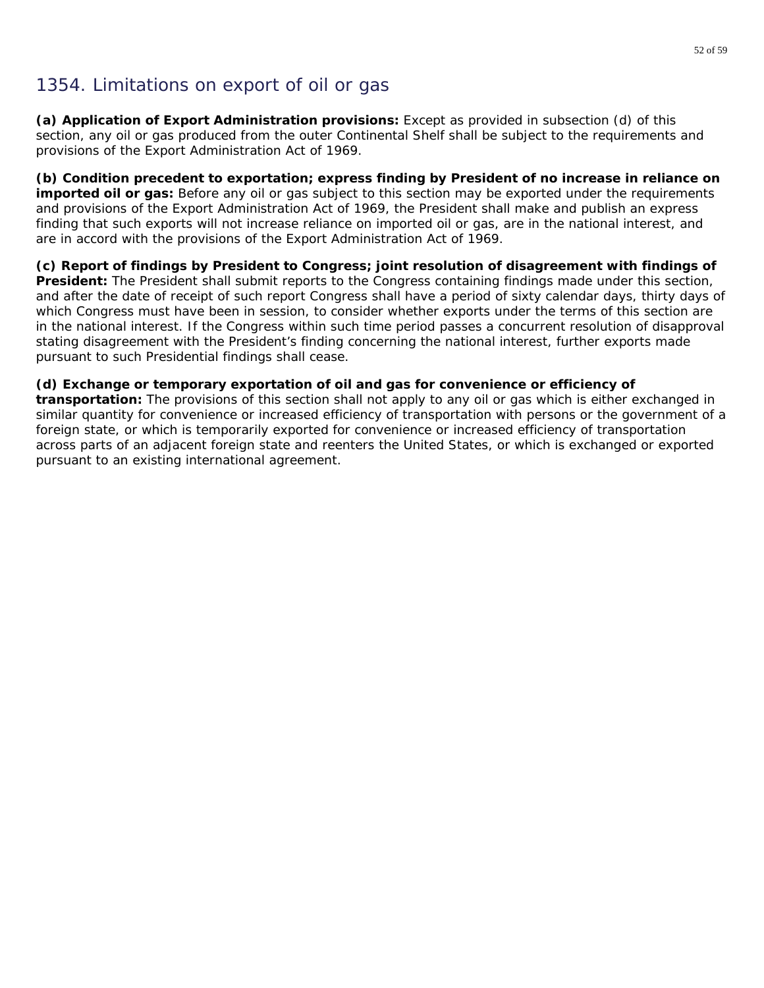# 1354. Limitations on export of oil or gas

**(a) Application of Export Administration provisions:** Except as provided in subsection (d) of this section, any oil or gas produced from the outer Continental Shelf shall be subject to the requirements and provisions of the Export Administration Act of 1969.

**(b) Condition precedent to exportation; express finding by President of no increase in reliance on imported oil or gas:** Before any oil or gas subject to this section may be exported under the requirements and provisions of the Export Administration Act of 1969, the President shall make and publish an express finding that such exports will not increase reliance on imported oil or gas, are in the national interest, and are in accord with the provisions of the Export Administration Act of 1969.

**(c) Report of findings by President to Congress; joint resolution of disagreement with findings of President:** The President shall submit reports to the Congress containing findings made under this section, and after the date of receipt of such report Congress shall have a period of sixty calendar days, thirty days of which Congress must have been in session, to consider whether exports under the terms of this section are in the national interest. If the Congress within such time period passes a concurrent resolution of disapproval stating disagreement with the President's finding concerning the national interest, further exports made pursuant to such Presidential findings shall cease.

**(d) Exchange or temporary exportation of oil and gas for convenience or efficiency of** 

**transportation:** The provisions of this section shall not apply to any oil or gas which is either exchanged in similar quantity for convenience or increased efficiency of transportation with persons or the government of a foreign state, or which is temporarily exported for convenience or increased efficiency of transportation across parts of an adjacent foreign state and reenters the United States, or which is exchanged or exported pursuant to an existing international agreement.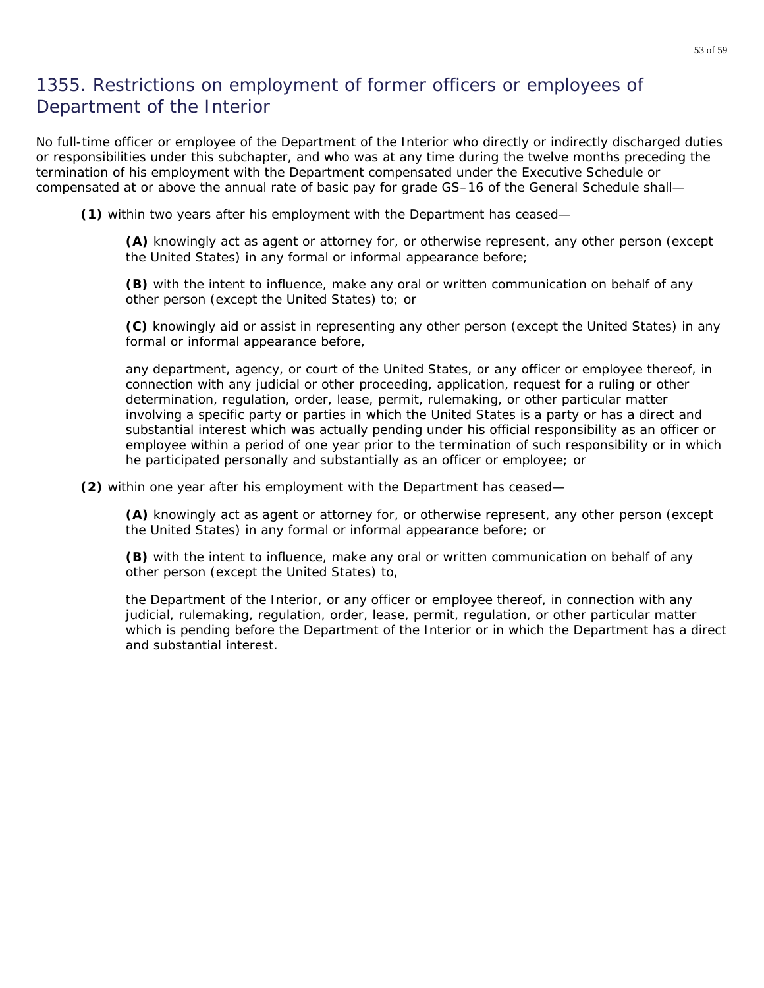### 1355. Restrictions on employment of former officers or employees of Department of the Interior

No full-time officer or employee of the Department of the Interior who directly or indirectly discharged duties or responsibilities under this subchapter, and who was at any time during the twelve months preceding the termination of his employment with the Department compensated under the Executive Schedule or compensated at or above the annual rate of basic pay for grade GS–16 of the General Schedule shall—

**(1)** within two years after his employment with the Department has ceased—

**(A)** knowingly act as agent or attorney for, or otherwise represent, any other person (except the United States) in any formal or informal appearance before;

**(B)** with the intent to influence, make any oral or written communication on behalf of any other person (except the United States) to; or

**(C)** knowingly aid or assist in representing any other person (except the United States) in any formal or informal appearance before,

any department, agency, or court of the United States, or any officer or employee thereof, in connection with any judicial or other proceeding, application, request for a ruling or other determination, regulation, order, lease, permit, rulemaking, or other particular matter involving a specific party or parties in which the United States is a party or has a direct and substantial interest which was actually pending under his official responsibility as an officer or employee within a period of one year prior to the termination of such responsibility or in which he participated personally and substantially as an officer or employee; or

**(2)** within one year after his employment with the Department has ceased—

**(A)** knowingly act as agent or attorney for, or otherwise represent, any other person (except the United States) in any formal or informal appearance before; or

**(B)** with the intent to influence, make any oral or written communication on behalf of any other person (except the United States) to,

the Department of the Interior, or any officer or employee thereof, in connection with any judicial, rulemaking, regulation, order, lease, permit, regulation, or other particular matter which is pending before the Department of the Interior or in which the Department has a direct and substantial interest.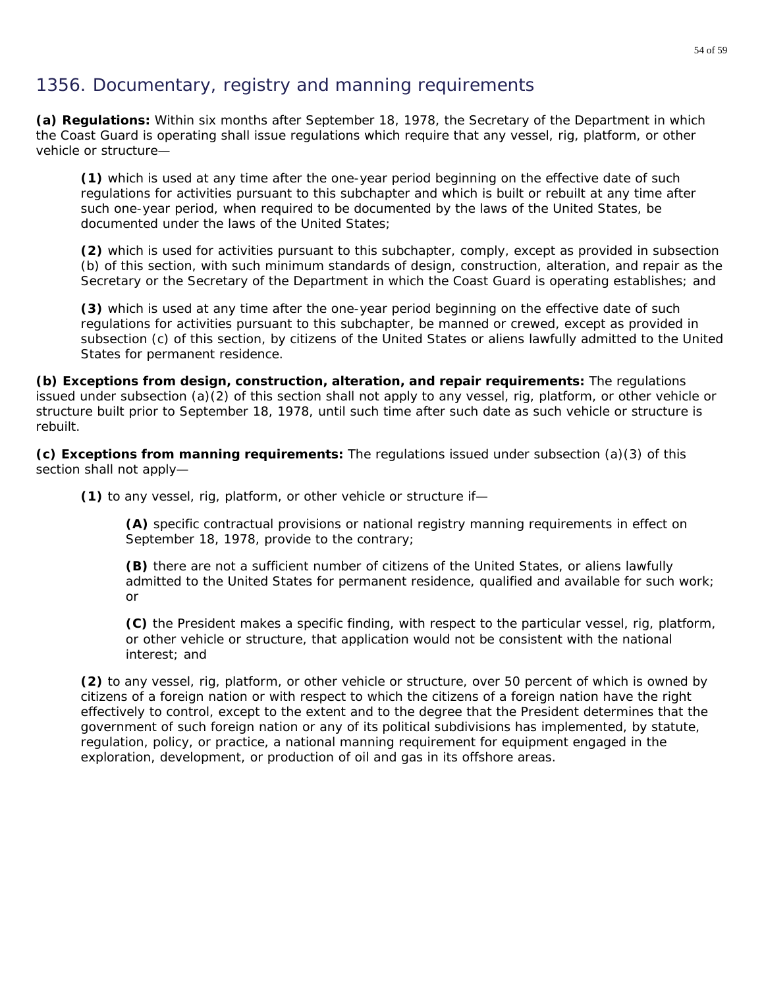## 1356. Documentary, registry and manning requirements

**(a) Regulations:** Within six months after September 18, 1978, the Secretary of the Department in which the Coast Guard is operating shall issue regulations which require that any vessel, rig, platform, or other vehicle or structure—

**(1)** which is used at any time after the one-year period beginning on the effective date of such regulations for activities pursuant to this subchapter and which is built or rebuilt at any time after such one-year period, when required to be documented by the laws of the United States, be documented under the laws of the United States;

**(2)** which is used for activities pursuant to this subchapter, comply, except as provided in subsection (b) of this section, with such minimum standards of design, construction, alteration, and repair as the Secretary or the Secretary of the Department in which the Coast Guard is operating establishes; and

**(3)** which is used at any time after the one-year period beginning on the effective date of such regulations for activities pursuant to this subchapter, be manned or crewed, except as provided in subsection (c) of this section, by citizens of the United States or aliens lawfully admitted to the United States for permanent residence.

**(b) Exceptions from design, construction, alteration, and repair requirements:** The regulations issued under subsection (a)(2) of this section shall not apply to any vessel, rig, platform, or other vehicle or structure built prior to September 18, 1978, until such time after such date as such vehicle or structure is rebuilt.

**(c) Exceptions from manning requirements:** The regulations issued under subsection (a)(3) of this section shall not apply—

**(1)** to any vessel, rig, platform, or other vehicle or structure if—

**(A)** specific contractual provisions or national registry manning requirements in effect on September 18, 1978, provide to the contrary;

**(B)** there are not a sufficient number of citizens of the United States, or aliens lawfully admitted to the United States for permanent residence, qualified and available for such work; or

**(C)** the President makes a specific finding, with respect to the particular vessel, rig, platform, or other vehicle or structure, that application would not be consistent with the national interest; and

**(2)** to any vessel, rig, platform, or other vehicle or structure, over 50 percent of which is owned by citizens of a foreign nation or with respect to which the citizens of a foreign nation have the right effectively to control, except to the extent and to the degree that the President determines that the government of such foreign nation or any of its political subdivisions has implemented, by statute, regulation, policy, or practice, a national manning requirement for equipment engaged in the exploration, development, or production of oil and gas in its offshore areas.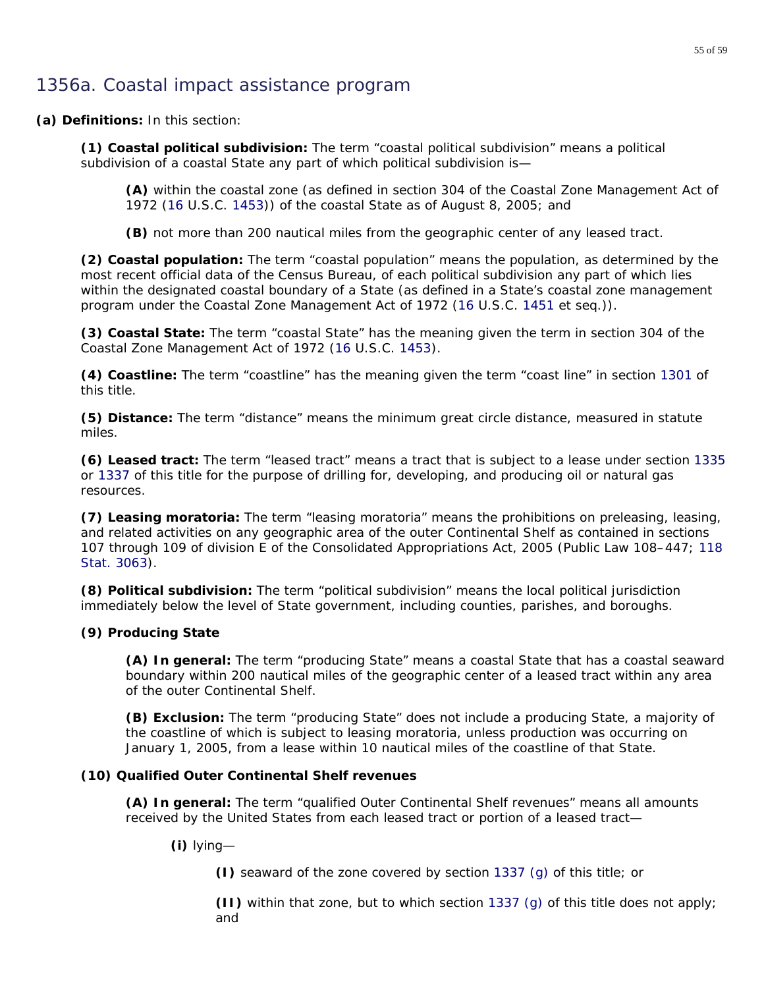### 1356a. Coastal impact assistance program

#### **(a) Definitions:** In this section:

**(1) Coastal political subdivision:** The term "coastal political subdivision" means a political subdivision of a coastal State any part of which political subdivision is—

**(A)** within the coastal zone (as defined in section 304 of the Coastal Zone Management Act of 1972 (16 U.S.C. 1453)) of the coastal State as of August 8, 2005; and

**(B)** not more than 200 nautical miles from the geographic center of any leased tract.

**(2) Coastal population:** The term "coastal population" means the population, as determined by the most recent official data of the Census Bureau, of each political subdivision any part of which lies within the designated coastal boundary of a State (as defined in a State's coastal zone management program under the Coastal Zone Management Act of 1972 (16 U.S.C. 1451 et seq.)).

**(3) Coastal State:** The term "coastal State" has the meaning given the term in section 304 of the Coastal Zone Management Act of 1972 (16 U.S.C. 1453).

**(4) Coastline:** The term "coastline" has the meaning given the term "coast line" in section 1301 of this title.

**(5) Distance:** The term "distance" means the minimum great circle distance, measured in statute miles.

**(6) Leased tract:** The term "leased tract" means a tract that is subject to a lease under section 1335 or 1337 of this title for the purpose of drilling for, developing, and producing oil or natural gas resources.

**(7) Leasing moratoria:** The term "leasing moratoria" means the prohibitions on preleasing, leasing, and related activities on any geographic area of the outer Continental Shelf as contained in sections 107 through 109 of division E of the Consolidated Appropriations Act, 2005 (Public Law 108–447; 118 Stat. 3063).

**(8) Political subdivision:** The term "political subdivision" means the local political jurisdiction immediately below the level of State government, including counties, parishes, and boroughs.

#### **(9) Producing State**

**(A) In general:** The term "producing State" means a coastal State that has a coastal seaward boundary within 200 nautical miles of the geographic center of a leased tract within any area of the outer Continental Shelf.

**(B) Exclusion:** The term "producing State" does not include a producing State, a majority of the coastline of which is subject to leasing moratoria, unless production was occurring on January 1, 2005, from a lease within 10 nautical miles of the coastline of that State.

#### **(10) Qualified Outer Continental Shelf revenues**

**(A) In general:** The term "qualified Outer Continental Shelf revenues" means all amounts received by the United States from each leased tract or portion of a leased tract—

**(i)** lying—

**(I)** seaward of the zone covered by section 1337 (g) of this title; or

**(II)** within that zone, but to which section 1337 (g) of this title does not apply; and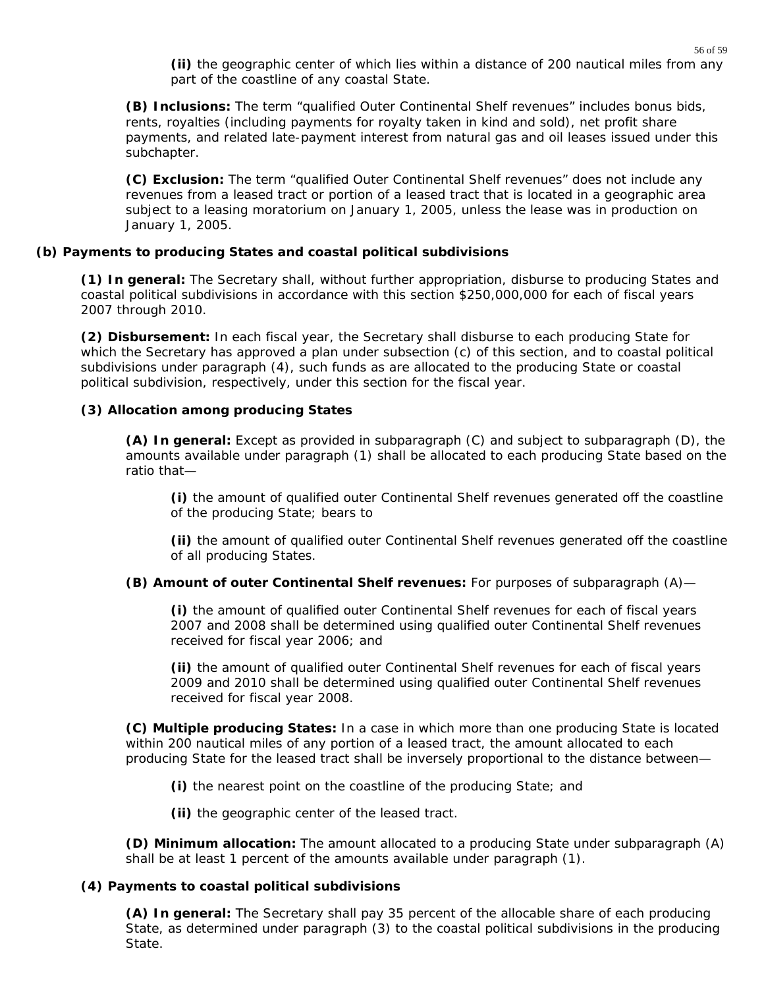**(ii)** the geographic center of which lies within a distance of 200 nautical miles from any part of the coastline of any coastal State.

**(B) Inclusions:** The term "qualified Outer Continental Shelf revenues" includes bonus bids, rents, royalties (including payments for royalty taken in kind and sold), net profit share payments, and related late-payment interest from natural gas and oil leases issued under this subchapter.

**(C) Exclusion:** The term "qualified Outer Continental Shelf revenues" does not include any revenues from a leased tract or portion of a leased tract that is located in a geographic area subject to a leasing moratorium on January 1, 2005, unless the lease was in production on January 1, 2005.

#### **(b) Payments to producing States and coastal political subdivisions**

**(1) In general:** The Secretary shall, without further appropriation, disburse to producing States and coastal political subdivisions in accordance with this section \$250,000,000 for each of fiscal years 2007 through 2010.

**(2) Disbursement:** In each fiscal year, the Secretary shall disburse to each producing State for which the Secretary has approved a plan under subsection (c) of this section, and to coastal political subdivisions under paragraph (4), such funds as are allocated to the producing State or coastal political subdivision, respectively, under this section for the fiscal year.

#### **(3) Allocation among producing States**

**(A) In general:** Except as provided in subparagraph (C) and subject to subparagraph (D), the amounts available under paragraph (1) shall be allocated to each producing State based on the ratio that—

**(i)** the amount of qualified outer Continental Shelf revenues generated off the coastline of the producing State; bears to

**(ii)** the amount of qualified outer Continental Shelf revenues generated off the coastline of all producing States.

#### **(B) Amount of outer Continental Shelf revenues:** For purposes of subparagraph (A)—

**(i)** the amount of qualified outer Continental Shelf revenues for each of fiscal years 2007 and 2008 shall be determined using qualified outer Continental Shelf revenues received for fiscal year 2006; and

**(ii)** the amount of qualified outer Continental Shelf revenues for each of fiscal years 2009 and 2010 shall be determined using qualified outer Continental Shelf revenues received for fiscal year 2008.

**(C) Multiple producing States:** In a case in which more than one producing State is located within 200 nautical miles of any portion of a leased tract, the amount allocated to each producing State for the leased tract shall be inversely proportional to the distance between—

**(i)** the nearest point on the coastline of the producing State; and

**(ii)** the geographic center of the leased tract.

**(D) Minimum allocation:** The amount allocated to a producing State under subparagraph (A) shall be at least 1 percent of the amounts available under paragraph (1).

#### **(4) Payments to coastal political subdivisions**

**(A) In general:** The Secretary shall pay 35 percent of the allocable share of each producing State, as determined under paragraph (3) to the coastal political subdivisions in the producing State.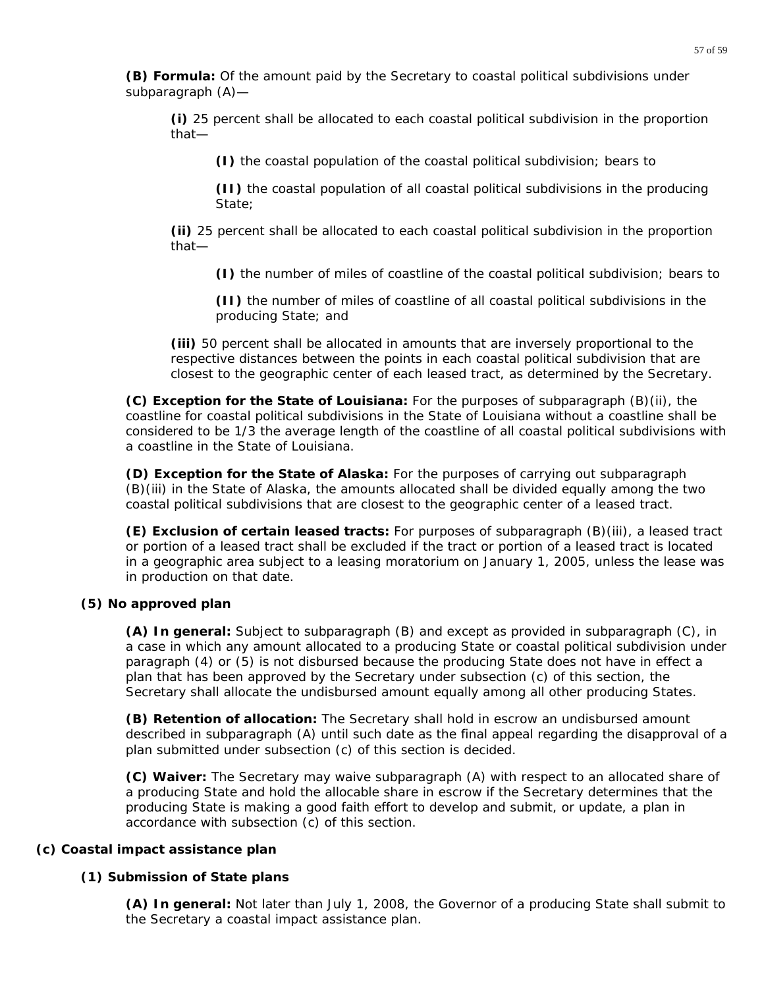**(B) Formula:** Of the amount paid by the Secretary to coastal political subdivisions under subparagraph (A)—

**(i)** 25 percent shall be allocated to each coastal political subdivision in the proportion that—

**(I)** the coastal population of the coastal political subdivision; bears to

**(II)** the coastal population of all coastal political subdivisions in the producing State;

**(ii)** 25 percent shall be allocated to each coastal political subdivision in the proportion that—

**(I)** the number of miles of coastline of the coastal political subdivision; bears to

**(II)** the number of miles of coastline of all coastal political subdivisions in the producing State; and

**(iii)** 50 percent shall be allocated in amounts that are inversely proportional to the respective distances between the points in each coastal political subdivision that are closest to the geographic center of each leased tract, as determined by the Secretary.

**(C) Exception for the State of Louisiana:** For the purposes of subparagraph (B)(ii), the coastline for coastal political subdivisions in the State of Louisiana without a coastline shall be considered to be 1/3 the average length of the coastline of all coastal political subdivisions with a coastline in the State of Louisiana.

**(D) Exception for the State of Alaska:** For the purposes of carrying out subparagraph (B)(iii) in the State of Alaska, the amounts allocated shall be divided equally among the two coastal political subdivisions that are closest to the geographic center of a leased tract.

**(E) Exclusion of certain leased tracts:** For purposes of subparagraph (B)(iii), a leased tract or portion of a leased tract shall be excluded if the tract or portion of a leased tract is located in a geographic area subject to a leasing moratorium on January 1, 2005, unless the lease was in production on that date.

#### **(5) No approved plan**

**(A) In general:** Subject to subparagraph (B) and except as provided in subparagraph (C), in a case in which any amount allocated to a producing State or coastal political subdivision under paragraph (4) or (5) is not disbursed because the producing State does not have in effect a plan that has been approved by the Secretary under subsection (c) of this section, the Secretary shall allocate the undisbursed amount equally among all other producing States.

**(B) Retention of allocation:** The Secretary shall hold in escrow an undisbursed amount described in subparagraph (A) until such date as the final appeal regarding the disapproval of a plan submitted under subsection (c) of this section is decided.

**(C) Waiver:** The Secretary may waive subparagraph (A) with respect to an allocated share of a producing State and hold the allocable share in escrow if the Secretary determines that the producing State is making a good faith effort to develop and submit, or update, a plan in accordance with subsection (c) of this section.

#### **(c) Coastal impact assistance plan**

#### **(1) Submission of State plans**

**(A) In general:** Not later than July 1, 2008, the Governor of a producing State shall submit to the Secretary a coastal impact assistance plan.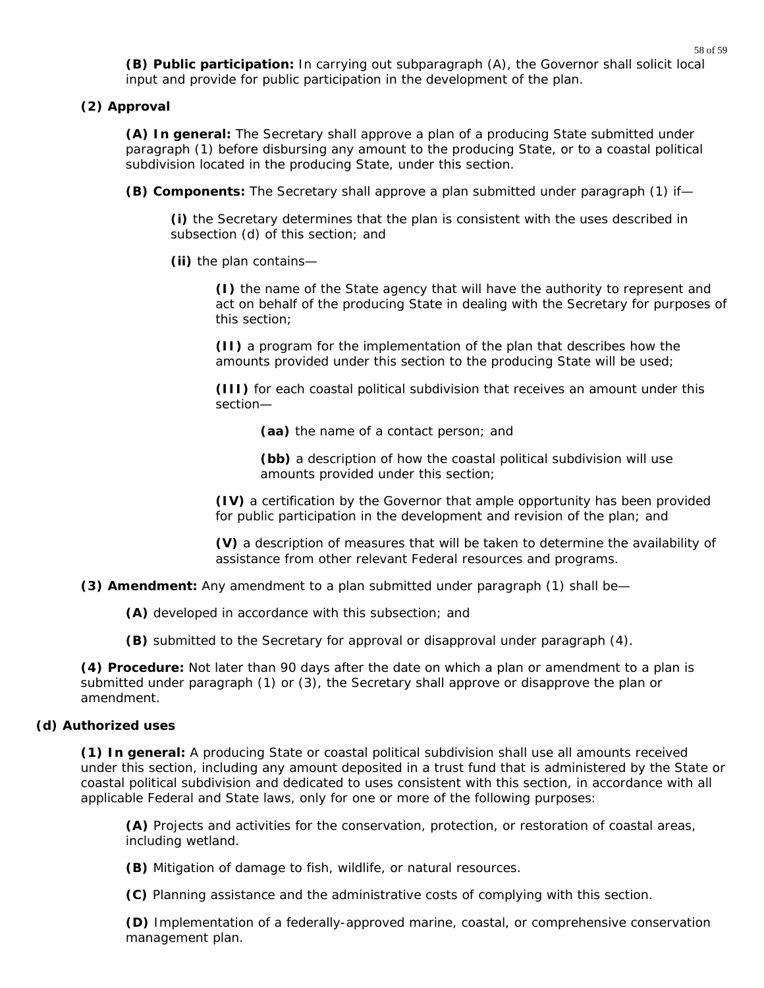**(B) Public participation:** In carrying out subparagraph (A), the Governor shall solicit local input and provide for public participation in the development of the plan.

#### **(2) Approval**

**(A) In general:** The Secretary shall approve a plan of a producing State submitted under paragraph (1) before disbursing any amount to the producing State, or to a coastal political subdivision located in the producing State, under this section.

**(B) Components:** The Secretary shall approve a plan submitted under paragraph (1) if—

**(i)** the Secretary determines that the plan is consistent with the uses described in subsection (d) of this section; and

**(ii)** the plan contains—

**(I)** the name of the State agency that will have the authority to represent and act on behalf of the producing State in dealing with the Secretary for purposes of this section;

**(II)** a program for the implementation of the plan that describes how the amounts provided under this section to the producing State will be used;

**(III)** for each coastal political subdivision that receives an amount under this section—

**(aa)** the name of a contact person; and

**(bb)** a description of how the coastal political subdivision will use amounts provided under this section;

**(IV)** a certification by the Governor that ample opportunity has been provided for public participation in the development and revision of the plan; and

**(V)** a description of measures that will be taken to determine the availability of assistance from other relevant Federal resources and programs.

**(3) Amendment:** Any amendment to a plan submitted under paragraph (1) shall be—

**(A)** developed in accordance with this subsection; and

**(B)** submitted to the Secretary for approval or disapproval under paragraph (4).

**(4) Procedure:** Not later than 90 days after the date on which a plan or amendment to a plan is submitted under paragraph (1) or (3), the Secretary shall approve or disapprove the plan or amendment.

#### **(d) Authorized uses**

**(1) In general:** A producing State or coastal political subdivision shall use all amounts received under this section, including any amount deposited in a trust fund that is administered by the State or coastal political subdivision and dedicated to uses consistent with this section, in accordance with all applicable Federal and State laws, only for one or more of the following purposes:

**(A)** Projects and activities for the conservation, protection, or restoration of coastal areas, including wetland.

**(B)** Mitigation of damage to fish, wildlife, or natural resources.

**(C)** Planning assistance and the administrative costs of complying with this section.

**(D)** Implementation of a federally-approved marine, coastal, or comprehensive conservation management plan.